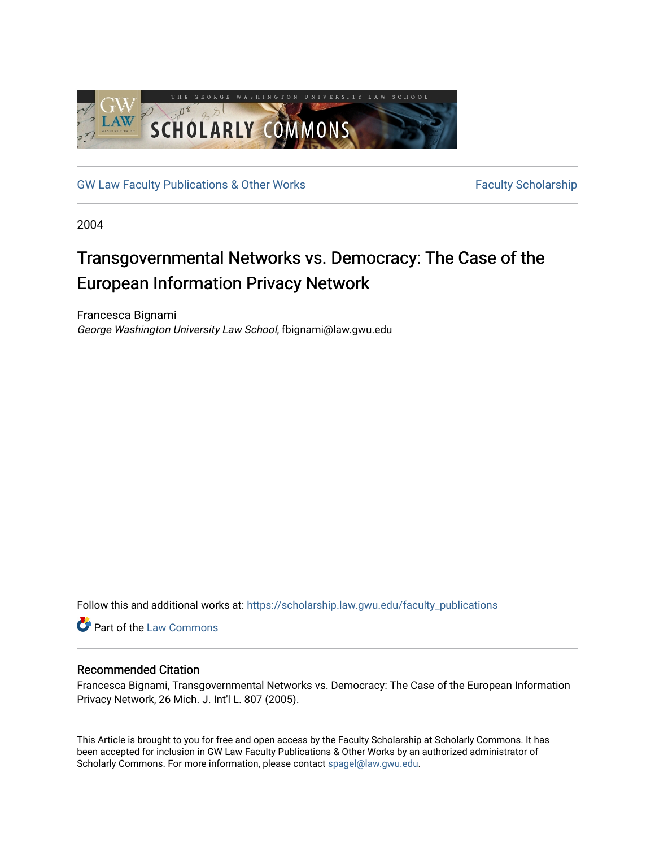

[GW Law Faculty Publications & Other Works](https://scholarship.law.gwu.edu/faculty_publications) Faculty Scholarship

2004

# Transgovernmental Networks vs. Democracy: The Case of the European Information Privacy Network

Francesca Bignami George Washington University Law School, fbignami@law.gwu.edu

Follow this and additional works at: [https://scholarship.law.gwu.edu/faculty\\_publications](https://scholarship.law.gwu.edu/faculty_publications?utm_source=scholarship.law.gwu.edu%2Ffaculty_publications%2F216&utm_medium=PDF&utm_campaign=PDFCoverPages) 

Part of the [Law Commons](http://network.bepress.com/hgg/discipline/578?utm_source=scholarship.law.gwu.edu%2Ffaculty_publications%2F216&utm_medium=PDF&utm_campaign=PDFCoverPages)

# Recommended Citation

Francesca Bignami, Transgovernmental Networks vs. Democracy: The Case of the European Information Privacy Network, 26 Mich. J. Int'l L. 807 (2005).

This Article is brought to you for free and open access by the Faculty Scholarship at Scholarly Commons. It has been accepted for inclusion in GW Law Faculty Publications & Other Works by an authorized administrator of Scholarly Commons. For more information, please contact [spagel@law.gwu.edu](mailto:spagel@law.gwu.edu).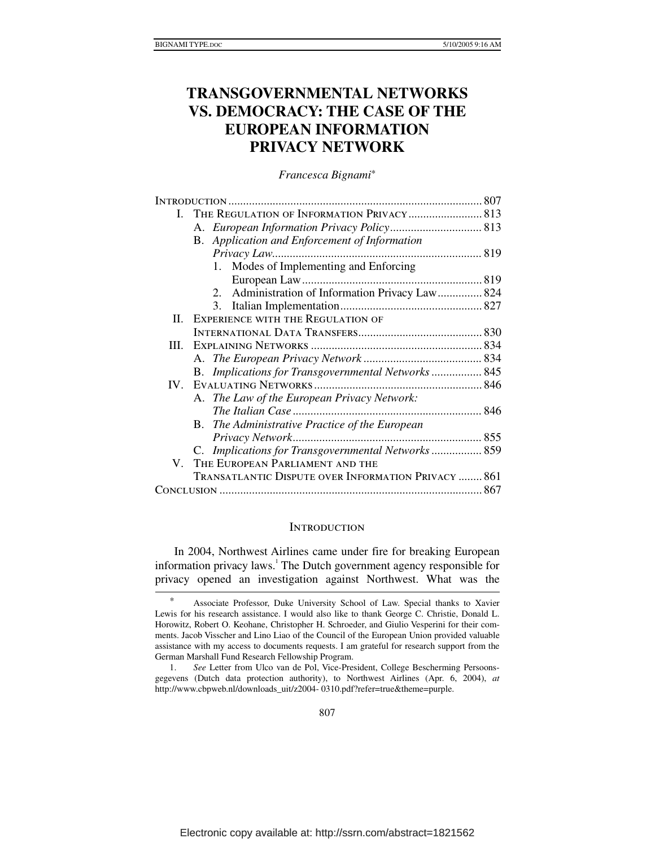# **TRANSGOVERNMENTAL NETWORKS VS. DEMOCRACY: THE CASE OF THE EUROPEAN INFORMATION PRIVACY NETWORK**

*Francesca Bignami*\*

| L                 | THE REGULATION OF INFORMATION PRIVACY 813                  |  |
|-------------------|------------------------------------------------------------|--|
|                   |                                                            |  |
|                   | <b>B.</b> Application and Enforcement of Information       |  |
|                   |                                                            |  |
|                   | Modes of Implementing and Enforcing<br>1.                  |  |
|                   |                                                            |  |
|                   | 2. Administration of Information Privacy Law 824           |  |
|                   | 3.                                                         |  |
| П.                | <b>EXPERIENCE WITH THE REGULATION OF</b>                   |  |
|                   |                                                            |  |
| III.              |                                                            |  |
|                   |                                                            |  |
|                   | B. Implications for Transgovernmental Networks 845         |  |
| $\mathbf{IV}_{-}$ |                                                            |  |
|                   | A. The Law of the European Privacy Network:                |  |
|                   |                                                            |  |
|                   | <b>B.</b> The Administrative Practice of the European      |  |
|                   |                                                            |  |
|                   | C. Implications for Transgovernmental Networks 859         |  |
| V.                | THE EUROPEAN PARLIAMENT AND THE                            |  |
|                   | <b>TRANSATLANTIC DISPUTE OVER INFORMATION PRIVACY  861</b> |  |
|                   |                                                            |  |

#### **INTRODUCTION**

In 2004, Northwest Airlines came under fire for breaking European information privacy laws.<sup>1</sup> The Dutch government agency responsible for privacy opened an investigation against Northwest. What was the

 <sup>\*</sup> Associate Professor, Duke University School of Law. Special thanks to Xavier Lewis for his research assistance. I would also like to thank George C. Christie, Donald L. Horowitz, Robert O. Keohane, Christopher H. Schroeder, and Giulio Vesperini for their comments. Jacob Visscher and Lino Liao of the Council of the European Union provided valuable assistance with my access to documents requests. I am grateful for research support from the German Marshall Fund Research Fellowship Program.

 <sup>1.</sup> *See* Letter from Ulco van de Pol, Vice-President, College Bescherming Persoonsgegevens (Dutch data protection authority), to Northwest Airlines (Apr. 6, 2004), *at*  http://www.cbpweb.nl/downloads\_uit/z2004- 0310.pdf?refer=true&theme=purple.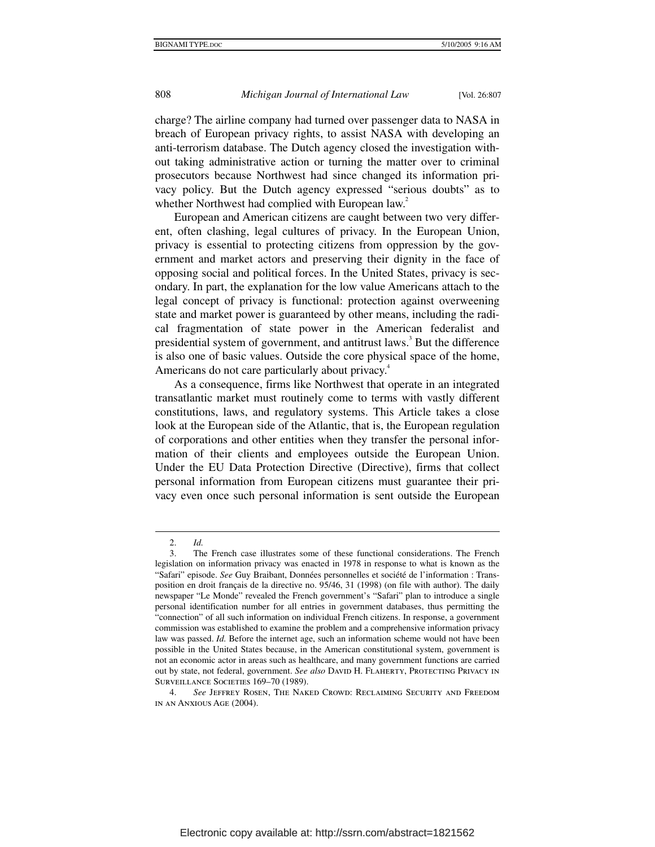charge? The airline company had turned over passenger data to NASA in breach of European privacy rights, to assist NASA with developing an anti-terrorism database. The Dutch agency closed the investigation without taking administrative action or turning the matter over to criminal prosecutors because Northwest had since changed its information privacy policy. But the Dutch agency expressed "serious doubts" as to whether Northwest had complied with European law.<sup>2</sup>

European and American citizens are caught between two very different, often clashing, legal cultures of privacy. In the European Union, privacy is essential to protecting citizens from oppression by the government and market actors and preserving their dignity in the face of opposing social and political forces. In the United States, privacy is secondary. In part, the explanation for the low value Americans attach to the legal concept of privacy is functional: protection against overweening state and market power is guaranteed by other means, including the radical fragmentation of state power in the American federalist and presidential system of government, and antitrust laws.<sup>3</sup> But the difference is also one of basic values. Outside the core physical space of the home, Americans do not care particularly about privacy.<sup>4</sup>

As a consequence, firms like Northwest that operate in an integrated transatlantic market must routinely come to terms with vastly different constitutions, laws, and regulatory systems. This Article takes a close look at the European side of the Atlantic, that is, the European regulation of corporations and other entities when they transfer the personal information of their clients and employees outside the European Union. Under the EU Data Protection Directive (Directive), firms that collect personal information from European citizens must guarantee their privacy even once such personal information is sent outside the European

 <sup>2.</sup> *Id.*

 <sup>3.</sup> The French case illustrates some of these functional considerations. The French legislation on information privacy was enacted in 1978 in response to what is known as the "Safari" episode. *See* Guy Braibant, Données personnelles et société de l'information : Transposition en droit français de la directive no. 95/46, 31 (1998) (on file with author). The daily newspaper "Le Monde" revealed the French government's "Safari" plan to introduce a single personal identification number for all entries in government databases, thus permitting the "connection" of all such information on individual French citizens. In response, a government commission was established to examine the problem and a comprehensive information privacy law was passed. *Id.* Before the internet age, such an information scheme would not have been possible in the United States because, in the American constitutional system, government is not an economic actor in areas such as healthcare, and many government functions are carried out by state, not federal, government. See also DAVID H. FLAHERTY, PROTECTING PRIVACY IN SURVEILLANCE SOCIETIES 169-70 (1989).

 <sup>4.</sup> *See* Jeffrey Rosen, The Naked Crowd: Reclaiming Security and Freedom in an Anxious Age (2004).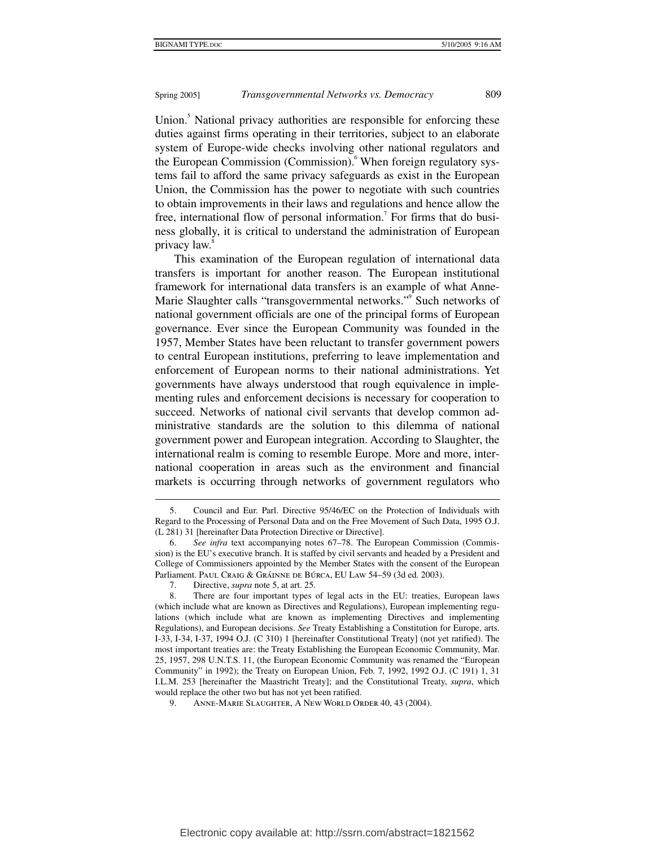Union.<sup>5</sup> National privacy authorities are responsible for enforcing these duties against firms operating in their territories, subject to an elaborate system of Europe-wide checks involving other national regulators and the European Commission (Commission). <sup>6</sup> When foreign regulatory systems fail to afford the same privacy safeguards as exist in the European Union, the Commission has the power to negotiate with such countries to obtain improvements in their laws and regulations and hence allow the free, international flow of personal information.<sup>7</sup> For firms that do business globally, it is critical to understand the administration of European privacy law.<sup>8</sup>

This examination of the European regulation of international data transfers is important for another reason. The European institutional framework for international data transfers is an example of what Anne-Marie Slaughter calls "transgovernmental networks." Such networks of national government officials are one of the principal forms of European governance. Ever since the European Community was founded in the 1957, Member States have been reluctant to transfer government powers to central European institutions, preferring to leave implementation and enforcement of European norms to their national administrations. Yet governments have always understood that rough equivalence in implementing rules and enforcement decisions is necessary for cooperation to succeed. Networks of national civil servants that develop common administrative standards are the solution to this dilemma of national government power and European integration. According to Slaughter, the international realm is coming to resemble Europe. More and more, international cooperation in areas such as the environment and financial markets is occurring through networks of government regulators who

 <sup>5.</sup> Council and Eur. Parl. Directive 95/46/EC on the Protection of Individuals with Regard to the Processing of Personal Data and on the Free Movement of Such Data, 1995 O.J. (L 281) 31 [hereinafter Data Protection Directive or Directive].

 <sup>6.</sup> *See infra* text accompanying notes 67–78. The European Commission (Commission) is the EU's executive branch. It is staffed by civil servants and headed by a President and College of Commissioners appointed by the Member States with the consent of the European Parliament. Paul Craig & Gráinne de Búrca, EU Law 54–59 (3d ed. 2003).

 <sup>7.</sup> Directive, *supra* note 5, at art. 25.

 <sup>8.</sup> There are four important types of legal acts in the EU: treaties, European laws (which include what are known as Directives and Regulations), European implementing regulations (which include what are known as implementing Directives and implementing Regulations), and European decisions. *See* Treaty Establishing a Constitution for Europe, arts. I-33, I-34, I-37, 1994 O.J. (C 310) 1 [hereinafter Constitutional Treaty] (not yet ratified). The most important treaties are: the Treaty Establishing the European Economic Community, Mar. 25, 1957, 298 U.N.T.S. 11, (the European Economic Community was renamed the "European Community" in 1992); the Treaty on European Union, Feb. 7, 1992, 1992 O.J. (C 191) 1, 31 I.L.M. 253 [hereinafter the Maastricht Treaty]; and the Constitutional Treaty, *supra*, which would replace the other two but has not yet been ratified.

 <sup>9.</sup> Anne-Marie Slaughter, A New World Order 40, 43 (2004).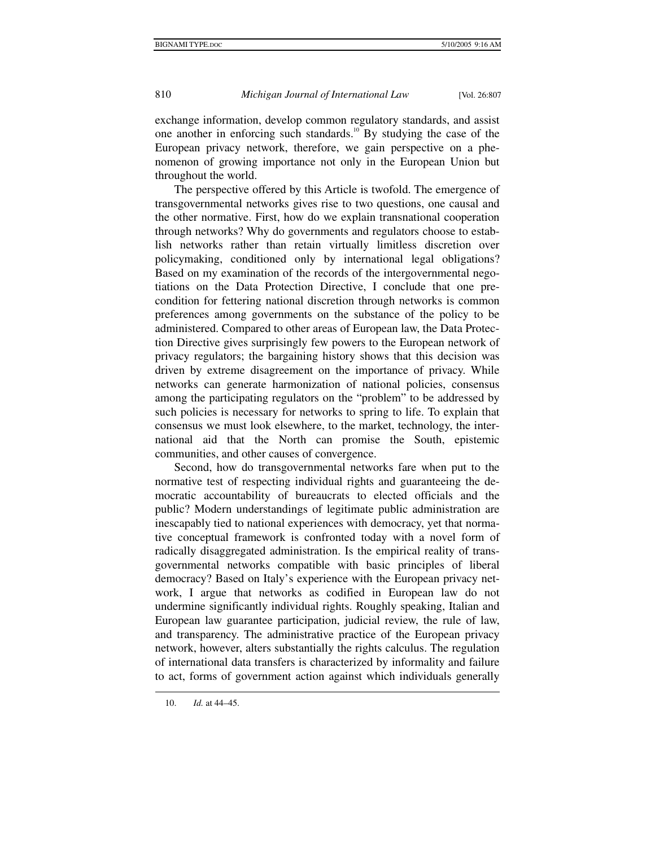exchange information, develop common regulatory standards, and assist one another in enforcing such standards.<sup>10</sup> By studying the case of the European privacy network, therefore, we gain perspective on a phenomenon of growing importance not only in the European Union but throughout the world.

The perspective offered by this Article is twofold. The emergence of transgovernmental networks gives rise to two questions, one causal and the other normative. First, how do we explain transnational cooperation through networks? Why do governments and regulators choose to establish networks rather than retain virtually limitless discretion over policymaking, conditioned only by international legal obligations? Based on my examination of the records of the intergovernmental negotiations on the Data Protection Directive, I conclude that one precondition for fettering national discretion through networks is common preferences among governments on the substance of the policy to be administered. Compared to other areas of European law, the Data Protection Directive gives surprisingly few powers to the European network of privacy regulators; the bargaining history shows that this decision was driven by extreme disagreement on the importance of privacy. While networks can generate harmonization of national policies, consensus among the participating regulators on the "problem" to be addressed by such policies is necessary for networks to spring to life. To explain that consensus we must look elsewhere, to the market, technology, the international aid that the North can promise the South, epistemic communities, and other causes of convergence.

Second, how do transgovernmental networks fare when put to the normative test of respecting individual rights and guaranteeing the democratic accountability of bureaucrats to elected officials and the public? Modern understandings of legitimate public administration are inescapably tied to national experiences with democracy, yet that normative conceptual framework is confronted today with a novel form of radically disaggregated administration. Is the empirical reality of transgovernmental networks compatible with basic principles of liberal democracy? Based on Italy's experience with the European privacy network, I argue that networks as codified in European law do not undermine significantly individual rights. Roughly speaking, Italian and European law guarantee participation, judicial review, the rule of law, and transparency. The administrative practice of the European privacy network, however, alters substantially the rights calculus. The regulation of international data transfers is characterized by informality and failure to act, forms of government action against which individuals generally

 <sup>10.</sup> *Id.* at 44–45.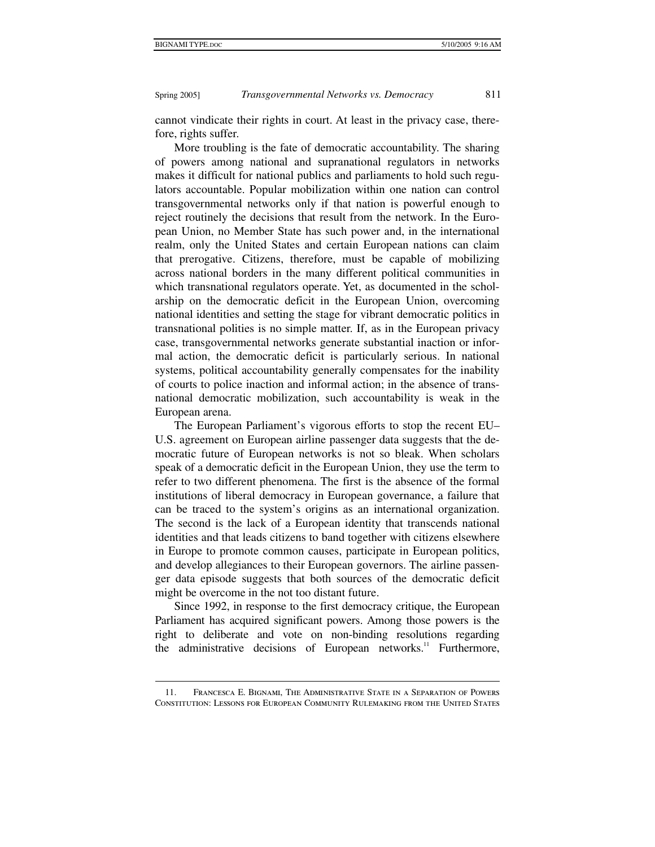$\ddot{\phantom{a}}$ 

Spring 2005] *Transgovernmental Networks vs. Democracy* 811

cannot vindicate their rights in court. At least in the privacy case, therefore, rights suffer.

More troubling is the fate of democratic accountability. The sharing of powers among national and supranational regulators in networks makes it difficult for national publics and parliaments to hold such regulators accountable. Popular mobilization within one nation can control transgovernmental networks only if that nation is powerful enough to reject routinely the decisions that result from the network. In the European Union, no Member State has such power and, in the international realm, only the United States and certain European nations can claim that prerogative. Citizens, therefore, must be capable of mobilizing across national borders in the many different political communities in which transnational regulators operate. Yet, as documented in the scholarship on the democratic deficit in the European Union, overcoming national identities and setting the stage for vibrant democratic politics in transnational polities is no simple matter. If, as in the European privacy case, transgovernmental networks generate substantial inaction or informal action, the democratic deficit is particularly serious. In national systems, political accountability generally compensates for the inability of courts to police inaction and informal action; in the absence of transnational democratic mobilization, such accountability is weak in the European arena.

The European Parliament's vigorous efforts to stop the recent EU– U.S. agreement on European airline passenger data suggests that the democratic future of European networks is not so bleak. When scholars speak of a democratic deficit in the European Union, they use the term to refer to two different phenomena. The first is the absence of the formal institutions of liberal democracy in European governance, a failure that can be traced to the system's origins as an international organization. The second is the lack of a European identity that transcends national identities and that leads citizens to band together with citizens elsewhere in Europe to promote common causes, participate in European politics, and develop allegiances to their European governors. The airline passenger data episode suggests that both sources of the democratic deficit might be overcome in the not too distant future.

Since 1992, in response to the first democracy critique, the European Parliament has acquired significant powers. Among those powers is the right to deliberate and vote on non-binding resolutions regarding the administrative decisions of European networks.<sup>11</sup> Furthermore,

 <sup>11.</sup> Francesca E. Bignami, The Administrative State in a Separation of Powers Constitution: Lessons for European Community Rulemaking from the United States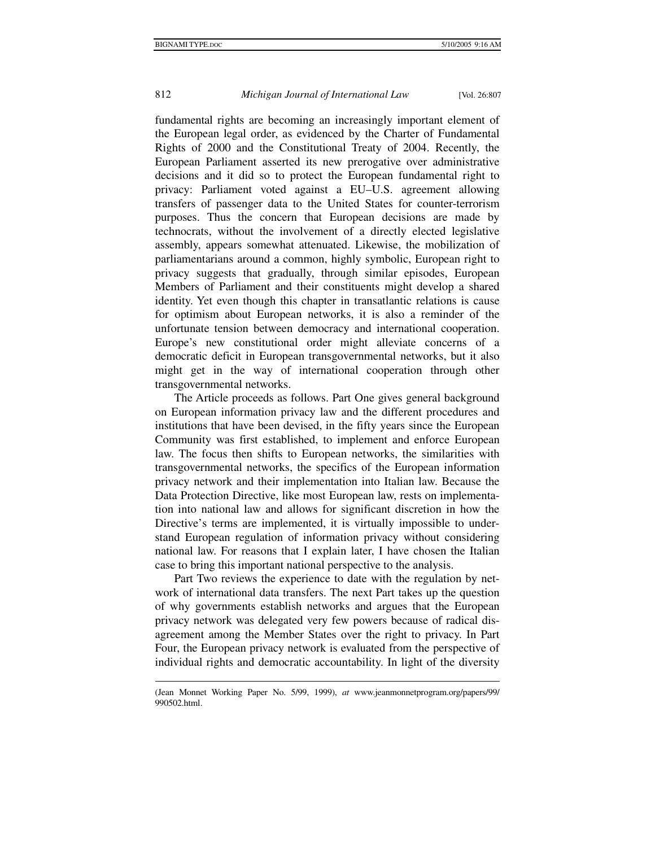$\ddot{\phantom{a}}$ 

# 812 *Michigan Journal of International Law* [Vol. 26:807

fundamental rights are becoming an increasingly important element of the European legal order, as evidenced by the Charter of Fundamental Rights of 2000 and the Constitutional Treaty of 2004. Recently, the European Parliament asserted its new prerogative over administrative decisions and it did so to protect the European fundamental right to privacy: Parliament voted against a EU–U.S. agreement allowing transfers of passenger data to the United States for counter-terrorism purposes. Thus the concern that European decisions are made by technocrats, without the involvement of a directly elected legislative assembly, appears somewhat attenuated. Likewise, the mobilization of parliamentarians around a common, highly symbolic, European right to privacy suggests that gradually, through similar episodes, European Members of Parliament and their constituents might develop a shared identity. Yet even though this chapter in transatlantic relations is cause for optimism about European networks, it is also a reminder of the unfortunate tension between democracy and international cooperation. Europe's new constitutional order might alleviate concerns of a democratic deficit in European transgovernmental networks, but it also might get in the way of international cooperation through other transgovernmental networks.

The Article proceeds as follows. Part One gives general background on European information privacy law and the different procedures and institutions that have been devised, in the fifty years since the European Community was first established, to implement and enforce European law. The focus then shifts to European networks, the similarities with transgovernmental networks, the specifics of the European information privacy network and their implementation into Italian law. Because the Data Protection Directive, like most European law, rests on implementation into national law and allows for significant discretion in how the Directive's terms are implemented, it is virtually impossible to understand European regulation of information privacy without considering national law. For reasons that I explain later, I have chosen the Italian case to bring this important national perspective to the analysis.

Part Two reviews the experience to date with the regulation by network of international data transfers. The next Part takes up the question of why governments establish networks and argues that the European privacy network was delegated very few powers because of radical disagreement among the Member States over the right to privacy. In Part Four, the European privacy network is evaluated from the perspective of individual rights and democratic accountability. In light of the diversity

<sup>(</sup>Jean Monnet Working Paper No. 5/99, 1999), *at* www.jeanmonnetprogram.org/papers/99/ 990502.html.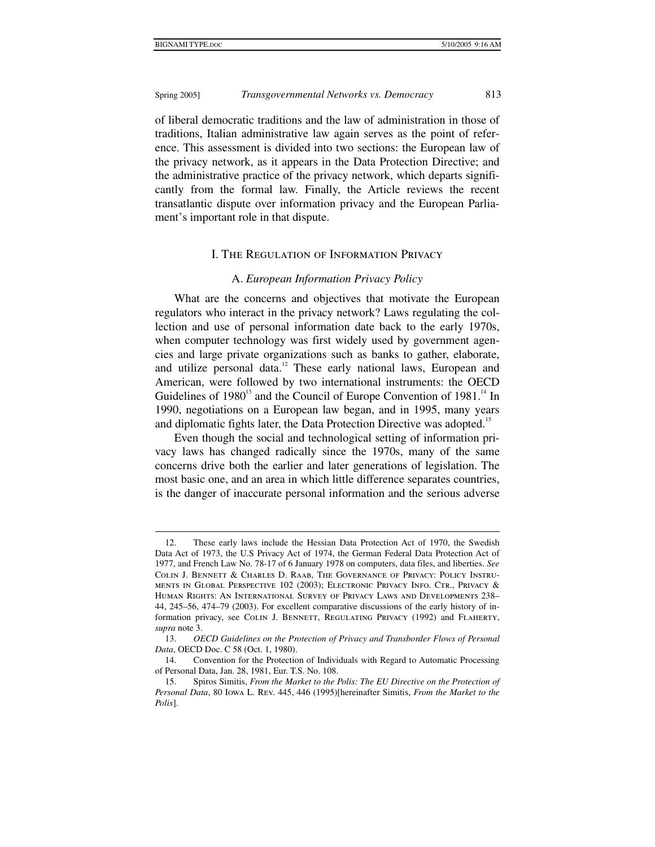1

#### Spring 2005] *Transgovernmental Networks vs. Democracy* 813

of liberal democratic traditions and the law of administration in those of traditions, Italian administrative law again serves as the point of reference. This assessment is divided into two sections: the European law of the privacy network, as it appears in the Data Protection Directive; and the administrative practice of the privacy network, which departs significantly from the formal law. Finally, the Article reviews the recent transatlantic dispute over information privacy and the European Parliament's important role in that dispute.

#### I. The Regulation of Information Privacy

#### A. *European Information Privacy Policy*

What are the concerns and objectives that motivate the European regulators who interact in the privacy network? Laws regulating the collection and use of personal information date back to the early 1970s, when computer technology was first widely used by government agencies and large private organizations such as banks to gather, elaborate, and utilize personal data.<sup>12</sup> These early national laws, European and American, were followed by two international instruments: the OECD Guidelines of  $1980^{13}$  and the Council of Europe Convention of  $1981^{14}$  In 1990, negotiations on a European law began, and in 1995, many years and diplomatic fights later, the Data Protection Directive was adopted.<sup>15</sup>

Even though the social and technological setting of information privacy laws has changed radically since the 1970s, many of the same concerns drive both the earlier and later generations of legislation. The most basic one, and an area in which little difference separates countries, is the danger of inaccurate personal information and the serious adverse

 <sup>12.</sup> These early laws include the Hessian Data Protection Act of 1970, the Swedish Data Act of 1973, the U.S Privacy Act of 1974, the German Federal Data Protection Act of 1977, and French Law No. 78-17 of 6 January 1978 on computers, data files, and liberties. *See* Colin J. Bennett & Charles D. Raab, The Governance of Privacy: Policy Instruments in Global Perspective 102 (2003); Electronic Privacy Info. Ctr., Privacy & Human Rights: An International Survey of Privacy Laws and Developments 238– 44, 245–56, 474–79 (2003). For excellent comparative discussions of the early history of information privacy, see COLIN J. BENNETT, REGULATING PRIVACY (1992) and FLAHERTY, *supra* note 3.

 <sup>13.</sup> *OECD Guidelines on the Protection of Privacy and Transborder Flows of Personal Data*, OECD Doc. C 58 (Oct. 1, 1980).

 <sup>14.</sup> Convention for the Protection of Individuals with Regard to Automatic Processing of Personal Data, Jan. 28, 1981, Eur. T.S. No. 108.

 <sup>15.</sup> Spiros Simitis, *From the Market to the Polis: The EU Directive on the Protection of Personal Data*, 80 Iowa L. Rev. 445, 446 (1995)[hereinafter Simitis, *From the Market to the Polis*].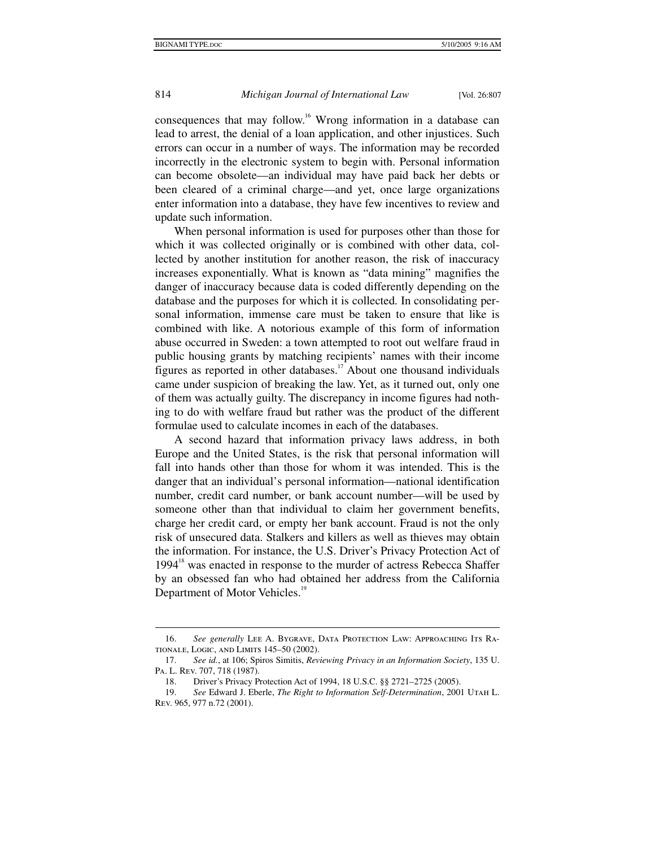consequences that may follow.16 Wrong information in a database can lead to arrest, the denial of a loan application, and other injustices. Such errors can occur in a number of ways. The information may be recorded incorrectly in the electronic system to begin with. Personal information can become obsolete—an individual may have paid back her debts or been cleared of a criminal charge—and yet, once large organizations enter information into a database, they have few incentives to review and update such information.

When personal information is used for purposes other than those for which it was collected originally or is combined with other data, collected by another institution for another reason, the risk of inaccuracy increases exponentially. What is known as "data mining" magnifies the danger of inaccuracy because data is coded differently depending on the database and the purposes for which it is collected. In consolidating personal information, immense care must be taken to ensure that like is combined with like. A notorious example of this form of information abuse occurred in Sweden: a town attempted to root out welfare fraud in public housing grants by matching recipients' names with their income figures as reported in other databases.<sup>17</sup> About one thousand individuals came under suspicion of breaking the law. Yet, as it turned out, only one of them was actually guilty. The discrepancy in income figures had nothing to do with welfare fraud but rather was the product of the different formulae used to calculate incomes in each of the databases.

A second hazard that information privacy laws address, in both Europe and the United States, is the risk that personal information will fall into hands other than those for whom it was intended. This is the danger that an individual's personal information—national identification number, credit card number, or bank account number—will be used by someone other than that individual to claim her government benefits, charge her credit card, or empty her bank account. Fraud is not the only risk of unsecured data. Stalkers and killers as well as thieves may obtain the information. For instance, the U.S. Driver's Privacy Protection Act of  $1994<sup>18</sup>$  was enacted in response to the murder of actress Rebecca Shaffer by an obsessed fan who had obtained her address from the California Department of Motor Vehicles.<sup>19</sup>

<sup>16.</sup> *See generally* LEE A. BYGRAVE, DATA PROTECTION LAW: APPROACHING ITS RAtionale, Logic, and Limits 145–50 (2002).

 <sup>17.</sup> *See id.*, at 106; Spiros Simitis, *Reviewing Privacy in an Information Society*, 135 U. Pa. L. Rev. 707, 718 (1987).

 <sup>18.</sup> Driver's Privacy Protection Act of 1994, 18 U.S.C. §§ 2721–2725 (2005).

 <sup>19.</sup> *See* Edward J. Eberle, *The Right to Information Self-Determination*, 2001 Utah L. Rev. 965, 977 n.72 (2001).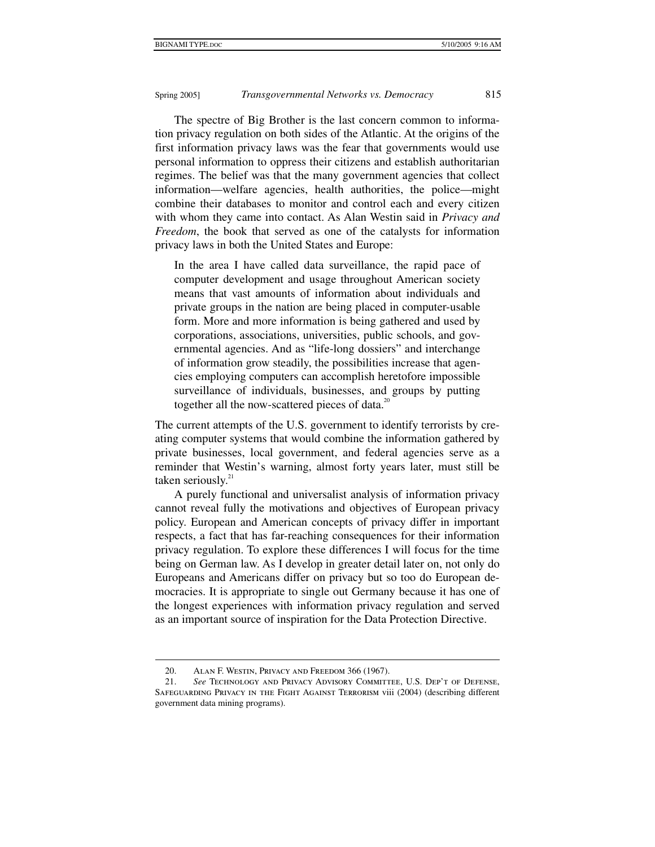The spectre of Big Brother is the last concern common to information privacy regulation on both sides of the Atlantic. At the origins of the first information privacy laws was the fear that governments would use personal information to oppress their citizens and establish authoritarian regimes. The belief was that the many government agencies that collect information—welfare agencies, health authorities, the police—might combine their databases to monitor and control each and every citizen with whom they came into contact. As Alan Westin said in *Privacy and Freedom*, the book that served as one of the catalysts for information privacy laws in both the United States and Europe:

In the area I have called data surveillance, the rapid pace of computer development and usage throughout American society means that vast amounts of information about individuals and private groups in the nation are being placed in computer-usable form. More and more information is being gathered and used by corporations, associations, universities, public schools, and governmental agencies. And as "life-long dossiers" and interchange of information grow steadily, the possibilities increase that agencies employing computers can accomplish heretofore impossible surveillance of individuals, businesses, and groups by putting together all the now-scattered pieces of data. $^{20}$ 

The current attempts of the U.S. government to identify terrorists by creating computer systems that would combine the information gathered by private businesses, local government, and federal agencies serve as a reminder that Westin's warning, almost forty years later, must still be taken seriously. $21$ 

A purely functional and universalist analysis of information privacy cannot reveal fully the motivations and objectives of European privacy policy. European and American concepts of privacy differ in important respects, a fact that has far-reaching consequences for their information privacy regulation. To explore these differences I will focus for the time being on German law. As I develop in greater detail later on, not only do Europeans and Americans differ on privacy but so too do European democracies. It is appropriate to single out Germany because it has one of the longest experiences with information privacy regulation and served as an important source of inspiration for the Data Protection Directive.

 <sup>20.</sup> Alan F. Westin, Privacy and Freedom 366 (1967).

 <sup>21.</sup> *See* Technology and Privacy Advisory Committee, U.S. Dep't of Defense, SAFEGUARDING PRIVACY IN THE FIGHT AGAINST TERRORISM viii (2004) (describing different government data mining programs).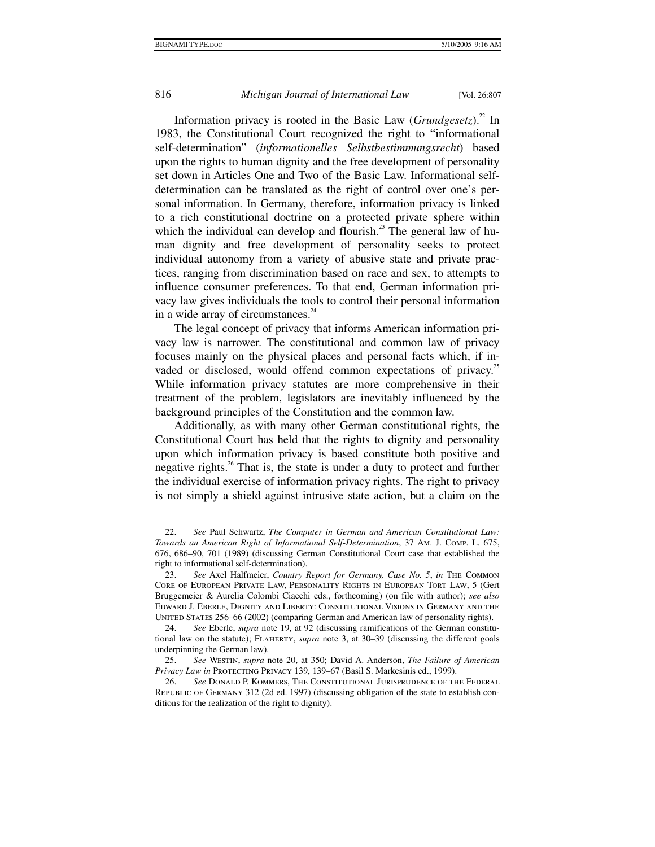$\ddot{\phantom{a}}$ 

### 816 *Michigan Journal of International Law* [Vol. 26:807

Information privacy is rooted in the Basic Law (*Grundgesetz*).<sup>22</sup> In 1983, the Constitutional Court recognized the right to "informational self-determination" (*informationelles Selbstbestimmungsrecht*) based upon the rights to human dignity and the free development of personality set down in Articles One and Two of the Basic Law. Informational selfdetermination can be translated as the right of control over one's personal information. In Germany, therefore, information privacy is linked to a rich constitutional doctrine on a protected private sphere within which the individual can develop and flourish.<sup>23</sup> The general law of human dignity and free development of personality seeks to protect individual autonomy from a variety of abusive state and private practices, ranging from discrimination based on race and sex, to attempts to influence consumer preferences. To that end, German information privacy law gives individuals the tools to control their personal information in a wide array of circumstances. $24$ 

The legal concept of privacy that informs American information privacy law is narrower. The constitutional and common law of privacy focuses mainly on the physical places and personal facts which, if invaded or disclosed, would offend common expectations of privacy.<sup>25</sup> While information privacy statutes are more comprehensive in their treatment of the problem, legislators are inevitably influenced by the background principles of the Constitution and the common law.

Additionally, as with many other German constitutional rights, the Constitutional Court has held that the rights to dignity and personality upon which information privacy is based constitute both positive and negative rights.<sup>26</sup> That is, the state is under a duty to protect and further the individual exercise of information privacy rights. The right to privacy is not simply a shield against intrusive state action, but a claim on the

 <sup>22.</sup> *See* Paul Schwartz, *The Computer in German and American Constitutional Law: Towards an American Right of Informational Self-Determination*, 37 Am. J. Comp. L. 675, 676, 686–90, 701 (1989) (discussing German Constitutional Court case that established the right to informational self-determination).

 <sup>23.</sup> *See* Axel Halfmeier, *Country Report for Germany, Case No. 5*, *in* The Common Core of European Private Law, Personality Rights in European Tort Law, 5 (Gert Bruggemeier & Aurelia Colombi Ciacchi eds., forthcoming) (on file with author); *see also* Edward J. Eberle, Dignity and Liberty: Constitutional Visions in Germany and the UNITED STATES 256–66 (2002) (comparing German and American law of personality rights).

 <sup>24.</sup> *See* Eberle, *supra* note 19, at 92 (discussing ramifications of the German constitutional law on the statute); Flaherty, *supra* note 3, at 30–39 (discussing the different goals underpinning the German law).

 <sup>25.</sup> *See* Westin, *supra* note 20, at 350; David A. Anderson, *The Failure of American Privacy Law in* Protecting Privacy 139, 139–67 (Basil S. Markesinis ed., 1999).

 <sup>26.</sup> *See* Donald P. Kommers, The Constitutional Jurisprudence of the Federal Republic of Germany 312 (2d ed. 1997) (discussing obligation of the state to establish conditions for the realization of the right to dignity).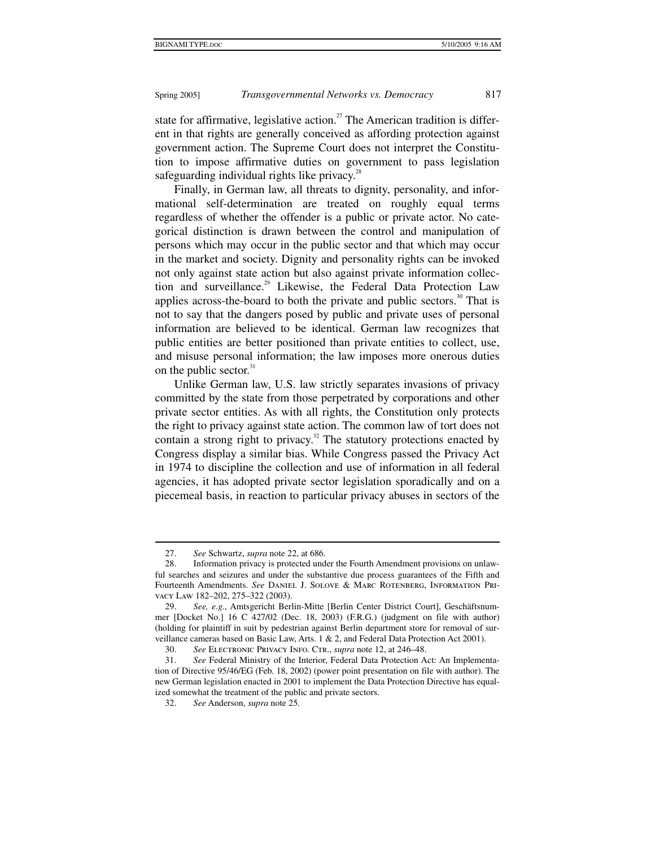state for affirmative, legislative action.<sup>27</sup> The American tradition is different in that rights are generally conceived as affording protection against government action. The Supreme Court does not interpret the Constitution to impose affirmative duties on government to pass legislation safeguarding individual rights like privacy. $^{28}$ 

Finally, in German law, all threats to dignity, personality, and informational self-determination are treated on roughly equal terms regardless of whether the offender is a public or private actor. No categorical distinction is drawn between the control and manipulation of persons which may occur in the public sector and that which may occur in the market and society. Dignity and personality rights can be invoked not only against state action but also against private information collection and surveillance.<sup>29</sup> Likewise, the Federal Data Protection Law applies across-the-board to both the private and public sectors.<sup>30</sup> That is not to say that the dangers posed by public and private uses of personal information are believed to be identical. German law recognizes that public entities are better positioned than private entities to collect, use, and misuse personal information; the law imposes more onerous duties on the public sector.<sup>31</sup>

Unlike German law, U.S. law strictly separates invasions of privacy committed by the state from those perpetrated by corporations and other private sector entities. As with all rights, the Constitution only protects the right to privacy against state action. The common law of tort does not contain a strong right to privacy.<sup>32</sup> The statutory protections enacted by Congress display a similar bias. While Congress passed the Privacy Act in 1974 to discipline the collection and use of information in all federal agencies, it has adopted private sector legislation sporadically and on a piecemeal basis, in reaction to particular privacy abuses in sectors of the

 <sup>27.</sup> *See* Schwartz, *supra* note 22, at 686.

 <sup>28.</sup> Information privacy is protected under the Fourth Amendment provisions on unlawful searches and seizures and under the substantive due process guarantees of the Fifth and Fourteenth Amendments. *See* Daniel J. Solove & Marc Rotenberg, Information Privacy Law 182–202, 275–322 (2003).

 <sup>29.</sup> *See, e.g.*, Amtsgericht Berlin-Mitte [Berlin Center District Court], Geschäftsnummer [Docket No.] 16 C 427/02 (Dec. 18, 2003) (F.R.G.) (judgment on file with author) (holding for plaintiff in suit by pedestrian against Berlin department store for removal of surveillance cameras based on Basic Law, Arts. 1 & 2, and Federal Data Protection Act 2001).

 <sup>30.</sup> *See* Electronic Privacy Info. Ctr., *supra* note 12, at 246–48.

 <sup>31.</sup> *See* Federal Ministry of the Interior, Federal Data Protection Act: An Implementation of Directive 95/46/EG (Feb. 18, 2002) (power point presentation on file with author). The new German legislation enacted in 2001 to implement the Data Protection Directive has equalized somewhat the treatment of the public and private sectors.

 <sup>32.</sup> *See* Anderson, *supra* note 25.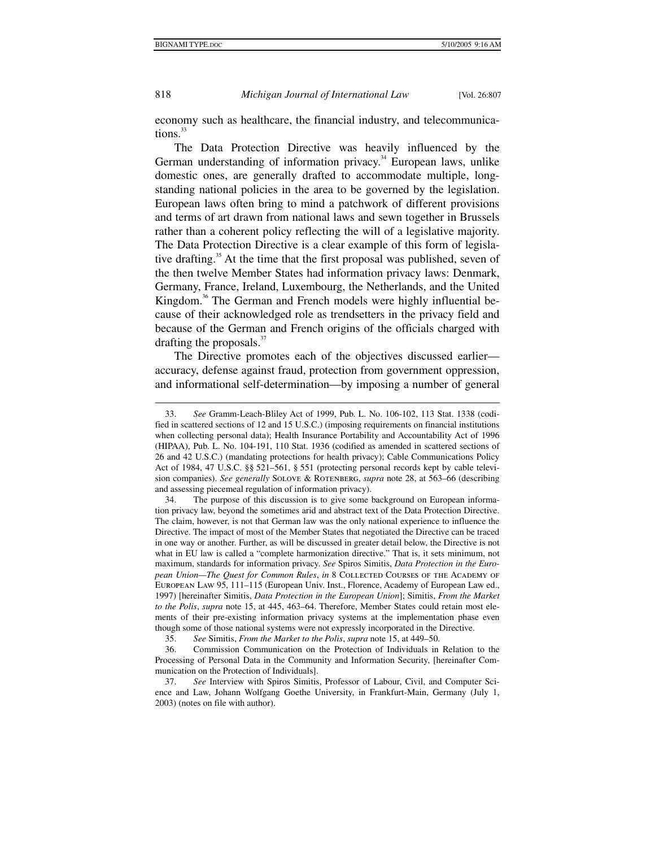1

818 *Michigan Journal of International Law* [Vol. 26:807

economy such as healthcare, the financial industry, and telecommunications.<sup>33</sup>

The Data Protection Directive was heavily influenced by the German understanding of information privacy.<sup>34</sup> European laws, unlike domestic ones, are generally drafted to accommodate multiple, longstanding national policies in the area to be governed by the legislation. European laws often bring to mind a patchwork of different provisions and terms of art drawn from national laws and sewn together in Brussels rather than a coherent policy reflecting the will of a legislative majority. The Data Protection Directive is a clear example of this form of legislative drafting.<sup>35</sup> At the time that the first proposal was published, seven of the then twelve Member States had information privacy laws: Denmark, Germany, France, Ireland, Luxembourg, the Netherlands, and the United Kingdom.<sup>36</sup> The German and French models were highly influential because of their acknowledged role as trendsetters in the privacy field and because of the German and French origins of the officials charged with drafting the proposals.<sup>37</sup>

The Directive promotes each of the objectives discussed earlier accuracy, defense against fraud, protection from government oppression, and informational self-determination—by imposing a number of general

 <sup>33.</sup> *See* Gramm-Leach-Bliley Act of 1999, Pub. L. No. 106-102, 113 Stat. 1338 (codified in scattered sections of 12 and 15 U.S.C.) (imposing requirements on financial institutions when collecting personal data); Health Insurance Portability and Accountability Act of 1996 (HIPAA), Pub. L. No. 104-191, 110 Stat. 1936 (codified as amended in scattered sections of 26 and 42 U.S.C.) (mandating protections for health privacy); Cable Communications Policy Act of 1984, 47 U.S.C. §§ 521–561, § 551 (protecting personal records kept by cable television companies). *See generally* Solove & Rotenberg, *supra* note 28, at 563–66 (describing and assessing piecemeal regulation of information privacy).

 <sup>34.</sup> The purpose of this discussion is to give some background on European information privacy law, beyond the sometimes arid and abstract text of the Data Protection Directive. The claim, however, is not that German law was the only national experience to influence the Directive. The impact of most of the Member States that negotiated the Directive can be traced in one way or another. Further, as will be discussed in greater detail below, the Directive is not what in EU law is called a "complete harmonization directive." That is, it sets minimum, not maximum, standards for information privacy. *See* Spiros Simitis, *Data Protection in the European Union—The Quest for Common Rules*, *in* 8 COLLECTED COURSES OF THE ACADEMY OF European Law 95, 111–115 (European Univ. Inst., Florence, Academy of European Law ed., 1997) [hereinafter Simitis, *Data Protection in the European Union*]; Simitis, *From the Market to the Polis*, *supra* note 15, at 445, 463–64. Therefore, Member States could retain most elements of their pre-existing information privacy systems at the implementation phase even though some of those national systems were not expressly incorporated in the Directive.

 <sup>35.</sup> *See* Simitis, *From the Market to the Polis*, *supra* note 15, at 449–50.

 <sup>36.</sup> Commission Communication on the Protection of Individuals in Relation to the Processing of Personal Data in the Community and Information Security, [hereinafter Communication on the Protection of Individuals].

 <sup>37.</sup> *See* Interview with Spiros Simitis, Professor of Labour, Civil, and Computer Science and Law, Johann Wolfgang Goethe University, in Frankfurt-Main, Germany (July 1, 2003) (notes on file with author).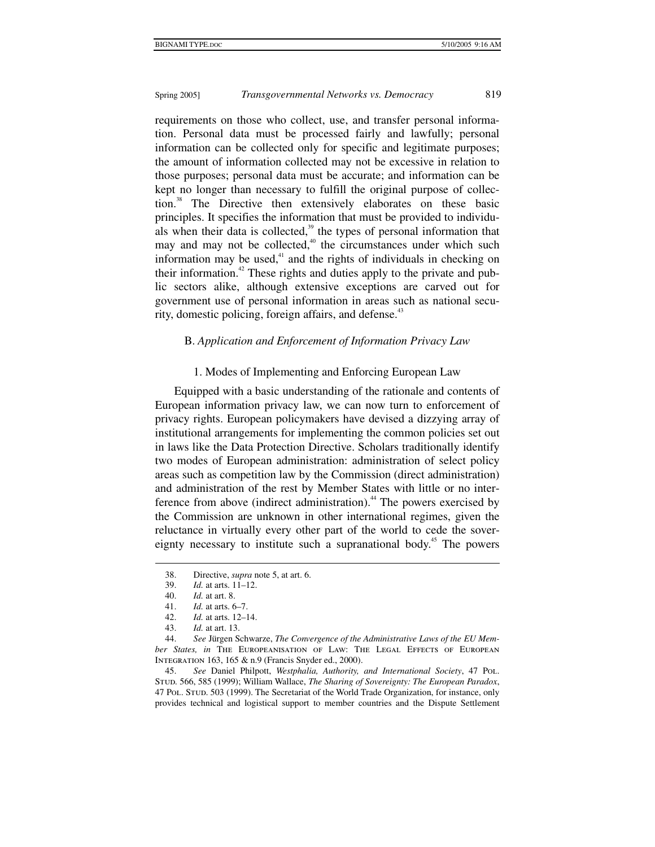requirements on those who collect, use, and transfer personal information. Personal data must be processed fairly and lawfully; personal information can be collected only for specific and legitimate purposes; the amount of information collected may not be excessive in relation to those purposes; personal data must be accurate; and information can be kept no longer than necessary to fulfill the original purpose of collection.<sup>38</sup> The Directive then extensively elaborates on these basic principles. It specifies the information that must be provided to individuals when their data is collected,<sup>39</sup> the types of personal information that may and may not be collected, $40$  the circumstances under which such information may be used, $41$  and the rights of individuals in checking on their information.<sup>42</sup> These rights and duties apply to the private and public sectors alike, although extensive exceptions are carved out for government use of personal information in areas such as national security, domestic policing, foreign affairs, and defense. $43$ 

#### B. *Application and Enforcement of Information Privacy Law*

#### 1. Modes of Implementing and Enforcing European Law

Equipped with a basic understanding of the rationale and contents of European information privacy law, we can now turn to enforcement of privacy rights. European policymakers have devised a dizzying array of institutional arrangements for implementing the common policies set out in laws like the Data Protection Directive. Scholars traditionally identify two modes of European administration: administration of select policy areas such as competition law by the Commission (direct administration) and administration of the rest by Member States with little or no interference from above (indirect administration).<sup>44</sup> The powers exercised by the Commission are unknown in other international regimes, given the reluctance in virtually every other part of the world to cede the sovereignty necessary to institute such a supranational body.<sup>45</sup> The powers

1

 45. *See* Daniel Philpott, *Westphalia, Authority, and International Society*, 47 Pol. Stud. 566, 585 (1999); William Wallace, *The Sharing of Sovereignty: The European Paradox*, 47 Pol. Stud. 503 (1999). The Secretariat of the World Trade Organization, for instance, only provides technical and logistical support to member countries and the Dispute Settlement

 <sup>38.</sup> Directive, *supra* note 5, at art. 6.

 <sup>39.</sup> *Id.* at arts. 11–12.

 <sup>40.</sup> *Id.* at art. 8.

 <sup>41.</sup> *Id.* at arts. 6–7.

 <sup>42.</sup> *Id.* at arts. 12–14.

 <sup>43.</sup> *Id.* at art. 13.

 <sup>44.</sup> *See* Jürgen Schwarze, *The Convergence of the Administrative Laws of the EU Member States, in* The Europeanisation of Law: The Legal Effects of European Integration 163, 165 & n.9 (Francis Snyder ed., 2000).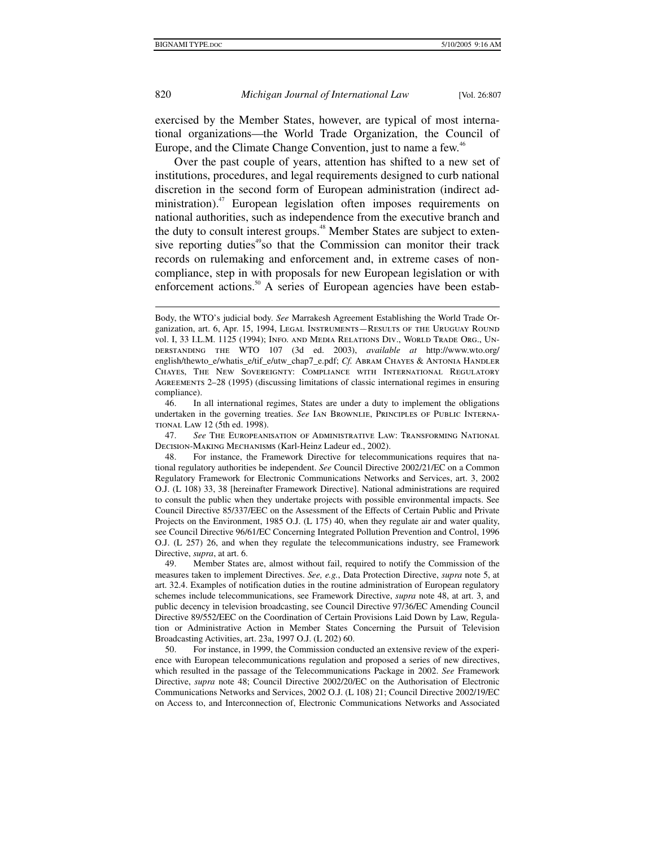1

820 *Michigan Journal of International Law* [Vol. 26:807

exercised by the Member States, however, are typical of most international organizations—the World Trade Organization, the Council of Europe, and the Climate Change Convention, just to name a few.<sup>46</sup>

Over the past couple of years, attention has shifted to a new set of institutions, procedures, and legal requirements designed to curb national discretion in the second form of European administration (indirect administration).<sup>47</sup> European legislation often imposes requirements on national authorities, such as independence from the executive branch and the duty to consult interest groups.<sup>48</sup> Member States are subject to extensive reporting duties<sup>49</sup>so that the Commission can monitor their track records on rulemaking and enforcement and, in extreme cases of noncompliance, step in with proposals for new European legislation or with enforcement actions.<sup>50</sup> A series of European agencies have been estab-

 46. In all international regimes, States are under a duty to implement the obligations undertaken in the governing treaties. *See* Ian Brownlie, Principles of Public International Law 12 (5th ed. 1998).

 47. *See* The Europeanisation of Administrative Law: Transforming National Decision-Making Mechanisms (Karl-Heinz Ladeur ed., 2002).

 48. For instance, the Framework Directive for telecommunications requires that national regulatory authorities be independent. *See* Council Directive 2002/21/EC on a Common Regulatory Framework for Electronic Communications Networks and Services, art. 3, 2002 O.J. (L 108) 33, 38 [hereinafter Framework Directive]. National administrations are required to consult the public when they undertake projects with possible environmental impacts. See Council Directive 85/337/EEC on the Assessment of the Effects of Certain Public and Private Projects on the Environment, 1985 O.J. (L 175) 40, when they regulate air and water quality, see Council Directive 96/61/EC Concerning Integrated Pollution Prevention and Control, 1996 O.J. (L 257) 26, and when they regulate the telecommunications industry, see Framework Directive, *supra*, at art. 6.

 49. Member States are, almost without fail, required to notify the Commission of the measures taken to implement Directives. *See, e.g.*, Data Protection Directive, *supra* note 5, at art. 32.4. Examples of notification duties in the routine administration of European regulatory schemes include telecommunications, see Framework Directive, *supra* note 48, at art. 3, and public decency in television broadcasting, see Council Directive 97/36/EC Amending Council Directive 89/552/EEC on the Coordination of Certain Provisions Laid Down by Law, Regulation or Administrative Action in Member States Concerning the Pursuit of Television Broadcasting Activities, art. 23a, 1997 O.J. (L 202) 60.

 50. For instance, in 1999, the Commission conducted an extensive review of the experience with European telecommunications regulation and proposed a series of new directives, which resulted in the passage of the Telecommunications Package in 2002. *See* Framework Directive, *supra* note 48; Council Directive 2002/20/EC on the Authorisation of Electronic Communications Networks and Services, 2002 O.J. (L 108) 21; Council Directive 2002/19/EC on Access to, and Interconnection of, Electronic Communications Networks and Associated

Body, the WTO's judicial body. *See* Marrakesh Agreement Establishing the World Trade Organization, art. 6, Apr. 15, 1994, Legal Instruments—Results of the Uruguay Round vol. I, 33 I.L.M. 1125 (1994); Info. and Media Relations Div., World Trade Org., Understanding the WTO 107 (3d ed. 2003), *available at* http://www.wto.org/ english/thewto\_e/whatis\_e/tif\_e/utw\_chap7\_e.pdf; Cf. ABRAM CHAYES & ANTONIA HANDLER Chayes, The New Sovereignty: Compliance with International Regulatory Agreements 2–28 (1995) (discussing limitations of classic international regimes in ensuring compliance).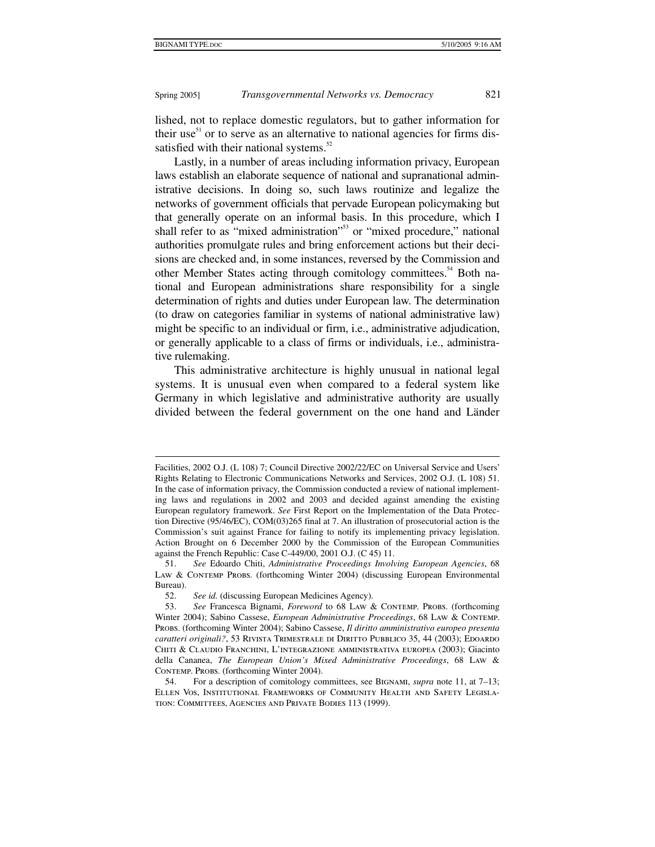$\ddot{\phantom{a}}$ 

#### Spring 2005] *Transgovernmental Networks vs. Democracy* 821

lished, not to replace domestic regulators, but to gather information for their use $51$  or to serve as an alternative to national agencies for firms dissatisfied with their national systems.<sup>52</sup>

Lastly, in a number of areas including information privacy, European laws establish an elaborate sequence of national and supranational administrative decisions. In doing so, such laws routinize and legalize the networks of government officials that pervade European policymaking but that generally operate on an informal basis. In this procedure, which I shall refer to as "mixed administration"<sup>53</sup> or "mixed procedure," national authorities promulgate rules and bring enforcement actions but their decisions are checked and, in some instances, reversed by the Commission and other Member States acting through comitology committees.<sup>54</sup> Both national and European administrations share responsibility for a single determination of rights and duties under European law. The determination (to draw on categories familiar in systems of national administrative law) might be specific to an individual or firm, i.e., administrative adjudication, or generally applicable to a class of firms or individuals, i.e., administrative rulemaking.

This administrative architecture is highly unusual in national legal systems. It is unusual even when compared to a federal system like Germany in which legislative and administrative authority are usually divided between the federal government on the one hand and Länder

Facilities, 2002 O.J. (L 108) 7; Council Directive 2002/22/EC on Universal Service and Users' Rights Relating to Electronic Communications Networks and Services, 2002 O.J. (L 108) 51. In the case of information privacy, the Commission conducted a review of national implementing laws and regulations in 2002 and 2003 and decided against amending the existing European regulatory framework. *See* First Report on the Implementation of the Data Protection Directive (95/46/EC), COM(03)265 final at 7. An illustration of prosecutorial action is the Commission's suit against France for failing to notify its implementing privacy legislation. Action Brought on 6 December 2000 by the Commission of the European Communities against the French Republic: Case C-449/00, 2001 O.J. (C 45) 11.

 <sup>51.</sup> *See* Edoardo Chiti, *Administrative Proceedings Involving European Agencies*, 68 LAW & CONTEMP PROBS. (forthcoming Winter 2004) (discussing European Environmental Bureau).

 <sup>52.</sup> *See id.* (discussing European Medicines Agency).

<sup>53.</sup> See Francesca Bignami, *Foreword* to 68 LAW & CONTEMP. PROBS. (forthcoming Winter 2004); Sabino Cassese, *European Administrative Proceedings*, 68 Law & Contemp. Probs. (forthcoming Winter 2004); Sabino Cassese, *Il diritto amministrativo europeo presenta*  caratteri originali?, 53 RIVISTA TRIMESTRALE DI DIRITTO PUBBLICO 35, 44 (2003); EDOARDO Chiti & Claudio Franchini, L'integrazione amministrativa europea (2003); Giacinto della Cananea, *The European Union's Mixed Administrative Proceedings*, 68 Law & CONTEMP. PROBS. (forthcoming Winter 2004).

 <sup>54.</sup> For a description of comitology committees, see Bignami, *supra* note 11, at 7–13; Ellen Vos, Institutional Frameworks of Community Health and Safety Legislation: Committees, Agencies and Private Bodies 113 (1999).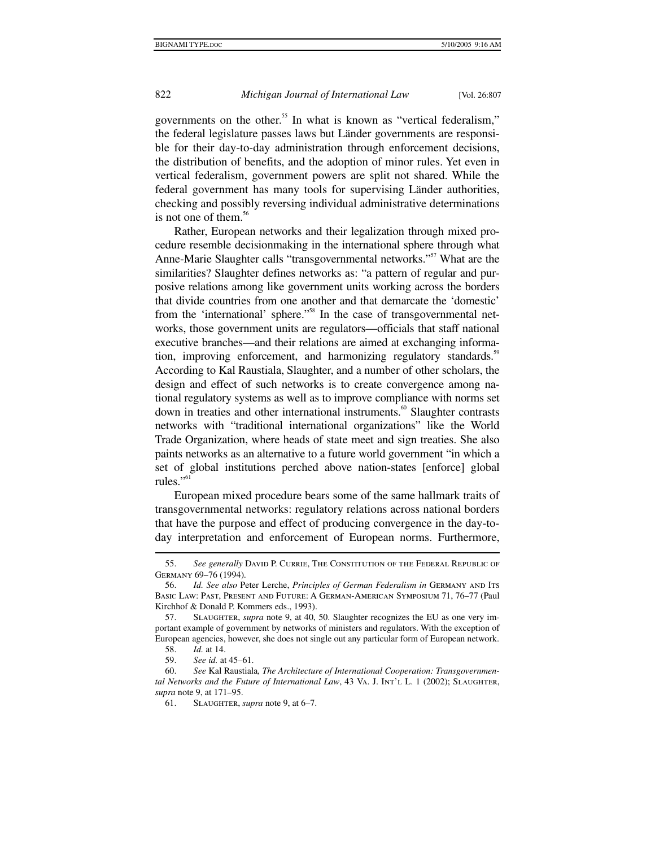governments on the other.<sup>55</sup> In what is known as "vertical federalism," the federal legislature passes laws but Länder governments are responsible for their day-to-day administration through enforcement decisions, the distribution of benefits, and the adoption of minor rules. Yet even in vertical federalism, government powers are split not shared. While the federal government has many tools for supervising Länder authorities, checking and possibly reversing individual administrative determinations is not one of them.<sup>56</sup>

Rather, European networks and their legalization through mixed procedure resemble decisionmaking in the international sphere through what Anne-Marie Slaughter calls "transgovernmental networks."<sup>57</sup> What are the similarities? Slaughter defines networks as: "a pattern of regular and purposive relations among like government units working across the borders that divide countries from one another and that demarcate the 'domestic' from the 'international' sphere."<sup>58</sup> In the case of transgovernmental networks, those government units are regulators—officials that staff national executive branches—and their relations are aimed at exchanging information, improving enforcement, and harmonizing regulatory standards.<sup>59</sup> According to Kal Raustiala, Slaughter, and a number of other scholars, the design and effect of such networks is to create convergence among national regulatory systems as well as to improve compliance with norms set down in treaties and other international instruments.<sup>60</sup> Slaughter contrasts networks with "traditional international organizations" like the World Trade Organization, where heads of state meet and sign treaties. She also paints networks as an alternative to a future world government "in which a set of global institutions perched above nation-states [enforce] global rules." $\frac{1}{10}$ 

European mixed procedure bears some of the same hallmark traits of transgovernmental networks: regulatory relations across national borders that have the purpose and effect of producing convergence in the day-today interpretation and enforcement of European norms. Furthermore,

 <sup>55.</sup> *See generally* David P. Currie, The Constitution of the Federal Republic of Germany 69–76 (1994).

 <sup>56.</sup> *Id. See also* Peter Lerche, *Principles of German Federalism in* Germany and Its Basic Law: Past, Present and Future: A German-American Symposium 71, 76–77 (Paul Kirchhof & Donald P. Kommers eds., 1993).

 <sup>57.</sup> Slaughter, *supra* note 9, at 40, 50. Slaughter recognizes the EU as one very important example of government by networks of ministers and regulators. With the exception of European agencies, however, she does not single out any particular form of European network.

 <sup>58.</sup> *Id.* at 14.

 <sup>59.</sup> *See id.* at 45–61.

 <sup>60.</sup> *See* Kal Raustiala*, The Architecture of International Cooperation: Transgovernmental Networks and the Future of International Law*, 43 VA. J. INT'L L. 1 (2002); SLAUGHTER, *supra* note 9, at 171–95.

 <sup>61.</sup> Slaughter, *supra* note 9, at 6–7.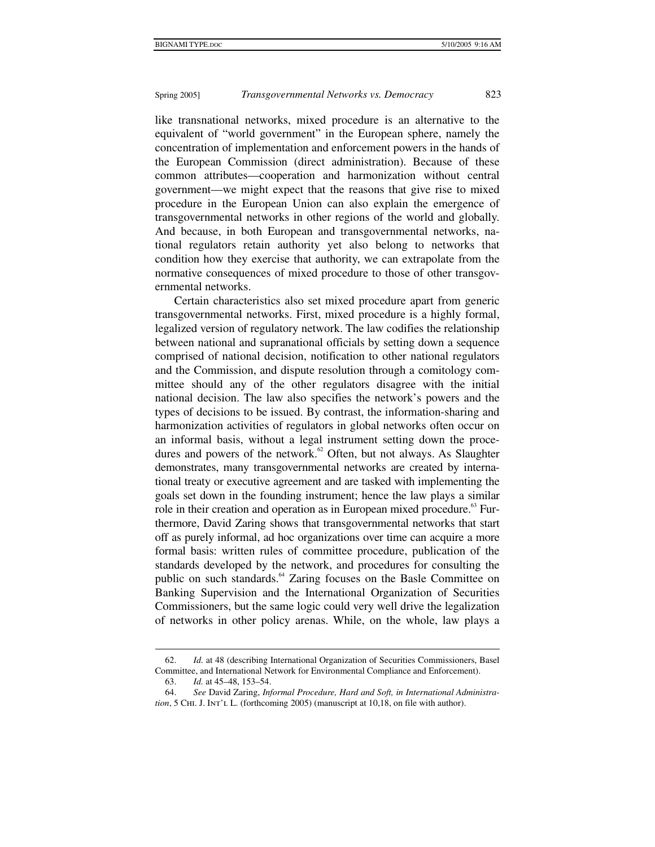like transnational networks, mixed procedure is an alternative to the equivalent of "world government" in the European sphere, namely the concentration of implementation and enforcement powers in the hands of the European Commission (direct administration). Because of these common attributes—cooperation and harmonization without central government—we might expect that the reasons that give rise to mixed procedure in the European Union can also explain the emergence of transgovernmental networks in other regions of the world and globally. And because, in both European and transgovernmental networks, national regulators retain authority yet also belong to networks that condition how they exercise that authority, we can extrapolate from the normative consequences of mixed procedure to those of other transgovernmental networks.

Certain characteristics also set mixed procedure apart from generic transgovernmental networks. First, mixed procedure is a highly formal, legalized version of regulatory network. The law codifies the relationship between national and supranational officials by setting down a sequence comprised of national decision, notification to other national regulators and the Commission, and dispute resolution through a comitology committee should any of the other regulators disagree with the initial national decision. The law also specifies the network's powers and the types of decisions to be issued. By contrast, the information-sharing and harmonization activities of regulators in global networks often occur on an informal basis, without a legal instrument setting down the procedures and powers of the network. $62$  Often, but not always. As Slaughter demonstrates, many transgovernmental networks are created by international treaty or executive agreement and are tasked with implementing the goals set down in the founding instrument; hence the law plays a similar role in their creation and operation as in European mixed procedure.<sup>63</sup> Furthermore, David Zaring shows that transgovernmental networks that start off as purely informal, ad hoc organizations over time can acquire a more formal basis: written rules of committee procedure, publication of the standards developed by the network, and procedures for consulting the public on such standards.<sup>64</sup> Zaring focuses on the Basle Committee on Banking Supervision and the International Organization of Securities Commissioners, but the same logic could very well drive the legalization of networks in other policy arenas. While, on the whole, law plays a

 <sup>62.</sup> *Id.* at 48 (describing International Organization of Securities Commissioners, Basel Committee, and International Network for Environmental Compliance and Enforcement).

 <sup>63.</sup> *Id.* at 45–48, 153–54.

 <sup>64.</sup> *See* David Zaring, *Informal Procedure, Hard and Soft, in International Administration*, 5 CHI. J. INT'L L. (forthcoming 2005) (manuscript at 10,18, on file with author).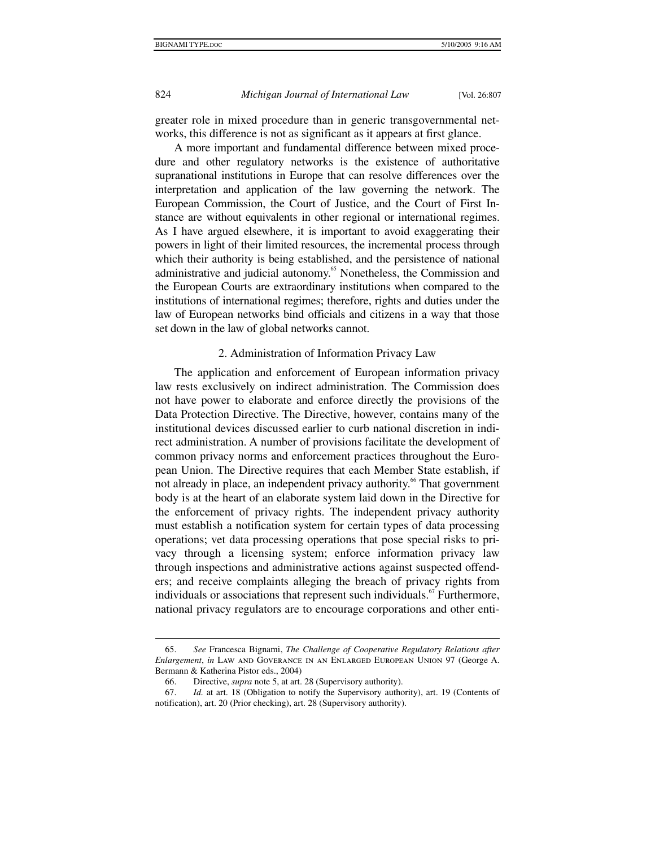greater role in mixed procedure than in generic transgovernmental networks, this difference is not as significant as it appears at first glance.

A more important and fundamental difference between mixed procedure and other regulatory networks is the existence of authoritative supranational institutions in Europe that can resolve differences over the interpretation and application of the law governing the network. The European Commission, the Court of Justice, and the Court of First Instance are without equivalents in other regional or international regimes. As I have argued elsewhere, it is important to avoid exaggerating their powers in light of their limited resources, the incremental process through which their authority is being established, and the persistence of national administrative and judicial autonomy.<sup>65</sup> Nonetheless, the Commission and the European Courts are extraordinary institutions when compared to the institutions of international regimes; therefore, rights and duties under the law of European networks bind officials and citizens in a way that those set down in the law of global networks cannot.

#### 2. Administration of Information Privacy Law

The application and enforcement of European information privacy law rests exclusively on indirect administration. The Commission does not have power to elaborate and enforce directly the provisions of the Data Protection Directive. The Directive, however, contains many of the institutional devices discussed earlier to curb national discretion in indirect administration. A number of provisions facilitate the development of common privacy norms and enforcement practices throughout the European Union. The Directive requires that each Member State establish, if not already in place, an independent privacy authority.<sup>66</sup> That government body is at the heart of an elaborate system laid down in the Directive for the enforcement of privacy rights. The independent privacy authority must establish a notification system for certain types of data processing operations; vet data processing operations that pose special risks to privacy through a licensing system; enforce information privacy law through inspections and administrative actions against suspected offenders; and receive complaints alleging the breach of privacy rights from individuals or associations that represent such individuals.<sup>67</sup> Furthermore, national privacy regulators are to encourage corporations and other enti-

 <sup>65.</sup> *See* Francesca Bignami, *The Challenge of Cooperative Regulatory Relations after Enlargement*, *in* Law and Goverance in an Enlarged European Union 97 (George A. Bermann & Katherina Pistor eds., 2004)

 <sup>66.</sup> Directive, *supra* note 5, at art. 28 (Supervisory authority).

 <sup>67.</sup> *Id.* at art. 18 (Obligation to notify the Supervisory authority), art. 19 (Contents of notification), art. 20 (Prior checking), art. 28 (Supervisory authority).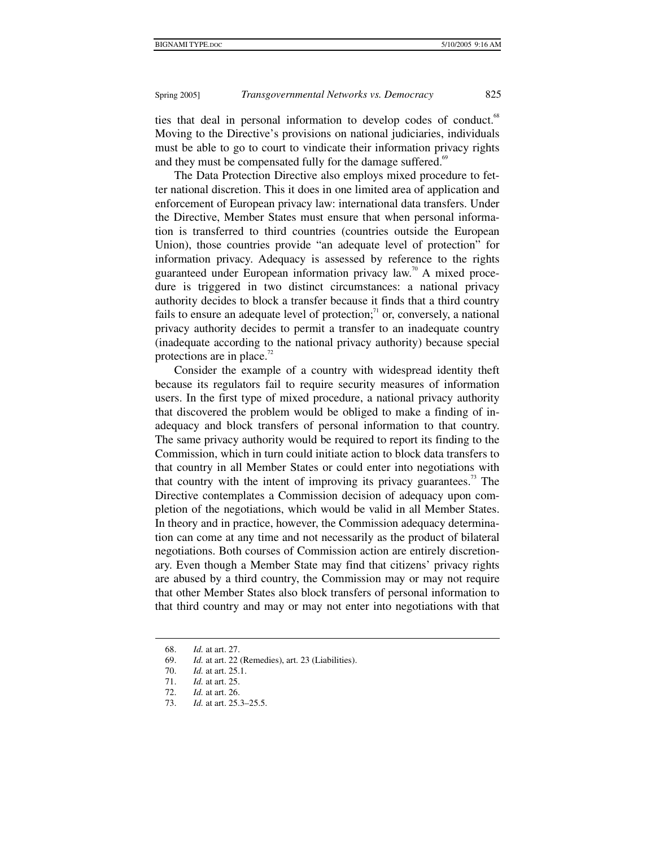ties that deal in personal information to develop codes of conduct.<sup>68</sup> Moving to the Directive's provisions on national judiciaries, individuals must be able to go to court to vindicate their information privacy rights and they must be compensated fully for the damage suffered.<sup>69</sup>

The Data Protection Directive also employs mixed procedure to fetter national discretion. This it does in one limited area of application and enforcement of European privacy law: international data transfers. Under the Directive, Member States must ensure that when personal information is transferred to third countries (countries outside the European Union), those countries provide "an adequate level of protection" for information privacy. Adequacy is assessed by reference to the rights guaranteed under European information privacy  $law^{\pi}$ <sup>0</sup> A mixed procedure is triggered in two distinct circumstances: a national privacy authority decides to block a transfer because it finds that a third country fails to ensure an adequate level of protection; $^{\prime\prime}$  or, conversely, a national privacy authority decides to permit a transfer to an inadequate country (inadequate according to the national privacy authority) because special protections are in place.<sup>72</sup>

Consider the example of a country with widespread identity theft because its regulators fail to require security measures of information users. In the first type of mixed procedure, a national privacy authority that discovered the problem would be obliged to make a finding of inadequacy and block transfers of personal information to that country. The same privacy authority would be required to report its finding to the Commission, which in turn could initiate action to block data transfers to that country in all Member States or could enter into negotiations with that country with the intent of improving its privacy guarantees.<sup>73</sup> The Directive contemplates a Commission decision of adequacy upon completion of the negotiations, which would be valid in all Member States. In theory and in practice, however, the Commission adequacy determination can come at any time and not necessarily as the product of bilateral negotiations. Both courses of Commission action are entirely discretionary. Even though a Member State may find that citizens' privacy rights are abused by a third country, the Commission may or may not require that other Member States also block transfers of personal information to that third country and may or may not enter into negotiations with that

 <sup>68.</sup> *Id.* at art. 27.

 <sup>69.</sup> *Id.* at art. 22 (Remedies), art. 23 (Liabilities).

<sup>70.</sup> *Id.* at art. 25.1.<br>71. *Id.* at art. 25.

 <sup>71.</sup> *Id.* at art. 25.

 <sup>72.</sup> *Id.* at art. 26.

 <sup>73.</sup> *Id.* at art. 25.3–25.5.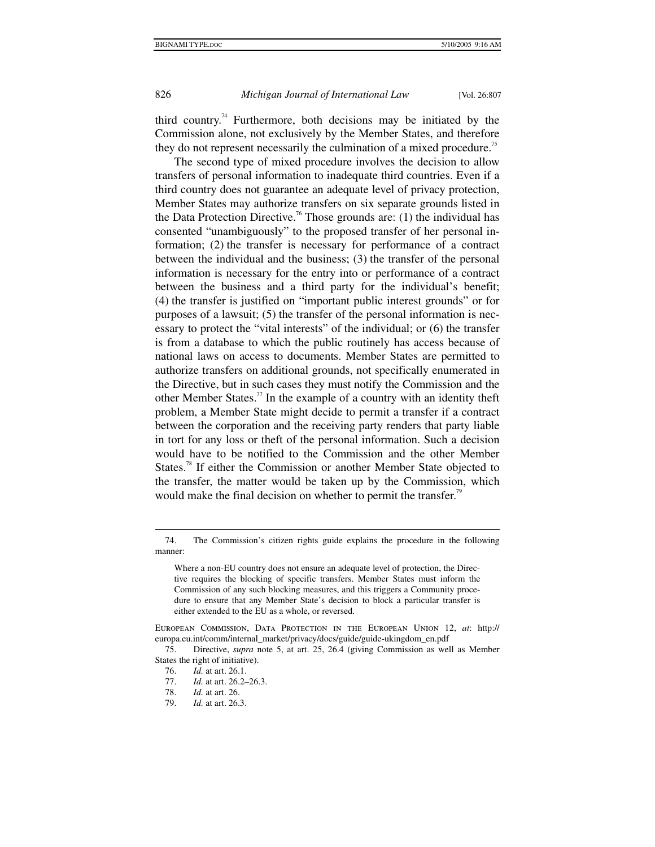third country.<sup>74</sup> Furthermore, both decisions may be initiated by the Commission alone, not exclusively by the Member States, and therefore they do not represent necessarily the culmination of a mixed procedure.<sup>75</sup>

The second type of mixed procedure involves the decision to allow transfers of personal information to inadequate third countries. Even if a third country does not guarantee an adequate level of privacy protection, Member States may authorize transfers on six separate grounds listed in the Data Protection Directive.<sup>76</sup> Those grounds are: (1) the individual has consented "unambiguously" to the proposed transfer of her personal information; (2) the transfer is necessary for performance of a contract between the individual and the business; (3) the transfer of the personal information is necessary for the entry into or performance of a contract between the business and a third party for the individual's benefit; (4) the transfer is justified on "important public interest grounds" or for purposes of a lawsuit; (5) the transfer of the personal information is necessary to protect the "vital interests" of the individual; or (6) the transfer is from a database to which the public routinely has access because of national laws on access to documents. Member States are permitted to authorize transfers on additional grounds, not specifically enumerated in the Directive, but in such cases they must notify the Commission and the other Member States.<sup>77</sup> In the example of a country with an identity theft problem, a Member State might decide to permit a transfer if a contract between the corporation and the receiving party renders that party liable in tort for any loss or theft of the personal information. Such a decision would have to be notified to the Commission and the other Member States.<sup>78</sup> If either the Commission or another Member State objected to the transfer, the matter would be taken up by the Commission, which would make the final decision on whether to permit the transfer.<sup>79</sup>

 <sup>74.</sup> The Commission's citizen rights guide explains the procedure in the following manner:

Where a non-EU country does not ensure an adequate level of protection, the Directive requires the blocking of specific transfers. Member States must inform the Commission of any such blocking measures, and this triggers a Community procedure to ensure that any Member State's decision to block a particular transfer is either extended to the EU as a whole, or reversed.

European Commission, Data Protection in the European Union 12, *at*: http:// europa.eu.int/comm/internal\_market/privacy/docs/guide/guide-ukingdom\_en.pdf

 <sup>75.</sup> Directive, *supra* note 5, at art. 25, 26.4 (giving Commission as well as Member States the right of initiative).

 <sup>76.</sup> *Id.* at art. 26.1.

*Id.* at art. 26.2–26.3.

 <sup>78.</sup> *Id.* at art. 26.

 <sup>79.</sup> *Id.* at art. 26.3.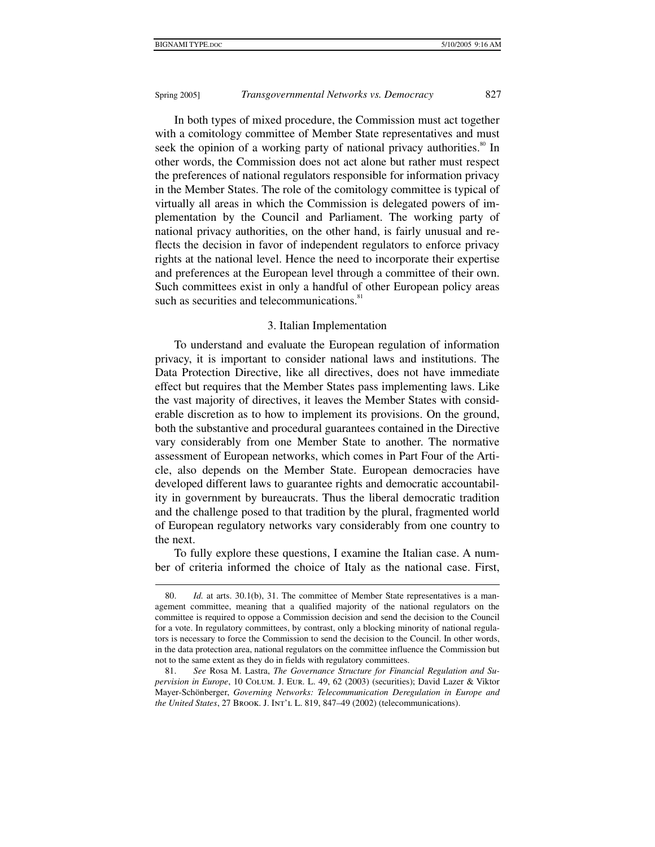$\ddot{\phantom{a}}$ 

# Spring 2005] *Transgovernmental Networks vs. Democracy* 827

In both types of mixed procedure, the Commission must act together with a comitology committee of Member State representatives and must seek the opinion of a working party of national privacy authorities.<sup>80</sup> In other words, the Commission does not act alone but rather must respect the preferences of national regulators responsible for information privacy in the Member States. The role of the comitology committee is typical of virtually all areas in which the Commission is delegated powers of implementation by the Council and Parliament. The working party of national privacy authorities, on the other hand, is fairly unusual and reflects the decision in favor of independent regulators to enforce privacy rights at the national level. Hence the need to incorporate their expertise and preferences at the European level through a committee of their own. Such committees exist in only a handful of other European policy areas such as securities and telecommunications.<sup>81</sup>

#### 3. Italian Implementation

To understand and evaluate the European regulation of information privacy, it is important to consider national laws and institutions. The Data Protection Directive, like all directives, does not have immediate effect but requires that the Member States pass implementing laws. Like the vast majority of directives, it leaves the Member States with considerable discretion as to how to implement its provisions. On the ground, both the substantive and procedural guarantees contained in the Directive vary considerably from one Member State to another. The normative assessment of European networks, which comes in Part Four of the Article, also depends on the Member State. European democracies have developed different laws to guarantee rights and democratic accountability in government by bureaucrats. Thus the liberal democratic tradition and the challenge posed to that tradition by the plural, fragmented world of European regulatory networks vary considerably from one country to the next.

To fully explore these questions, I examine the Italian case. A number of criteria informed the choice of Italy as the national case. First,

<sup>80.</sup> *Id.* at arts. 30.1(b), 31. The committee of Member State representatives is a management committee, meaning that a qualified majority of the national regulators on the committee is required to oppose a Commission decision and send the decision to the Council for a vote. In regulatory committees, by contrast, only a blocking minority of national regulators is necessary to force the Commission to send the decision to the Council. In other words, in the data protection area, national regulators on the committee influence the Commission but not to the same extent as they do in fields with regulatory committees.

 <sup>81.</sup> *See* Rosa M. Lastra, *The Governance Structure for Financial Regulation and Supervision in Europe*, 10 Colum. J. Eur. L. 49, 62 (2003) (securities); David Lazer & Viktor Mayer-Schönberger, *Governing Networks: Telecommunication Deregulation in Europe and the United States*, 27 BROOK. J. INT'L L. 819, 847–49 (2002) (telecommunications).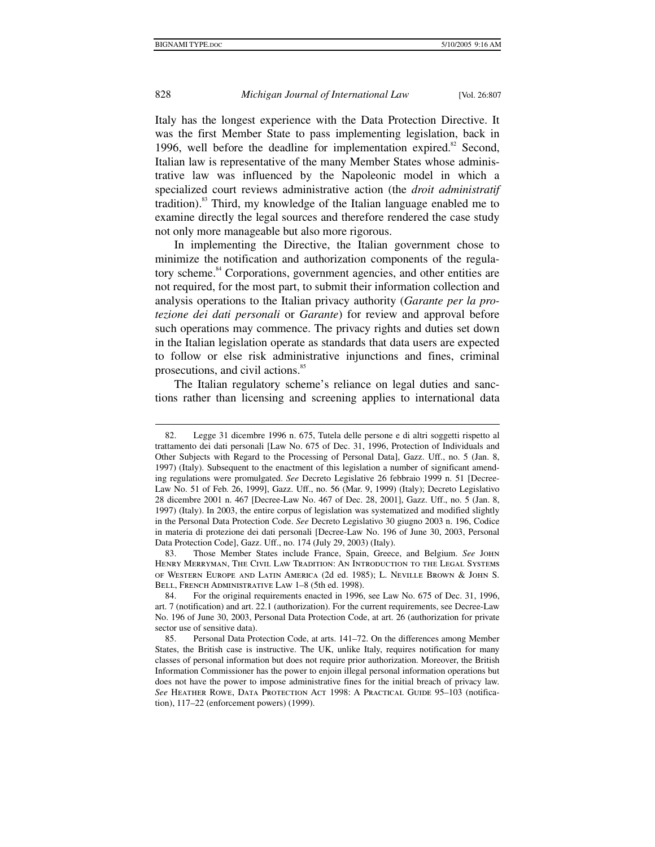$\ddot{\phantom{a}}$ 

# 828 *Michigan Journal of International Law* [Vol. 26:807

Italy has the longest experience with the Data Protection Directive. It was the first Member State to pass implementing legislation, back in 1996, well before the deadline for implementation expired. $82$  Second, Italian law is representative of the many Member States whose administrative law was influenced by the Napoleonic model in which a specialized court reviews administrative action (the *droit administratif* tradition).<sup>83</sup> Third, my knowledge of the Italian language enabled me to examine directly the legal sources and therefore rendered the case study not only more manageable but also more rigorous.

In implementing the Directive, the Italian government chose to minimize the notification and authorization components of the regulatory scheme.<sup>84</sup> Corporations, government agencies, and other entities are not required, for the most part, to submit their information collection and analysis operations to the Italian privacy authority (*Garante per la protezione dei dati personali* or *Garante*) for review and approval before such operations may commence. The privacy rights and duties set down in the Italian legislation operate as standards that data users are expected to follow or else risk administrative injunctions and fines, criminal prosecutions, and civil actions.<sup>85</sup>

The Italian regulatory scheme's reliance on legal duties and sanctions rather than licensing and screening applies to international data

 <sup>82.</sup> Legge 31 dicembre 1996 n. 675, Tutela delle persone e di altri soggetti rispetto al trattamento dei dati personali [Law No. 675 of Dec. 31, 1996, Protection of Individuals and Other Subjects with Regard to the Processing of Personal Data], Gazz. Uff., no. 5 (Jan. 8, 1997) (Italy). Subsequent to the enactment of this legislation a number of significant amending regulations were promulgated. *See* Decreto Legislative 26 febbraio 1999 n. 51 [Decree-Law No. 51 of Feb. 26, 1999], Gazz. Uff., no. 56 (Mar. 9, 1999) (Italy); Decreto Legislativo 28 dicembre 2001 n. 467 [Decree-Law No. 467 of Dec. 28, 2001], Gazz. Uff., no. 5 (Jan. 8, 1997) (Italy). In 2003, the entire corpus of legislation was systematized and modified slightly in the Personal Data Protection Code. *See* Decreto Legislativo 30 giugno 2003 n. 196, Codice in materia di protezione dei dati personali [Decree-Law No. 196 of June 30, 2003, Personal Data Protection Code], Gazz. Uff., no. 174 (July 29, 2003) (Italy).

 <sup>83.</sup> Those Member States include France, Spain, Greece, and Belgium. *See* John Henry Merryman, The Civil Law Tradition: An Introduction to the Legal Systems of Western Europe and Latin America (2d ed. 1985); L. Neville Brown & John S. BELL, FRENCH ADMINISTRATIVE LAW 1-8 (5th ed. 1998).

 <sup>84.</sup> For the original requirements enacted in 1996, see Law No. 675 of Dec. 31, 1996, art. 7 (notification) and art. 22.1 (authorization). For the current requirements, see Decree-Law No. 196 of June 30, 2003, Personal Data Protection Code, at art. 26 (authorization for private sector use of sensitive data).

 <sup>85.</sup> Personal Data Protection Code, at arts. 141–72. On the differences among Member States, the British case is instructive. The UK, unlike Italy, requires notification for many classes of personal information but does not require prior authorization. Moreover, the British Information Commissioner has the power to enjoin illegal personal information operations but does not have the power to impose administrative fines for the initial breach of privacy law. See HEATHER ROWE, DATA PROTECTION ACT 1998: A PRACTICAL GUIDE 95-103 (notification), 117–22 (enforcement powers) (1999).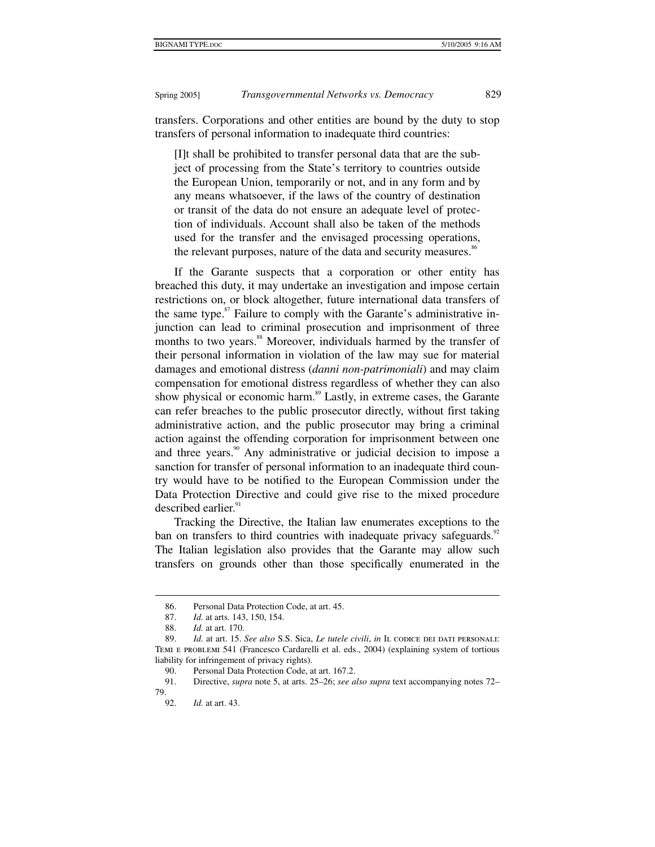transfers. Corporations and other entities are bound by the duty to stop transfers of personal information to inadequate third countries:

[I]t shall be prohibited to transfer personal data that are the subject of processing from the State's territory to countries outside the European Union, temporarily or not, and in any form and by any means whatsoever, if the laws of the country of destination or transit of the data do not ensure an adequate level of protection of individuals. Account shall also be taken of the methods used for the transfer and the envisaged processing operations, the relevant purposes, nature of the data and security measures.<sup>86</sup>

If the Garante suspects that a corporation or other entity has breached this duty, it may undertake an investigation and impose certain restrictions on, or block altogether, future international data transfers of the same type. $87$  Failure to comply with the Garante's administrative injunction can lead to criminal prosecution and imprisonment of three months to two years.<sup>88</sup> Moreover, individuals harmed by the transfer of their personal information in violation of the law may sue for material damages and emotional distress (*danni non-patrimoniali*) and may claim compensation for emotional distress regardless of whether they can also show physical or economic harm.<sup>89</sup> Lastly, in extreme cases, the Garante can refer breaches to the public prosecutor directly, without first taking administrative action, and the public prosecutor may bring a criminal action against the offending corporation for imprisonment between one and three years. $90$  Any administrative or judicial decision to impose a sanction for transfer of personal information to an inadequate third country would have to be notified to the European Commission under the Data Protection Directive and could give rise to the mixed procedure described earlier. $91$ 

Tracking the Directive, the Italian law enumerates exceptions to the ban on transfers to third countries with inadequate privacy safeguards.<sup>92</sup> The Italian legislation also provides that the Garante may allow such transfers on grounds other than those specifically enumerated in the

 <sup>86.</sup> Personal Data Protection Code, at art. 45.

 <sup>87.</sup> *Id.* at arts. 143, 150, 154.

 <sup>88.</sup> *Id.* at art. 170.

 <sup>89.</sup> *Id.* at art. 15. *See also* S.S. Sica, *Le tutele civili*, *in* Il codice dei dati personali: Temi e problemi 541 (Francesco Cardarelli et al. eds., 2004) (explaining system of tortious liability for infringement of privacy rights).

<sup>90.</sup> Personal Data Protection Code, at art. 167.2.<br>91. Directive. *supra* note 5. at arts. 25–26: *see a* 

 <sup>91.</sup> Directive, *supra* note 5, at arts. 25–26; *see also supra* text accompanying notes 72– 79.

 <sup>92.</sup> *Id.* at art. 43.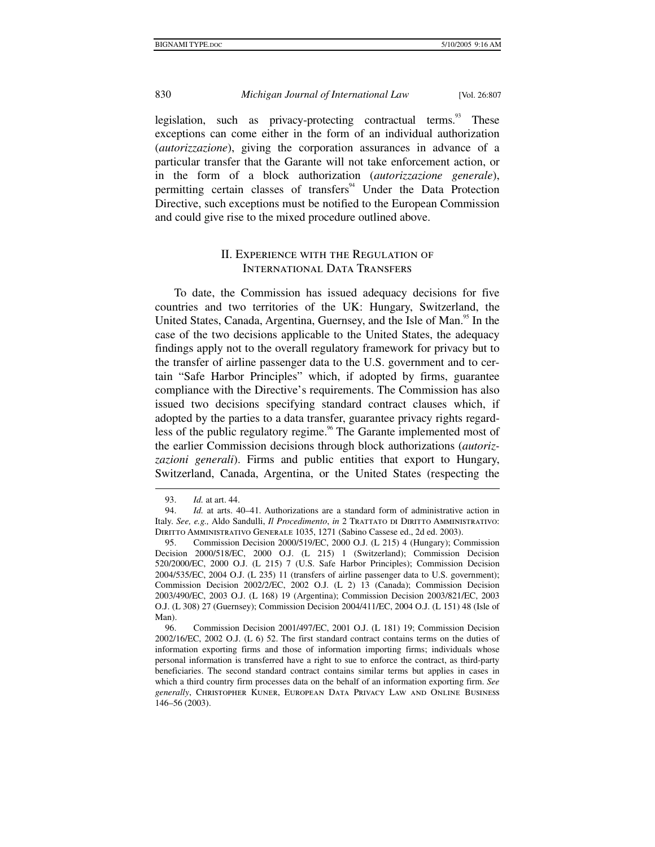legislation, such as privacy-protecting contractual terms.<sup>93</sup> These exceptions can come either in the form of an individual authorization (*autorizzazione*), giving the corporation assurances in advance of a particular transfer that the Garante will not take enforcement action, or in the form of a block authorization (*autorizzazione generale*), permitting certain classes of transfers<sup>94</sup> Under the Data Protection Directive, such exceptions must be notified to the European Commission and could give rise to the mixed procedure outlined above.

# II. Experience with the Regulation of International Data Transfers

To date, the Commission has issued adequacy decisions for five countries and two territories of the UK: Hungary, Switzerland, the United States, Canada, Argentina, Guernsey, and the Isle of Man.<sup>95</sup> In the case of the two decisions applicable to the United States, the adequacy findings apply not to the overall regulatory framework for privacy but to the transfer of airline passenger data to the U.S. government and to certain "Safe Harbor Principles" which, if adopted by firms, guarantee compliance with the Directive's requirements. The Commission has also issued two decisions specifying standard contract clauses which, if adopted by the parties to a data transfer, guarantee privacy rights regardless of the public regulatory regime.<sup>96</sup> The Garante implemented most of the earlier Commission decisions through block authorizations (*autorizzazioni generali*). Firms and public entities that export to Hungary, Switzerland, Canada, Argentina, or the United States (respecting the

 <sup>93.</sup> *Id.* at art. 44.

 <sup>94.</sup> *Id.* at arts. 40–41. Authorizations are a standard form of administrative action in Italy. *See, e.g., Aldo Sandulli, <i>Il Procedimento*, *in* 2 TRATTATO DI DIRITTO AMMINISTRATIVO: Diritto Amministrativo Generale 1035, 1271 (Sabino Cassese ed., 2d ed. 2003).

 <sup>95.</sup> Commission Decision 2000/519/EC, 2000 O.J. (L 215) 4 (Hungary); Commission Decision 2000/518/EC, 2000 O.J. (L 215) 1 (Switzerland); Commission Decision 520/2000/EC, 2000 O.J. (L 215) 7 (U.S. Safe Harbor Principles); Commission Decision 2004/535/EC, 2004 O.J. (L 235) 11 (transfers of airline passenger data to U.S. government); Commission Decision 2002/2/EC, 2002 O.J. (L 2) 13 (Canada); Commission Decision 2003/490/EC, 2003 O.J. (L 168) 19 (Argentina); Commission Decision 2003/821/EC, 2003 O.J. (L 308) 27 (Guernsey); Commission Decision 2004/411/EC, 2004 O.J. (L 151) 48 (Isle of Man).

 <sup>96.</sup> Commission Decision 2001/497/EC, 2001 O.J. (L 181) 19; Commission Decision 2002/16/EC, 2002 O.J. (L 6) 52. The first standard contract contains terms on the duties of information exporting firms and those of information importing firms; individuals whose personal information is transferred have a right to sue to enforce the contract, as third-party beneficiaries. The second standard contract contains similar terms but applies in cases in which a third country firm processes data on the behalf of an information exporting firm. *See generally*, Christopher Kuner, European Data Privacy Law and Online Business 146–56 (2003).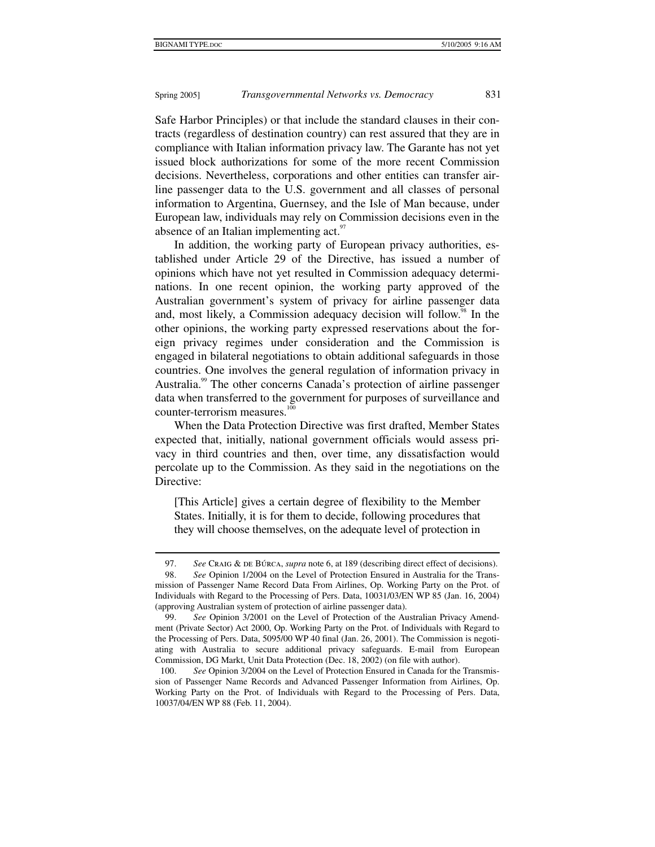$\ddot{\phantom{a}}$ 

# Spring 2005] *Transgovernmental Networks vs. Democracy* 831

Safe Harbor Principles) or that include the standard clauses in their contracts (regardless of destination country) can rest assured that they are in compliance with Italian information privacy law. The Garante has not yet issued block authorizations for some of the more recent Commission decisions. Nevertheless, corporations and other entities can transfer airline passenger data to the U.S. government and all classes of personal information to Argentina, Guernsey, and the Isle of Man because, under European law, individuals may rely on Commission decisions even in the absence of an Italian implementing act.<sup>97</sup>

In addition, the working party of European privacy authorities, established under Article 29 of the Directive, has issued a number of opinions which have not yet resulted in Commission adequacy determinations. In one recent opinion, the working party approved of the Australian government's system of privacy for airline passenger data and, most likely, a Commission adequacy decision will follow.<sup>98</sup> In the other opinions, the working party expressed reservations about the foreign privacy regimes under consideration and the Commission is engaged in bilateral negotiations to obtain additional safeguards in those countries. One involves the general regulation of information privacy in Australia.<sup>99</sup> The other concerns Canada's protection of airline passenger data when transferred to the government for purposes of surveillance and counter-terrorism measures.<sup>100</sup>

When the Data Protection Directive was first drafted, Member States expected that, initially, national government officials would assess privacy in third countries and then, over time, any dissatisfaction would percolate up to the Commission. As they said in the negotiations on the Directive:

[This Article] gives a certain degree of flexibility to the Member States. Initially, it is for them to decide, following procedures that they will choose themselves, on the adequate level of protection in

<sup>97.</sup> *See* CRAIG & DE BÚRCA, *supra* note 6, at 189 (describing direct effect of decisions).

 <sup>98.</sup> *See* Opinion 1/2004 on the Level of Protection Ensured in Australia for the Transmission of Passenger Name Record Data From Airlines, Op. Working Party on the Prot. of Individuals with Regard to the Processing of Pers. Data, 10031/03/EN WP 85 (Jan. 16, 2004) (approving Australian system of protection of airline passenger data).

 <sup>99.</sup> *See* Opinion 3/2001 on the Level of Protection of the Australian Privacy Amendment (Private Sector) Act 2000, Op. Working Party on the Prot. of Individuals with Regard to the Processing of Pers. Data, 5095/00 WP 40 final (Jan. 26, 2001). The Commission is negotiating with Australia to secure additional privacy safeguards. E-mail from European Commission, DG Markt, Unit Data Protection (Dec. 18, 2002) (on file with author).

 <sup>100.</sup> *See* Opinion 3/2004 on the Level of Protection Ensured in Canada for the Transmission of Passenger Name Records and Advanced Passenger Information from Airlines, Op. Working Party on the Prot. of Individuals with Regard to the Processing of Pers. Data, 10037/04/EN WP 88 (Feb. 11, 2004).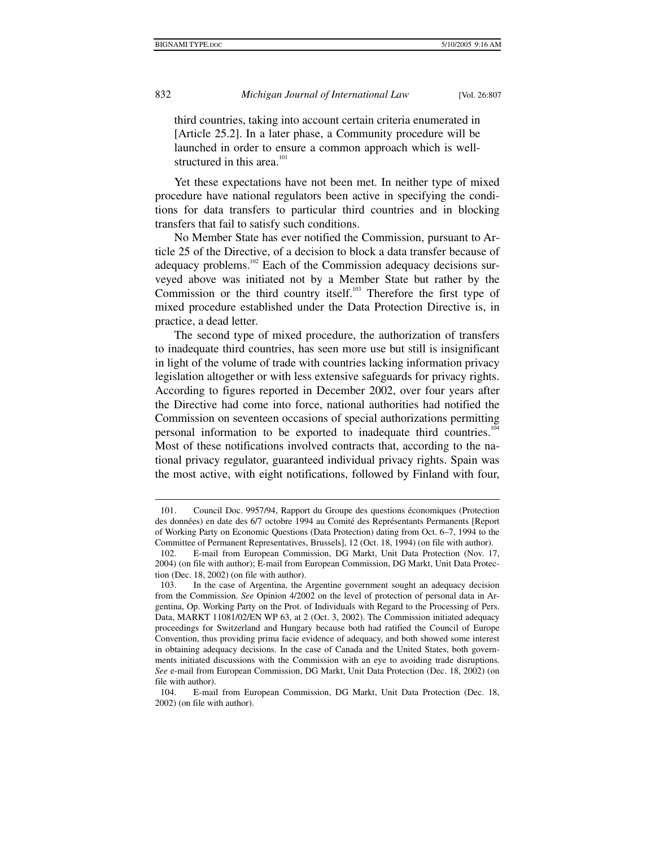1

832 *Michigan Journal of International Law* [Vol. 26:807

third countries, taking into account certain criteria enumerated in [Article 25.2]. In a later phase, a Community procedure will be launched in order to ensure a common approach which is wellstructured in this area.<sup>101</sup>

Yet these expectations have not been met. In neither type of mixed procedure have national regulators been active in specifying the conditions for data transfers to particular third countries and in blocking transfers that fail to satisfy such conditions.

No Member State has ever notified the Commission, pursuant to Article 25 of the Directive, of a decision to block a data transfer because of adequacy problems.<sup>102</sup> Each of the Commission adequacy decisions surveyed above was initiated not by a Member State but rather by the Commission or the third country itself. $103$  Therefore the first type of mixed procedure established under the Data Protection Directive is, in practice, a dead letter.

The second type of mixed procedure, the authorization of transfers to inadequate third countries, has seen more use but still is insignificant in light of the volume of trade with countries lacking information privacy legislation altogether or with less extensive safeguards for privacy rights. According to figures reported in December 2002, over four years after the Directive had come into force, national authorities had notified the Commission on seventeen occasions of special authorizations permitting personal information to be exported to inadequate third countries.<sup>104</sup> Most of these notifications involved contracts that, according to the national privacy regulator, guaranteed individual privacy rights. Spain was the most active, with eight notifications, followed by Finland with four,

 <sup>101.</sup> Council Doc. 9957/94, Rapport du Groupe des questions économiques (Protection des données) en date des 6/7 octobre 1994 au Comité des Représentants Permanents [Report of Working Party on Economic Questions (Data Protection) dating from Oct. 6–7, 1994 to the Committee of Permanent Representatives, Brussels], 12 (Oct. 18, 1994) (on file with author).

 <sup>102.</sup> E-mail from European Commission, DG Markt, Unit Data Protection (Nov. 17, 2004) (on file with author); E-mail from European Commission, DG Markt, Unit Data Protection (Dec. 18, 2002) (on file with author).

 <sup>103.</sup> In the case of Argentina, the Argentine government sought an adequacy decision from the Commission. *See* Opinion 4/2002 on the level of protection of personal data in Argentina, Op. Working Party on the Prot. of Individuals with Regard to the Processing of Pers. Data, MARKT 11081/02/EN WP 63, at 2 (Oct. 3, 2002). The Commission initiated adequacy proceedings for Switzerland and Hungary because both had ratified the Council of Europe Convention, thus providing prima facie evidence of adequacy, and both showed some interest in obtaining adequacy decisions. In the case of Canada and the United States, both governments initiated discussions with the Commission with an eye to avoiding trade disruptions. *See* e-mail from European Commission, DG Markt, Unit Data Protection (Dec. 18, 2002) (on file with author).

 <sup>104.</sup> E-mail from European Commission, DG Markt, Unit Data Protection (Dec. 18, 2002) (on file with author).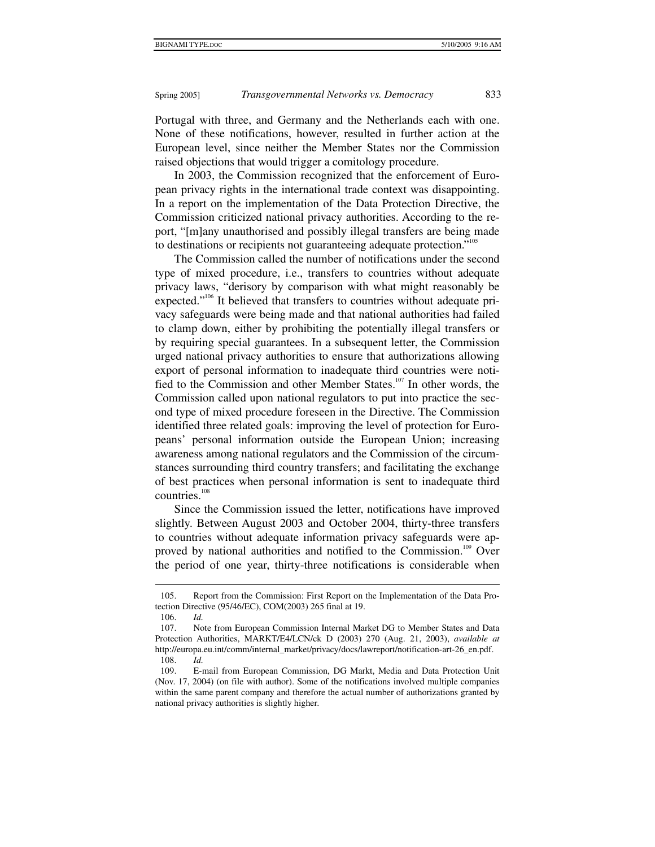Portugal with three, and Germany and the Netherlands each with one. None of these notifications, however, resulted in further action at the European level, since neither the Member States nor the Commission raised objections that would trigger a comitology procedure.

In 2003, the Commission recognized that the enforcement of European privacy rights in the international trade context was disappointing. In a report on the implementation of the Data Protection Directive, the Commission criticized national privacy authorities. According to the report, "[m]any unauthorised and possibly illegal transfers are being made to destinations or recipients not guaranteeing adequate protection."<sup>105</sup>

The Commission called the number of notifications under the second type of mixed procedure, i.e., transfers to countries without adequate privacy laws, "derisory by comparison with what might reasonably be expected."<sup>106</sup> It believed that transfers to countries without adequate privacy safeguards were being made and that national authorities had failed to clamp down, either by prohibiting the potentially illegal transfers or by requiring special guarantees. In a subsequent letter, the Commission urged national privacy authorities to ensure that authorizations allowing export of personal information to inadequate third countries were notified to the Commission and other Member States.<sup>107</sup> In other words, the Commission called upon national regulators to put into practice the second type of mixed procedure foreseen in the Directive. The Commission identified three related goals: improving the level of protection for Europeans' personal information outside the European Union; increasing awareness among national regulators and the Commission of the circumstances surrounding third country transfers; and facilitating the exchange of best practices when personal information is sent to inadequate third countries.<sup>108</sup>

Since the Commission issued the letter, notifications have improved slightly. Between August 2003 and October 2004, thirty-three transfers to countries without adequate information privacy safeguards were approved by national authorities and notified to the Commission.<sup>109</sup> Over the period of one year, thirty-three notifications is considerable when

 $\overline{a}$ 

 <sup>105.</sup> Report from the Commission: First Report on the Implementation of the Data Protection Directive (95/46/EC), COM(2003) 265 final at 19.

 <sup>106.</sup> *Id.*

 <sup>107.</sup> Note from European Commission Internal Market DG to Member States and Data Protection Authorities, MARKT/E4/LCN/ck D (2003) 270 (Aug. 21, 2003), *available at* http://europa.eu.int/comm/internal\_market/privacy/docs/lawreport/notification-art-26\_en.pdf. 108. *Id.*

 <sup>109.</sup> E-mail from European Commission, DG Markt, Media and Data Protection Unit (Nov. 17, 2004) (on file with author). Some of the notifications involved multiple companies within the same parent company and therefore the actual number of authorizations granted by national privacy authorities is slightly higher.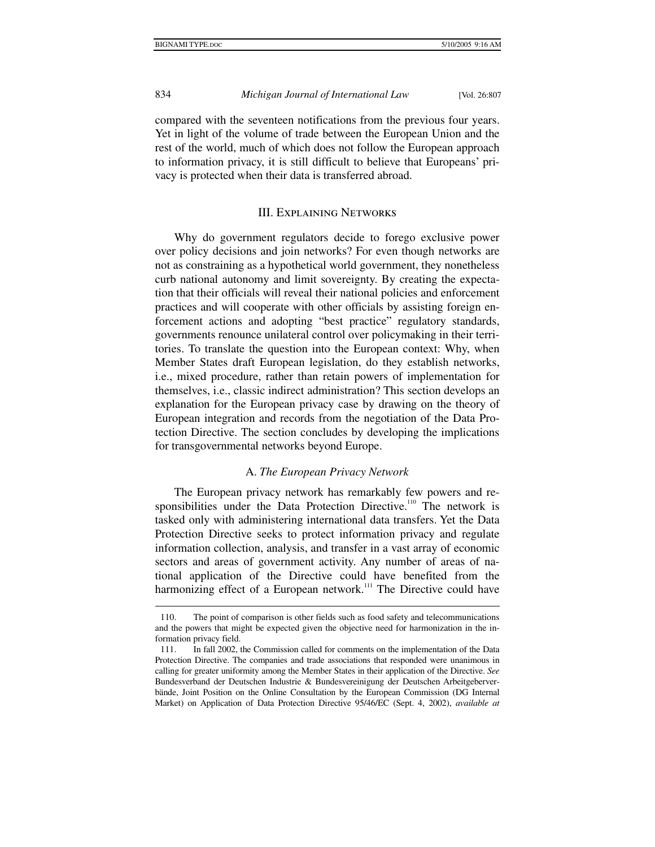834 *Michigan Journal of International Law* [Vol. 26:807

compared with the seventeen notifications from the previous four years. Yet in light of the volume of trade between the European Union and the rest of the world, much of which does not follow the European approach to information privacy, it is still difficult to believe that Europeans' privacy is protected when their data is transferred abroad.

#### III. Explaining Networks

Why do government regulators decide to forego exclusive power over policy decisions and join networks? For even though networks are not as constraining as a hypothetical world government, they nonetheless curb national autonomy and limit sovereignty. By creating the expectation that their officials will reveal their national policies and enforcement practices and will cooperate with other officials by assisting foreign enforcement actions and adopting "best practice" regulatory standards, governments renounce unilateral control over policymaking in their territories. To translate the question into the European context: Why, when Member States draft European legislation, do they establish networks, i.e., mixed procedure, rather than retain powers of implementation for themselves, i.e., classic indirect administration? This section develops an explanation for the European privacy case by drawing on the theory of European integration and records from the negotiation of the Data Protection Directive. The section concludes by developing the implications for transgovernmental networks beyond Europe.

#### A. *The European Privacy Network*

The European privacy network has remarkably few powers and responsibilities under the Data Protection Directive.<sup>110</sup> The network is tasked only with administering international data transfers. Yet the Data Protection Directive seeks to protect information privacy and regulate information collection, analysis, and transfer in a vast array of economic sectors and areas of government activity. Any number of areas of national application of the Directive could have benefited from the harmonizing effect of a European network.<sup>111</sup> The Directive could have

 <sup>110.</sup> The point of comparison is other fields such as food safety and telecommunications and the powers that might be expected given the objective need for harmonization in the information privacy field.

 <sup>111.</sup> In fall 2002, the Commission called for comments on the implementation of the Data Protection Directive. The companies and trade associations that responded were unanimous in calling for greater uniformity among the Member States in their application of the Directive. *See* Bundesverband der Deutschen Industrie & Bundesvereinigung der Deutschen Arbeitgeberverbände, Joint Position on the Online Consultation by the European Commission (DG Internal Market) on Application of Data Protection Directive 95/46/EC (Sept. 4, 2002), *available at*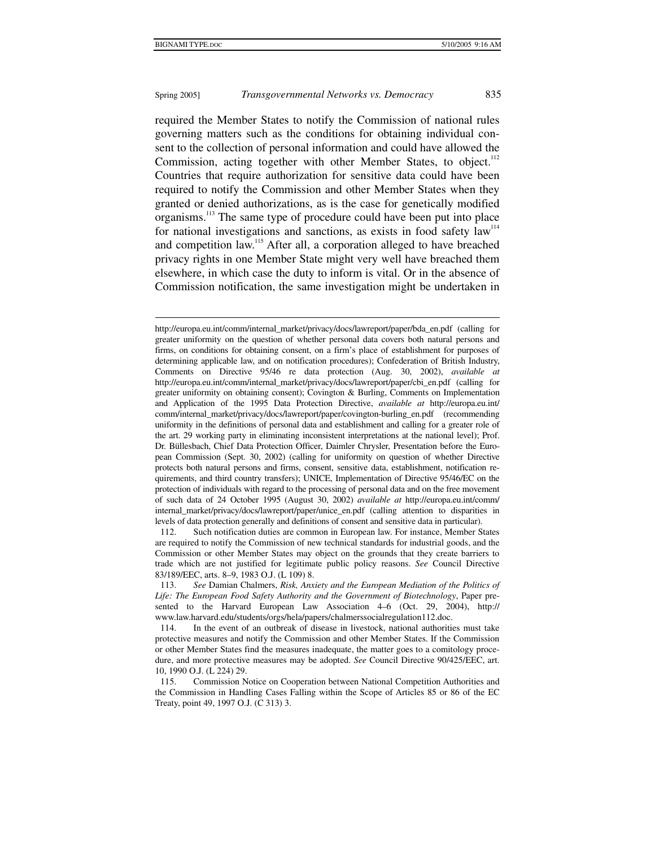#### Spring 2005] *Transgovernmental Networks vs. Democracy* 835

required the Member States to notify the Commission of national rules governing matters such as the conditions for obtaining individual consent to the collection of personal information and could have allowed the Commission, acting together with other Member States, to object. $112$ Countries that require authorization for sensitive data could have been required to notify the Commission and other Member States when they granted or denied authorizations, as is the case for genetically modified organisms.113 The same type of procedure could have been put into place for national investigations and sanctions, as exists in food safety  $law<sup>114</sup>$ and competition law.<sup>115</sup> After all, a corporation alleged to have breached privacy rights in one Member State might very well have breached them elsewhere, in which case the duty to inform is vital. Or in the absence of Commission notification, the same investigation might be undertaken in

http://europa.eu.int/comm/internal\_market/privacy/docs/lawreport/paper/bda\_en.pdf (calling for greater uniformity on the question of whether personal data covers both natural persons and firms, on conditions for obtaining consent, on a firm's place of establishment for purposes of determining applicable law, and on notification procedures); Confederation of British Industry, Comments on Directive 95/46 re data protection (Aug. 30, 2002), *available at* http://europa.eu.int/comm/internal\_market/privacy/docs/lawreport/paper/cbi\_en.pdf (calling for greater uniformity on obtaining consent); Covington & Burling, Comments on Implementation and Application of the 1995 Data Protection Directive, *available at* http://europa.eu.int/ comm/internal\_market/privacy/docs/lawreport/paper/covington-burling\_en.pdf (recommending uniformity in the definitions of personal data and establishment and calling for a greater role of the art. 29 working party in eliminating inconsistent interpretations at the national level); Prof. Dr. Büllesbach, Chief Data Protection Officer, Daimler Chrysler, Presentation before the European Commission (Sept. 30, 2002) (calling for uniformity on question of whether Directive protects both natural persons and firms, consent, sensitive data, establishment, notification requirements, and third country transfers); UNICE, Implementation of Directive 95/46/EC on the protection of individuals with regard to the processing of personal data and on the free movement of such data of 24 October 1995 (August 30, 2002) *available at* http://europa.eu.int/comm/ internal\_market/privacy/docs/lawreport/paper/unice\_en.pdf (calling attention to disparities in levels of data protection generally and definitions of consent and sensitive data in particular).

 112. Such notification duties are common in European law. For instance, Member States are required to notify the Commission of new technical standards for industrial goods, and the Commission or other Member States may object on the grounds that they create barriers to trade which are not justified for legitimate public policy reasons. *See* Council Directive 83/189/EEC, arts. 8–9, 1983 O.J. (L 109) 8.

 <sup>113.</sup> *See* Damian Chalmers, *Risk, Anxiety and the European Mediation of the Politics of Life: The European Food Safety Authority and the Government of Biotechnology*, Paper presented to the Harvard European Law Association 4–6 (Oct. 29, 2004), http:// www.law.harvard.edu/students/orgs/hela/papers/chalmerssocialregulation112.doc.

 <sup>114.</sup> In the event of an outbreak of disease in livestock, national authorities must take protective measures and notify the Commission and other Member States. If the Commission or other Member States find the measures inadequate, the matter goes to a comitology procedure, and more protective measures may be adopted. *See* Council Directive 90/425/EEC, art. 10, 1990 O.J. (L 224) 29.

 <sup>115.</sup> Commission Notice on Cooperation between National Competition Authorities and the Commission in Handling Cases Falling within the Scope of Articles 85 or 86 of the EC Treaty, point 49, 1997 O.J. (C 313) 3.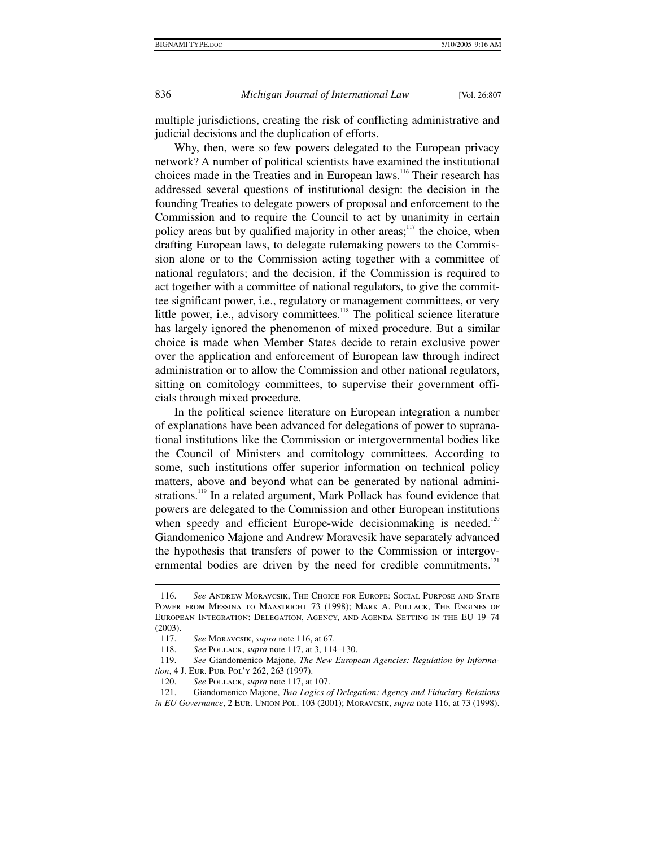836 *Michigan Journal of International Law* [Vol. 26:807

multiple jurisdictions, creating the risk of conflicting administrative and judicial decisions and the duplication of efforts.

Why, then, were so few powers delegated to the European privacy network? A number of political scientists have examined the institutional choices made in the Treaties and in European laws.<sup>116</sup> Their research has addressed several questions of institutional design: the decision in the founding Treaties to delegate powers of proposal and enforcement to the Commission and to require the Council to act by unanimity in certain policy areas but by qualified majority in other areas; $117$  the choice, when drafting European laws, to delegate rulemaking powers to the Commission alone or to the Commission acting together with a committee of national regulators; and the decision, if the Commission is required to act together with a committee of national regulators, to give the committee significant power, i.e., regulatory or management committees, or very little power, i.e., advisory committees.<sup>118</sup> The political science literature has largely ignored the phenomenon of mixed procedure. But a similar choice is made when Member States decide to retain exclusive power over the application and enforcement of European law through indirect administration or to allow the Commission and other national regulators, sitting on comitology committees, to supervise their government officials through mixed procedure.

In the political science literature on European integration a number of explanations have been advanced for delegations of power to supranational institutions like the Commission or intergovernmental bodies like the Council of Ministers and comitology committees. According to some, such institutions offer superior information on technical policy matters, above and beyond what can be generated by national administrations.<sup>119</sup> In a related argument, Mark Pollack has found evidence that powers are delegated to the Commission and other European institutions when speedy and efficient Europe-wide decision making is needed.<sup>120</sup> Giandomenico Majone and Andrew Moravcsik have separately advanced the hypothesis that transfers of power to the Commission or intergovernmental bodies are driven by the need for credible commitments.<sup>121</sup>

 <sup>116.</sup> *See* Andrew Moravcsik, The Choice for Europe: Social Purpose and State POWER FROM MESSINA TO MAASTRICHT 73 (1998); MARK A. POLLACK, THE ENGINES OF European Integration: Delegation, Agency, and Agenda Setting in the EU 19–74 (2003).

 <sup>117.</sup> *See* Moravcsik, *supra* note 116, at 67.

 <sup>118.</sup> *See* Pollack, *supra* note 117, at 3, 114–130.

 <sup>119.</sup> *See* Giandomenico Majone, *The New European Agencies: Regulation by Information*, 4 J. Eur. Pub. Pol'y 262, 263 (1997).

 <sup>120.</sup> *See* Pollack, *supra* note 117, at 107.

 <sup>121.</sup> Giandomenico Majone, *Two Logics of Delegation: Agency and Fiduciary Relations in EU Governance*, 2 Eur. Union Pol. 103 (2001); Moravcsik, *supra* note 116, at 73 (1998).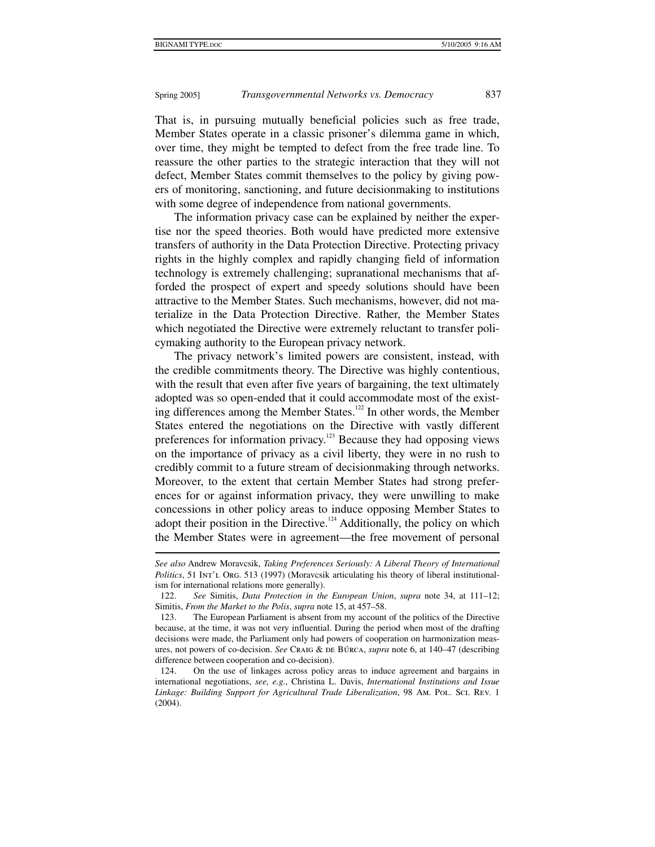# Spring 2005] *Transgovernmental Networks vs. Democracy* 837

That is, in pursuing mutually beneficial policies such as free trade, Member States operate in a classic prisoner's dilemma game in which, over time, they might be tempted to defect from the free trade line. To reassure the other parties to the strategic interaction that they will not defect, Member States commit themselves to the policy by giving powers of monitoring, sanctioning, and future decisionmaking to institutions with some degree of independence from national governments.

The information privacy case can be explained by neither the expertise nor the speed theories. Both would have predicted more extensive transfers of authority in the Data Protection Directive. Protecting privacy rights in the highly complex and rapidly changing field of information technology is extremely challenging; supranational mechanisms that afforded the prospect of expert and speedy solutions should have been attractive to the Member States. Such mechanisms, however, did not materialize in the Data Protection Directive. Rather, the Member States which negotiated the Directive were extremely reluctant to transfer policymaking authority to the European privacy network.

The privacy network's limited powers are consistent, instead, with the credible commitments theory. The Directive was highly contentious, with the result that even after five years of bargaining, the text ultimately adopted was so open-ended that it could accommodate most of the existing differences among the Member States.<sup>122</sup> In other words, the Member States entered the negotiations on the Directive with vastly different preferences for information privacy.<sup>123</sup> Because they had opposing views on the importance of privacy as a civil liberty, they were in no rush to credibly commit to a future stream of decisionmaking through networks. Moreover, to the extent that certain Member States had strong preferences for or against information privacy, they were unwilling to make concessions in other policy areas to induce opposing Member States to adopt their position in the Directive.<sup>124</sup> Additionally, the policy on which the Member States were in agreement—the free movement of personal

*See also* Andrew Moravcsik, *Taking Preferences Seriously: A Liberal Theory of International Politics*, 51 Int'l Org. 513 (1997) (Moravcsik articulating his theory of liberal institutionalism for international relations more generally).

 <sup>122.</sup> *See* Simitis, *Data Protection in the European Union*, *supra* note 34, at 111–12; Simitis, *From the Market to the Polis*, *supra* note 15, at 457–58.

 <sup>123.</sup> The European Parliament is absent from my account of the politics of the Directive because, at the time, it was not very influential. During the period when most of the drafting decisions were made, the Parliament only had powers of cooperation on harmonization measures, not powers of co-decision. *See* Craig & de Búrca, *supra* note 6, at 140–47 (describing difference between cooperation and co-decision).

 <sup>124.</sup> On the use of linkages across policy areas to induce agreement and bargains in international negotiations, *see, e.g.*, Christina L. Davis, *International Institutions and Issue*  Linkage: Building Support for Agricultural Trade Liberalization, 98 Am. Pol. Sci. Rev. 1 (2004).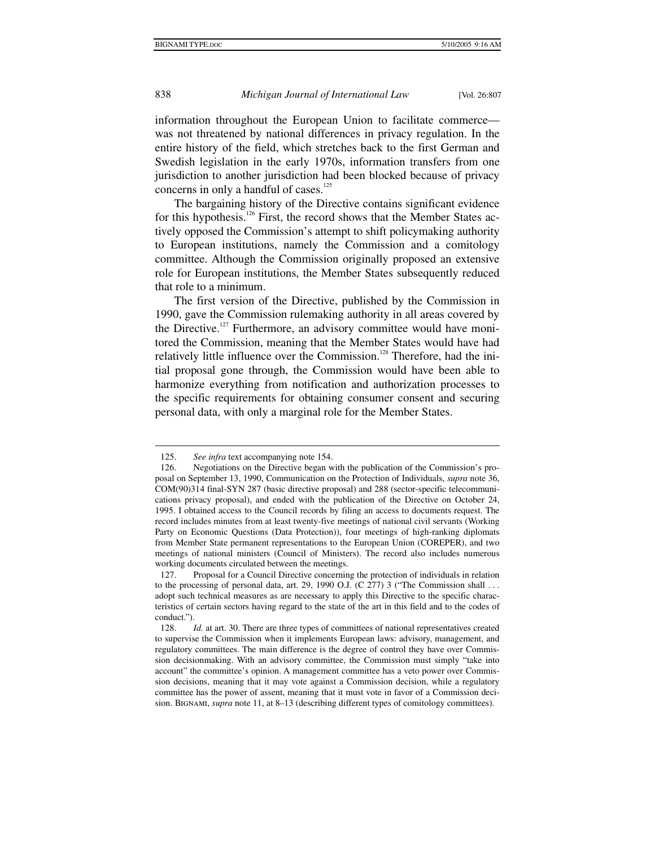information throughout the European Union to facilitate commerce was not threatened by national differences in privacy regulation. In the entire history of the field, which stretches back to the first German and Swedish legislation in the early 1970s, information transfers from one jurisdiction to another jurisdiction had been blocked because of privacy concerns in only a handful of cases. $125$ 

The bargaining history of the Directive contains significant evidence for this hypothesis.<sup>126</sup> First, the record shows that the Member States actively opposed the Commission's attempt to shift policymaking authority to European institutions, namely the Commission and a comitology committee. Although the Commission originally proposed an extensive role for European institutions, the Member States subsequently reduced that role to a minimum.

The first version of the Directive, published by the Commission in 1990, gave the Commission rulemaking authority in all areas covered by the Directive.<sup>127</sup> Furthermore, an advisory committee would have monitored the Commission, meaning that the Member States would have had relatively little influence over the Commission.<sup>128</sup> Therefore, had the initial proposal gone through, the Commission would have been able to harmonize everything from notification and authorization processes to the specific requirements for obtaining consumer consent and securing personal data, with only a marginal role for the Member States.

 $\overline{a}$ 

 <sup>125.</sup> *See infra* text accompanying note 154.

 <sup>126.</sup> Negotiations on the Directive began with the publication of the Commission's proposal on September 13, 1990, Communication on the Protection of Individuals, *supra* note 36, COM(90)314 final-SYN 287 (basic directive proposal) and 288 (sector-specific telecommunications privacy proposal), and ended with the publication of the Directive on October 24, 1995. I obtained access to the Council records by filing an access to documents request. The record includes minutes from at least twenty-five meetings of national civil servants (Working Party on Economic Questions (Data Protection)), four meetings of high-ranking diplomats from Member State permanent representations to the European Union (COREPER), and two meetings of national ministers (Council of Ministers). The record also includes numerous working documents circulated between the meetings.

 <sup>127.</sup> Proposal for a Council Directive concerning the protection of individuals in relation to the processing of personal data, art. 29, 1990 O.J. (C 277) 3 ("The Commission shall ... adopt such technical measures as are necessary to apply this Directive to the specific characteristics of certain sectors having regard to the state of the art in this field and to the codes of conduct.").

<sup>128.</sup> *Id.* at art. 30. There are three types of committees of national representatives created to supervise the Commission when it implements European laws: advisory, management, and regulatory committees. The main difference is the degree of control they have over Commission decisionmaking. With an advisory committee, the Commission must simply "take into account" the committee's opinion. A management committee has a veto power over Commission decisions, meaning that it may vote against a Commission decision, while a regulatory committee has the power of assent, meaning that it must vote in favor of a Commission decision. Bignami, *supra* note 11, at 8–13 (describing different types of comitology committees).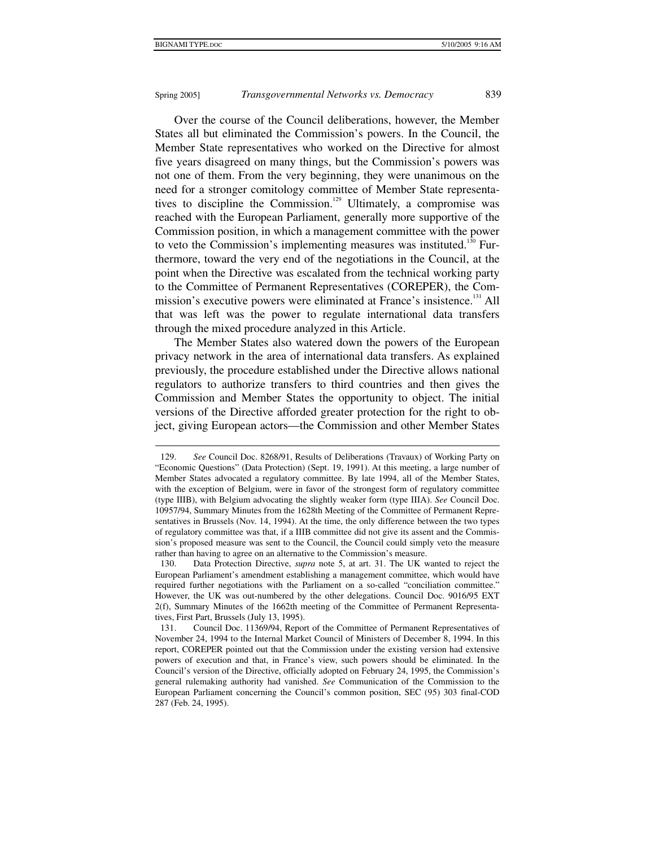Over the course of the Council deliberations, however, the Member States all but eliminated the Commission's powers. In the Council, the Member State representatives who worked on the Directive for almost five years disagreed on many things, but the Commission's powers was not one of them. From the very beginning, they were unanimous on the need for a stronger comitology committee of Member State representatives to discipline the Commission.<sup>129</sup> Ultimately, a compromise was reached with the European Parliament, generally more supportive of the Commission position, in which a management committee with the power to veto the Commission's implementing measures was instituted.<sup>130</sup> Furthermore, toward the very end of the negotiations in the Council, at the point when the Directive was escalated from the technical working party to the Committee of Permanent Representatives (COREPER), the Commission's executive powers were eliminated at France's insistence.<sup>131</sup> All that was left was the power to regulate international data transfers through the mixed procedure analyzed in this Article.

The Member States also watered down the powers of the European privacy network in the area of international data transfers. As explained previously, the procedure established under the Directive allows national regulators to authorize transfers to third countries and then gives the Commission and Member States the opportunity to object. The initial versions of the Directive afforded greater protection for the right to object, giving European actors—the Commission and other Member States

 $\overline{a}$  129. *See* Council Doc. 8268/91, Results of Deliberations (Travaux) of Working Party on "Economic Questions" (Data Protection) (Sept. 19, 1991). At this meeting, a large number of Member States advocated a regulatory committee. By late 1994, all of the Member States, with the exception of Belgium, were in favor of the strongest form of regulatory committee (type IIIB), with Belgium advocating the slightly weaker form (type IIIA). *See* Council Doc. 10957/94, Summary Minutes from the 1628th Meeting of the Committee of Permanent Representatives in Brussels (Nov. 14, 1994). At the time, the only difference between the two types of regulatory committee was that, if a IIIB committee did not give its assent and the Commission's proposed measure was sent to the Council, the Council could simply veto the measure rather than having to agree on an alternative to the Commission's measure.

 <sup>130.</sup> Data Protection Directive, *supra* note 5, at art. 31. The UK wanted to reject the European Parliament's amendment establishing a management committee, which would have required further negotiations with the Parliament on a so-called "conciliation committee." However, the UK was out-numbered by the other delegations. Council Doc. 9016/95 EXT 2(f), Summary Minutes of the 1662th meeting of the Committee of Permanent Representatives, First Part, Brussels (July 13, 1995).

 <sup>131.</sup> Council Doc. 11369/94, Report of the Committee of Permanent Representatives of November 24, 1994 to the Internal Market Council of Ministers of December 8, 1994. In this report, COREPER pointed out that the Commission under the existing version had extensive powers of execution and that, in France's view, such powers should be eliminated. In the Council's version of the Directive, officially adopted on February 24, 1995, the Commission's general rulemaking authority had vanished. *See* Communication of the Commission to the European Parliament concerning the Council's common position, SEC (95) 303 final-COD 287 (Feb. 24, 1995).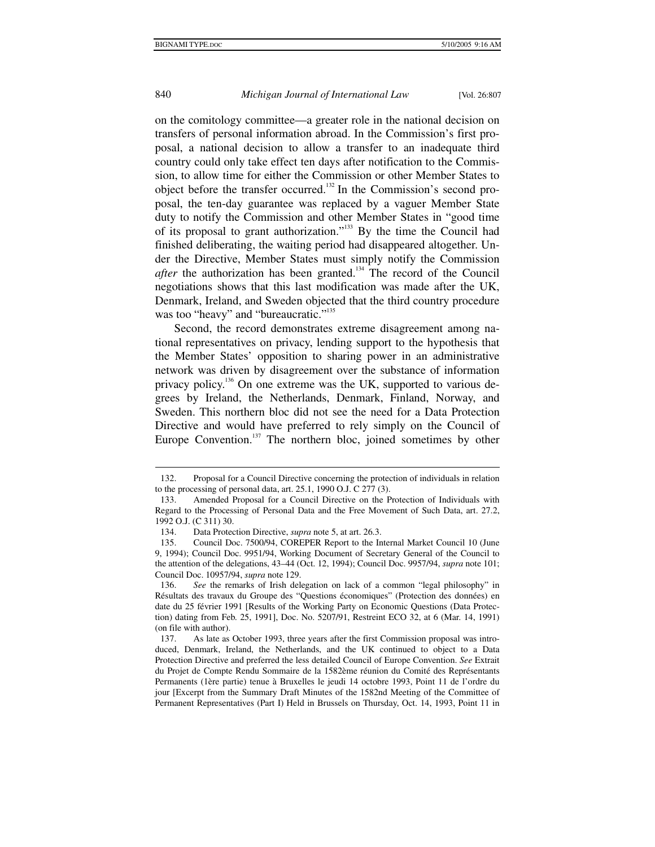1

#### 840 *Michigan Journal of International Law* [Vol. 26:807

on the comitology committee—a greater role in the national decision on transfers of personal information abroad. In the Commission's first proposal, a national decision to allow a transfer to an inadequate third country could only take effect ten days after notification to the Commission, to allow time for either the Commission or other Member States to object before the transfer occurred.<sup>132</sup> In the Commission's second proposal, the ten-day guarantee was replaced by a vaguer Member State duty to notify the Commission and other Member States in "good time of its proposal to grant authorization."133 By the time the Council had finished deliberating, the waiting period had disappeared altogether. Under the Directive, Member States must simply notify the Commission *after* the authorization has been granted.<sup>134</sup> The record of the Council negotiations shows that this last modification was made after the UK, Denmark, Ireland, and Sweden objected that the third country procedure was too "heavy" and "bureaucratic."<sup>135</sup>

Second, the record demonstrates extreme disagreement among national representatives on privacy, lending support to the hypothesis that the Member States' opposition to sharing power in an administrative network was driven by disagreement over the substance of information privacy policy.<sup>136</sup> On one extreme was the UK, supported to various degrees by Ireland, the Netherlands, Denmark, Finland, Norway, and Sweden. This northern bloc did not see the need for a Data Protection Directive and would have preferred to rely simply on the Council of Europe Convention.<sup>137</sup> The northern bloc, joined sometimes by other

 <sup>132.</sup> Proposal for a Council Directive concerning the protection of individuals in relation to the processing of personal data, art. 25.1, 1990 O.J. C 277 (3).

 <sup>133.</sup> Amended Proposal for a Council Directive on the Protection of Individuals with Regard to the Processing of Personal Data and the Free Movement of Such Data, art. 27.2, 1992 O.J. (C 311) 30.

 <sup>134.</sup> Data Protection Directive, *supra* note 5, at art. 26.3.

 <sup>135.</sup> Council Doc. 7500/94, COREPER Report to the Internal Market Council 10 (June 9, 1994); Council Doc. 9951/94, Working Document of Secretary General of the Council to the attention of the delegations, 43–44 (Oct. 12, 1994); Council Doc. 9957/94, *supra* note 101; Council Doc. 10957/94, *supra* note 129.

 <sup>136.</sup> *See* the remarks of Irish delegation on lack of a common "legal philosophy" in Résultats des travaux du Groupe des "Questions économiques" (Protection des données) en date du 25 février 1991 [Results of the Working Party on Economic Questions (Data Protection) dating from Feb. 25, 1991], Doc. No. 5207/91, Restreint ECO 32, at 6 (Mar. 14, 1991) (on file with author).

 <sup>137.</sup> As late as October 1993, three years after the first Commission proposal was introduced, Denmark, Ireland, the Netherlands, and the UK continued to object to a Data Protection Directive and preferred the less detailed Council of Europe Convention. *See* Extrait du Projet de Compte Rendu Sommaire de la 1582ème réunion du Comité des Représentants Permanents (1ère partie) tenue à Bruxelles le jeudi 14 octobre 1993, Point 11 de l'ordre du jour [Excerpt from the Summary Draft Minutes of the 1582nd Meeting of the Committee of Permanent Representatives (Part I) Held in Brussels on Thursday, Oct. 14, 1993, Point 11 in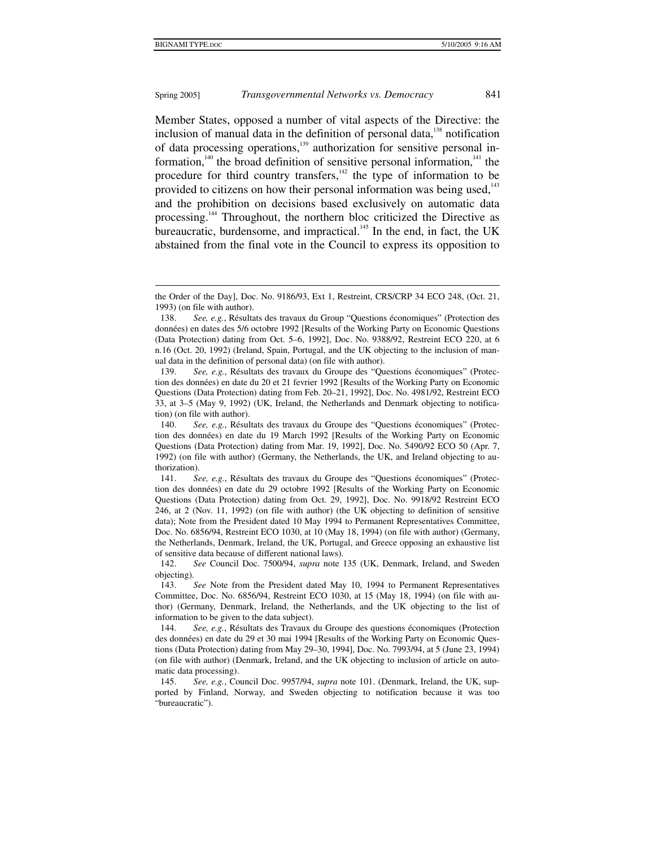#### Spring 2005] *Transgovernmental Networks vs. Democracy* 841

Member States, opposed a number of vital aspects of the Directive: the inclusion of manual data in the definition of personal data, $138$  notification of data processing operations,<sup>139</sup> authorization for sensitive personal information,<sup>140</sup> the broad definition of sensitive personal information,<sup>141</sup> the procedure for third country transfers,<sup>142</sup> the type of information to be provided to citizens on how their personal information was being used,<sup>143</sup> and the prohibition on decisions based exclusively on automatic data processing.<sup>144</sup> Throughout, the northern bloc criticized the Directive as bureaucratic, burdensome, and impractical. $145$  In the end, in fact, the UK abstained from the final vote in the Council to express its opposition to

the Order of the Day], Doc. No. 9186/93, Ext 1, Restreint, CRS/CRP 34 ECO 248, (Oct. 21, 1993) (on file with author).

 <sup>138.</sup> *See, e.g.*, Résultats des travaux du Group "Questions économiques" (Protection des données) en dates des 5/6 octobre 1992 [Results of the Working Party on Economic Questions (Data Protection) dating from Oct. 5–6, 1992], Doc. No. 9388/92, Restreint ECO 220, at 6 n.16 (Oct. 20, 1992) (Ireland, Spain, Portugal, and the UK objecting to the inclusion of manual data in the definition of personal data) (on file with author).

 <sup>139.</sup> *See, e.g.*, Résultats des travaux du Groupe des "Questions économiques" (Protection des données) en date du 20 et 21 fevrier 1992 [Results of the Working Party on Economic Questions (Data Protection) dating from Feb. 20–21, 1992], Doc. No. 4981/92, Restreint ECO 33, at 3–5 (May 9, 1992) (UK, Ireland, the Netherlands and Denmark objecting to notification) (on file with author).

 <sup>140.</sup> *See, e.g.*, Résultats des travaux du Groupe des "Questions économiques" (Protection des données) en date du 19 March 1992 [Results of the Working Party on Economic Questions (Data Protection) dating from Mar. 19, 1992], Doc. No. 5490/92 ECO 50 (Apr. 7, 1992) (on file with author) (Germany, the Netherlands, the UK, and Ireland objecting to authorization).

 <sup>141.</sup> *See, e.g.*, Résultats des travaux du Groupe des "Questions économiques" (Protection des données) en date du 29 octobre 1992 [Results of the Working Party on Economic Questions (Data Protection) dating from Oct. 29, 1992], Doc. No. 9918/92 Restreint ECO 246, at 2 (Nov. 11, 1992) (on file with author) (the UK objecting to definition of sensitive data); Note from the President dated 10 May 1994 to Permanent Representatives Committee, Doc. No. 6856/94, Restreint ECO 1030, at 10 (May 18, 1994) (on file with author) (Germany, the Netherlands, Denmark, Ireland, the UK, Portugal, and Greece opposing an exhaustive list of sensitive data because of different national laws).

 <sup>142.</sup> *See* Council Doc. 7500/94, *supra* note 135 (UK, Denmark, Ireland, and Sweden objecting).

 <sup>143.</sup> *See* Note from the President dated May 10, 1994 to Permanent Representatives Committee, Doc. No. 6856/94, Restreint ECO 1030, at 15 (May 18, 1994) (on file with author) (Germany, Denmark, Ireland, the Netherlands, and the UK objecting to the list of information to be given to the data subject).

 <sup>144.</sup> *See, e.g.*, Résultats des Travaux du Groupe des questions économiques (Protection des données) en date du 29 et 30 mai 1994 [Results of the Working Party on Economic Questions (Data Protection) dating from May 29–30, 1994], Doc. No. 7993/94, at 5 (June 23, 1994) (on file with author) (Denmark, Ireland, and the UK objecting to inclusion of article on automatic data processing).

 <sup>145.</sup> *See, e.g.*, Council Doc. 9957/94, *supra* note 101. (Denmark, Ireland, the UK, supported by Finland, Norway, and Sweden objecting to notification because it was too "bureaucratic").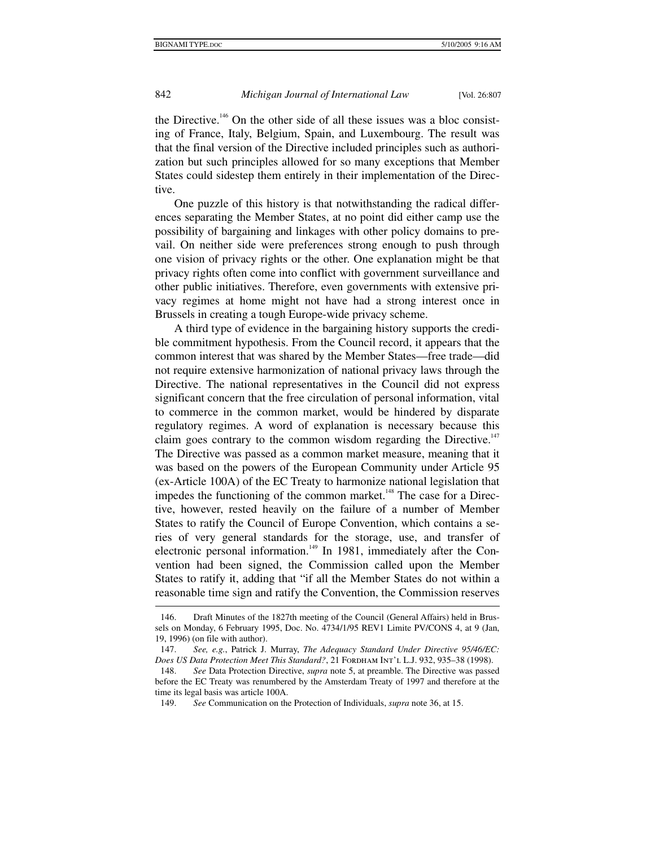1

# 842 *Michigan Journal of International Law* [Vol. 26:807

the Directive.<sup>146</sup> On the other side of all these issues was a bloc consisting of France, Italy, Belgium, Spain, and Luxembourg. The result was that the final version of the Directive included principles such as authorization but such principles allowed for so many exceptions that Member States could sidestep them entirely in their implementation of the Directive.

One puzzle of this history is that notwithstanding the radical differences separating the Member States, at no point did either camp use the possibility of bargaining and linkages with other policy domains to prevail. On neither side were preferences strong enough to push through one vision of privacy rights or the other. One explanation might be that privacy rights often come into conflict with government surveillance and other public initiatives. Therefore, even governments with extensive privacy regimes at home might not have had a strong interest once in Brussels in creating a tough Europe-wide privacy scheme.

A third type of evidence in the bargaining history supports the credible commitment hypothesis. From the Council record, it appears that the common interest that was shared by the Member States—free trade—did not require extensive harmonization of national privacy laws through the Directive. The national representatives in the Council did not express significant concern that the free circulation of personal information, vital to commerce in the common market, would be hindered by disparate regulatory regimes. A word of explanation is necessary because this claim goes contrary to the common wisdom regarding the Directive.<sup>147</sup> The Directive was passed as a common market measure, meaning that it was based on the powers of the European Community under Article 95 (ex-Article 100A) of the EC Treaty to harmonize national legislation that impedes the functioning of the common market.<sup>148</sup> The case for a Directive, however, rested heavily on the failure of a number of Member States to ratify the Council of Europe Convention, which contains a series of very general standards for the storage, use, and transfer of electronic personal information.<sup>149</sup> In 1981, immediately after the Convention had been signed, the Commission called upon the Member States to ratify it, adding that "if all the Member States do not within a reasonable time sign and ratify the Convention, the Commission reserves

 <sup>146.</sup> Draft Minutes of the 1827th meeting of the Council (General Affairs) held in Brussels on Monday, 6 February 1995, Doc. No. 4734/1/95 REV1 Limite PV/CONS 4, at 9 (Jan, 19, 1996) (on file with author).

 <sup>147.</sup> *See, e.g.*, Patrick J. Murray, *The Adequacy Standard Under Directive 95/46/EC:*  Does US Data Protection Meet This Standard?, 21 FORDHAM INT'L L.J. 932, 935–38 (1998).

 <sup>148.</sup> *See* Data Protection Directive, *supra* note 5, at preamble. The Directive was passed before the EC Treaty was renumbered by the Amsterdam Treaty of 1997 and therefore at the time its legal basis was article 100A.

 <sup>149.</sup> *See* Communication on the Protection of Individuals, *supra* note 36, at 15.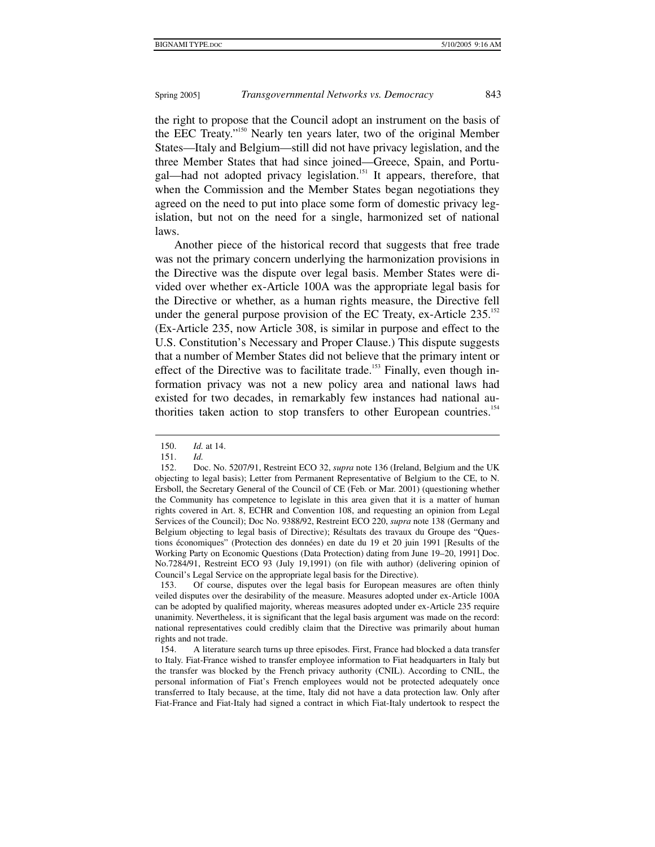the right to propose that the Council adopt an instrument on the basis of the EEC Treaty."150 Nearly ten years later, two of the original Member States—Italy and Belgium—still did not have privacy legislation, and the three Member States that had since joined—Greece, Spain, and Portugal—had not adopted privacy legislation.<sup>151</sup> It appears, therefore, that when the Commission and the Member States began negotiations they agreed on the need to put into place some form of domestic privacy legislation, but not on the need for a single, harmonized set of national laws.

Another piece of the historical record that suggests that free trade was not the primary concern underlying the harmonization provisions in the Directive was the dispute over legal basis. Member States were divided over whether ex-Article 100A was the appropriate legal basis for the Directive or whether, as a human rights measure, the Directive fell under the general purpose provision of the EC Treaty, ex-Article  $235$ .<sup>152</sup> (Ex-Article 235, now Article 308, is similar in purpose and effect to the U.S. Constitution's Necessary and Proper Clause.) This dispute suggests that a number of Member States did not believe that the primary intent or effect of the Directive was to facilitate trade.<sup>153</sup> Finally, even though information privacy was not a new policy area and national laws had existed for two decades, in remarkably few instances had national authorities taken action to stop transfers to other European countries.<sup>154</sup>

1

 153. Of course, disputes over the legal basis for European measures are often thinly veiled disputes over the desirability of the measure. Measures adopted under ex-Article 100A can be adopted by qualified majority, whereas measures adopted under ex-Article 235 require unanimity. Nevertheless, it is significant that the legal basis argument was made on the record: national representatives could credibly claim that the Directive was primarily about human rights and not trade.

 <sup>150.</sup> *Id.* at 14.

 <sup>151.</sup> *Id.*

 <sup>152.</sup> Doc. No. 5207/91, Restreint ECO 32, *supra* note 136 (Ireland, Belgium and the UK objecting to legal basis); Letter from Permanent Representative of Belgium to the CE, to N. Ersboll, the Secretary General of the Council of CE (Feb. or Mar. 2001) (questioning whether the Community has competence to legislate in this area given that it is a matter of human rights covered in Art. 8, ECHR and Convention 108, and requesting an opinion from Legal Services of the Council); Doc No. 9388/92, Restreint ECO 220, *supra* note 138 (Germany and Belgium objecting to legal basis of Directive); Résultats des travaux du Groupe des "Questions économiques" (Protection des données) en date du 19 et 20 juin 1991 [Results of the Working Party on Economic Questions (Data Protection) dating from June 19–20, 1991] Doc. No.7284/91, Restreint ECO 93 (July 19,1991) (on file with author) (delivering opinion of Council's Legal Service on the appropriate legal basis for the Directive).

 <sup>154.</sup> A literature search turns up three episodes. First, France had blocked a data transfer to Italy. Fiat-France wished to transfer employee information to Fiat headquarters in Italy but the transfer was blocked by the French privacy authority (CNIL). According to CNIL, the personal information of Fiat's French employees would not be protected adequately once transferred to Italy because, at the time, Italy did not have a data protection law. Only after Fiat-France and Fiat-Italy had signed a contract in which Fiat-Italy undertook to respect the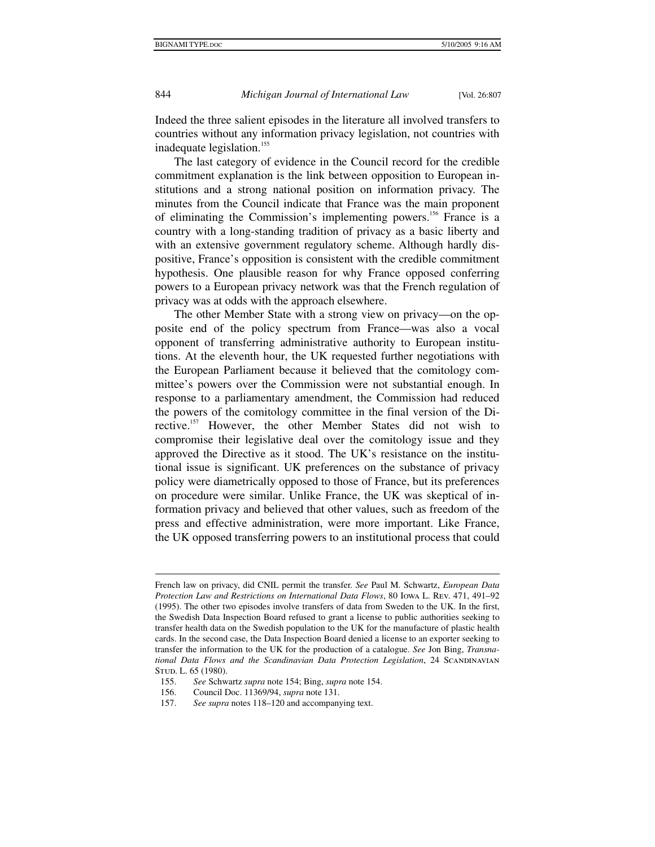Indeed the three salient episodes in the literature all involved transfers to countries without any information privacy legislation, not countries with inadequate legislation.<sup>155</sup>

The last category of evidence in the Council record for the credible commitment explanation is the link between opposition to European institutions and a strong national position on information privacy. The minutes from the Council indicate that France was the main proponent of eliminating the Commission's implementing powers.<sup>156</sup> France is a country with a long-standing tradition of privacy as a basic liberty and with an extensive government regulatory scheme. Although hardly dispositive, France's opposition is consistent with the credible commitment hypothesis. One plausible reason for why France opposed conferring powers to a European privacy network was that the French regulation of privacy was at odds with the approach elsewhere.

The other Member State with a strong view on privacy—on the opposite end of the policy spectrum from France—was also a vocal opponent of transferring administrative authority to European institutions. At the eleventh hour, the UK requested further negotiations with the European Parliament because it believed that the comitology committee's powers over the Commission were not substantial enough. In response to a parliamentary amendment, the Commission had reduced the powers of the comitology committee in the final version of the Directive.<sup>157</sup> However, the other Member States did not wish to compromise their legislative deal over the comitology issue and they approved the Directive as it stood. The UK's resistance on the institutional issue is significant. UK preferences on the substance of privacy policy were diametrically opposed to those of France, but its preferences on procedure were similar. Unlike France, the UK was skeptical of information privacy and believed that other values, such as freedom of the press and effective administration, were more important. Like France, the UK opposed transferring powers to an institutional process that could

French law on privacy, did CNIL permit the transfer. *See* Paul M. Schwartz, *European Data Protection Law and Restrictions on International Data Flows*, 80 Iowa L. Rev. 471, 491–92 (1995). The other two episodes involve transfers of data from Sweden to the UK. In the first, the Swedish Data Inspection Board refused to grant a license to public authorities seeking to transfer health data on the Swedish population to the UK for the manufacture of plastic health cards. In the second case, the Data Inspection Board denied a license to an exporter seeking to transfer the information to the UK for the production of a catalogue. *See* Jon Bing, *Transnational Data Flows and the Scandinavian Data Protection Legislation*, 24 SCANDINAVIAN STUD. L. 65 (1980).

 <sup>155.</sup> *See* Schwartz *supra* note 154; Bing, *supra* note 154.

 <sup>156.</sup> Council Doc. 11369/94, *supra* note 131.

 <sup>157.</sup> *See supra* notes 118–120 and accompanying text.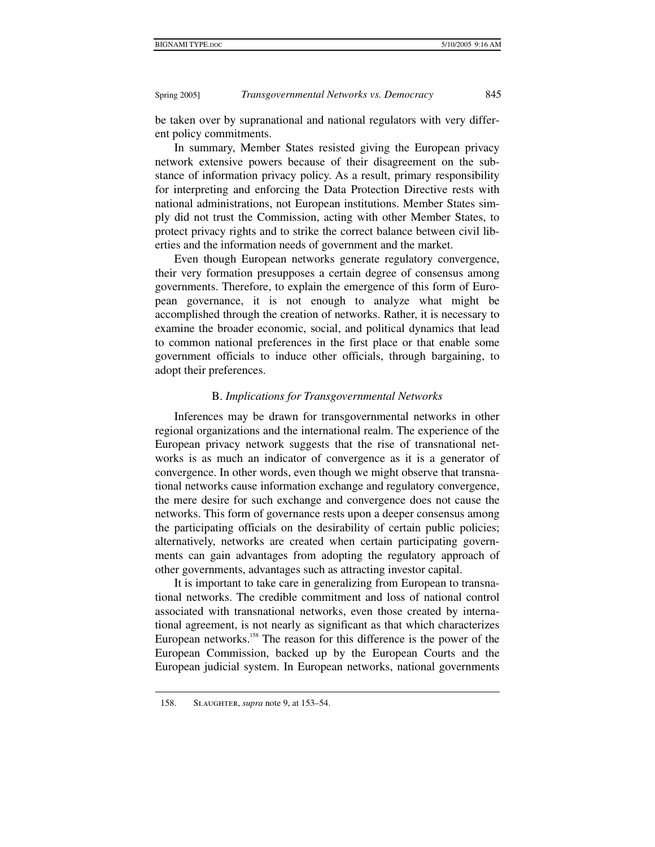be taken over by supranational and national regulators with very different policy commitments.

In summary, Member States resisted giving the European privacy network extensive powers because of their disagreement on the substance of information privacy policy. As a result, primary responsibility for interpreting and enforcing the Data Protection Directive rests with national administrations, not European institutions. Member States simply did not trust the Commission, acting with other Member States, to protect privacy rights and to strike the correct balance between civil liberties and the information needs of government and the market.

Even though European networks generate regulatory convergence, their very formation presupposes a certain degree of consensus among governments. Therefore, to explain the emergence of this form of European governance, it is not enough to analyze what might be accomplished through the creation of networks. Rather, it is necessary to examine the broader economic, social, and political dynamics that lead to common national preferences in the first place or that enable some government officials to induce other officials, through bargaining, to adopt their preferences.

#### B. *Implications for Transgovernmental Networks*

Inferences may be drawn for transgovernmental networks in other regional organizations and the international realm. The experience of the European privacy network suggests that the rise of transnational networks is as much an indicator of convergence as it is a generator of convergence. In other words, even though we might observe that transnational networks cause information exchange and regulatory convergence, the mere desire for such exchange and convergence does not cause the networks. This form of governance rests upon a deeper consensus among the participating officials on the desirability of certain public policies; alternatively, networks are created when certain participating governments can gain advantages from adopting the regulatory approach of other governments, advantages such as attracting investor capital.

It is important to take care in generalizing from European to transnational networks. The credible commitment and loss of national control associated with transnational networks, even those created by international agreement, is not nearly as significant as that which characterizes European networks.<sup>158</sup> The reason for this difference is the power of the European Commission, backed up by the European Courts and the European judicial system. In European networks, national governments

 <sup>158.</sup> Slaughter, *supra* note 9, at 153–54.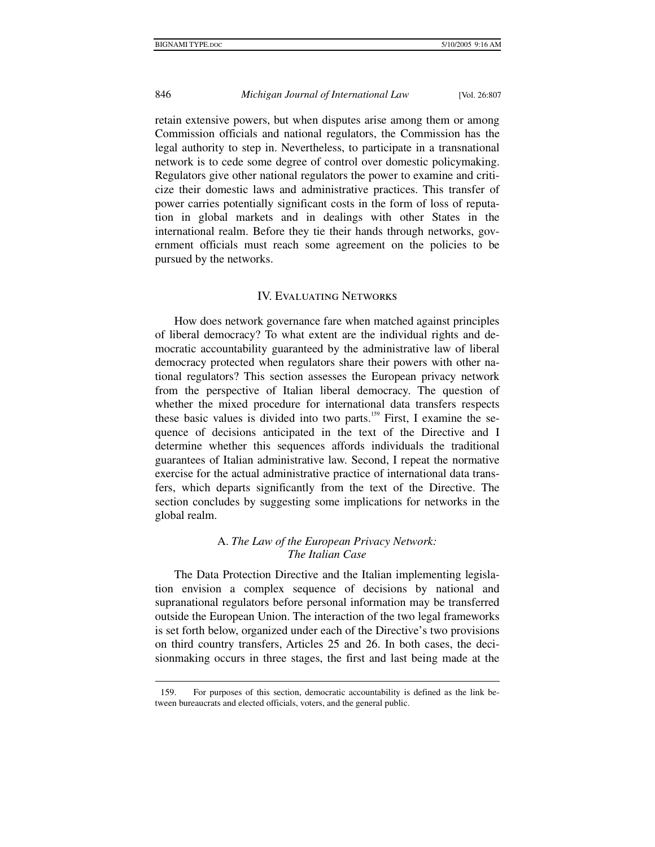# 846 *Michigan Journal of International Law* [Vol. 26:807

retain extensive powers, but when disputes arise among them or among Commission officials and national regulators, the Commission has the legal authority to step in. Nevertheless, to participate in a transnational network is to cede some degree of control over domestic policymaking. Regulators give other national regulators the power to examine and criticize their domestic laws and administrative practices. This transfer of power carries potentially significant costs in the form of loss of reputation in global markets and in dealings with other States in the international realm. Before they tie their hands through networks, government officials must reach some agreement on the policies to be pursued by the networks.

#### IV. Evaluating Networks

How does network governance fare when matched against principles of liberal democracy? To what extent are the individual rights and democratic accountability guaranteed by the administrative law of liberal democracy protected when regulators share their powers with other national regulators? This section assesses the European privacy network from the perspective of Italian liberal democracy. The question of whether the mixed procedure for international data transfers respects these basic values is divided into two parts.<sup>159</sup> First, I examine the sequence of decisions anticipated in the text of the Directive and I determine whether this sequences affords individuals the traditional guarantees of Italian administrative law. Second, I repeat the normative exercise for the actual administrative practice of international data transfers, which departs significantly from the text of the Directive. The section concludes by suggesting some implications for networks in the global realm.

#### A. *The Law of the European Privacy Network: The Italian Case*

The Data Protection Directive and the Italian implementing legislation envision a complex sequence of decisions by national and supranational regulators before personal information may be transferred outside the European Union. The interaction of the two legal frameworks is set forth below, organized under each of the Directive's two provisions on third country transfers, Articles 25 and 26. In both cases, the decisionmaking occurs in three stages, the first and last being made at the

 <sup>159.</sup> For purposes of this section, democratic accountability is defined as the link between bureaucrats and elected officials, voters, and the general public.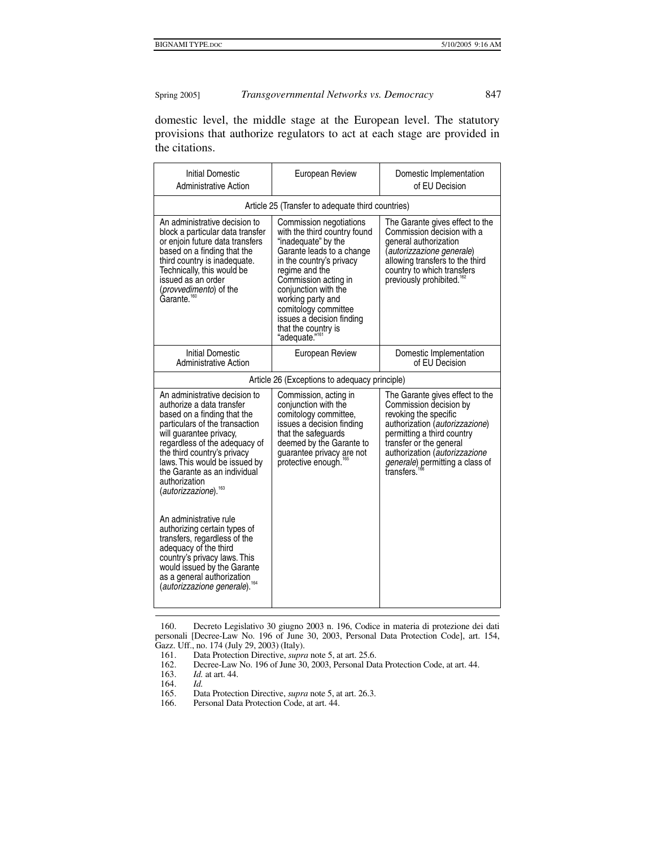domestic level, the middle stage at the European level. The statutory provisions that authorize regulators to act at each stage are provided in the citations.

| <b>Initial Domestic</b><br><b>Administrative Action</b>                                                                                                                                                                                                                                                                                      | European Review                                                                                                                                                                                                                                                                                                                          | Domestic Implementation<br>of EU Decision                                                                                                                                                                                                                       |  |  |
|----------------------------------------------------------------------------------------------------------------------------------------------------------------------------------------------------------------------------------------------------------------------------------------------------------------------------------------------|------------------------------------------------------------------------------------------------------------------------------------------------------------------------------------------------------------------------------------------------------------------------------------------------------------------------------------------|-----------------------------------------------------------------------------------------------------------------------------------------------------------------------------------------------------------------------------------------------------------------|--|--|
| Article 25 (Transfer to adequate third countries)                                                                                                                                                                                                                                                                                            |                                                                                                                                                                                                                                                                                                                                          |                                                                                                                                                                                                                                                                 |  |  |
| An administrative decision to<br>block a particular data transfer<br>or enjoin future data transfers<br>based on a finding that the<br>third country is inadequate.<br>Technically, this would be<br>issued as an order<br>(provvedimento) of the<br>Garante. <sup>160</sup>                                                                 | Commission negotiations<br>with the third country found<br>"inadequate" by the<br>Garante leads to a change<br>in the country's privacy<br>regime and the<br>Commission acting in<br>conjunction with the<br>working party and<br>comitology committee<br>issues a decision finding<br>that the country is<br>"adequate." <sup>161</sup> | The Garante gives effect to the<br>Commission decision with a<br>general authorization<br>(autorizzazione generale)<br>allowing transfers to the third<br>country to which transfers<br>previously prohibited."                                                 |  |  |
| <b>Initial Domestic</b><br><b>Administrative Action</b>                                                                                                                                                                                                                                                                                      | European Review                                                                                                                                                                                                                                                                                                                          | Domestic Implementation<br>of EU Decision                                                                                                                                                                                                                       |  |  |
| Article 26 (Exceptions to adequacy principle)                                                                                                                                                                                                                                                                                                |                                                                                                                                                                                                                                                                                                                                          |                                                                                                                                                                                                                                                                 |  |  |
| An administrative decision to<br>authorize a data transfer<br>based on a finding that the<br>particulars of the transaction<br>will guarantee privacy,<br>regardless of the adequacy of<br>the third country's privacy<br>laws. This would be issued by<br>the Garante as an individual<br>authorization<br>(autorizzazione). <sup>163</sup> | Commission, acting in<br>conjunction with the<br>comitology committee,<br>issues a decision finding<br>that the safeguards<br>deemed by the Garante to<br>guarantee privacy are not<br>protective enough.                                                                                                                                | The Garante gives effect to the<br>Commission decision by<br>revoking the specific<br>authorization (autorizzazione)<br>permitting a third country<br>transfer or the general<br>authorization (autorizzazione<br>generale) permitting a class of<br>transfers. |  |  |
| An administrative rule<br>authorizing certain types of<br>transfers, regardless of the<br>adequacy of the third<br>country's privacy laws. This<br>would issued by the Garante<br>as a general authorization<br>autorizzazione generale). <sup>164</sup>                                                                                     |                                                                                                                                                                                                                                                                                                                                          |                                                                                                                                                                                                                                                                 |  |  |

 160. Decreto Legislativo 30 giugno 2003 n. 196, Codice in materia di protezione dei dati personali [Decree-Law No. 196 of June 30, 2003, Personal Data Protection Code], art. 154, Gazz. Uff., no. 174 (July 29, 2003) (Italy).<br>161. Data Protection Directive, *supro* 

161. Data Protection Directive, *supra* note 5, at art. 25.6.<br>162. Decree-Law No. 196 of June 30, 2003, Personal Dat

162. Decree-Law No. 196 of June 30, 2003, Personal Data Protection Code, at art. 44. 163. Id. at art. 44.

*Id.* at art. 44.<br>*Id.* 

Personal Data Protection Code, at art. 44.

 <sup>164.</sup> *Id.*

<sup>165.</sup> Data Protection Directive, *supra* note 5, at art. 26.3.<br>166. Personal Data Protection Code, at art. 44.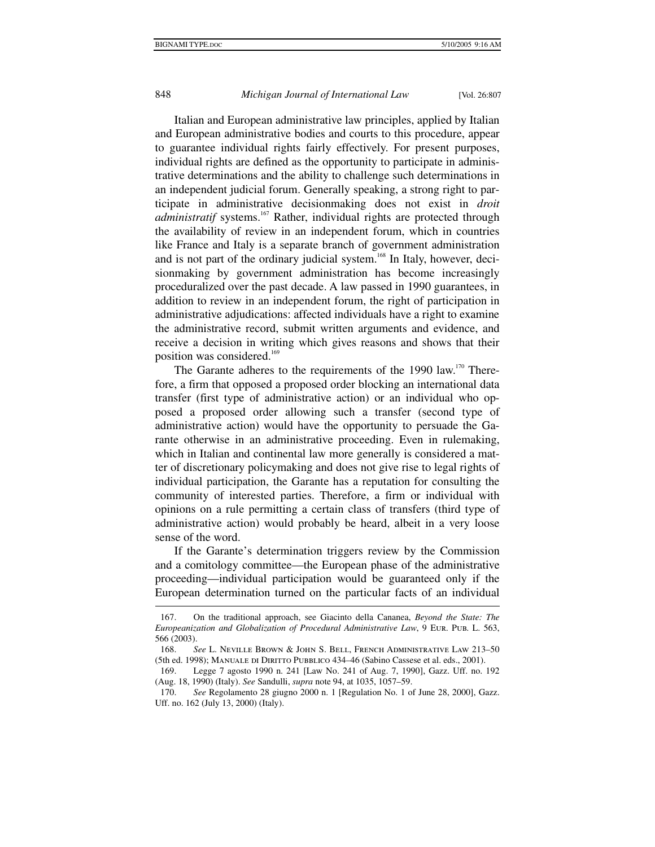#### 848 *Michigan Journal of International Law* [Vol. 26:807

Italian and European administrative law principles, applied by Italian and European administrative bodies and courts to this procedure, appear to guarantee individual rights fairly effectively. For present purposes, individual rights are defined as the opportunity to participate in administrative determinations and the ability to challenge such determinations in an independent judicial forum. Generally speaking, a strong right to participate in administrative decisionmaking does not exist in *droit administratif* systems.<sup>167</sup> Rather, individual rights are protected through the availability of review in an independent forum, which in countries like France and Italy is a separate branch of government administration and is not part of the ordinary judicial system.<sup>168</sup> In Italy, however, decisionmaking by government administration has become increasingly proceduralized over the past decade. A law passed in 1990 guarantees, in addition to review in an independent forum, the right of participation in administrative adjudications: affected individuals have a right to examine the administrative record, submit written arguments and evidence, and receive a decision in writing which gives reasons and shows that their position was considered.<sup>169</sup>

The Garante adheres to the requirements of the 1990 law.<sup>170</sup> Therefore, a firm that opposed a proposed order blocking an international data transfer (first type of administrative action) or an individual who opposed a proposed order allowing such a transfer (second type of administrative action) would have the opportunity to persuade the Garante otherwise in an administrative proceeding. Even in rulemaking, which in Italian and continental law more generally is considered a matter of discretionary policymaking and does not give rise to legal rights of individual participation, the Garante has a reputation for consulting the community of interested parties. Therefore, a firm or individual with opinions on a rule permitting a certain class of transfers (third type of administrative action) would probably be heard, albeit in a very loose sense of the word.

If the Garante's determination triggers review by the Commission and a comitology committee—the European phase of the administrative proceeding—individual participation would be guaranteed only if the European determination turned on the particular facts of an individual

 <sup>167.</sup> On the traditional approach, see Giacinto della Cananea, *Beyond the State: The Europeanization and Globalization of Procedural Administrative Law*, 9 Eur. Pub. L. 563, 566 (2003).

 <sup>168.</sup> *See* L. Neville Brown & John S. Bell, French Administrative Law 213–50 (5th ed. 1998); Manuale di Diritto Pubblico 434–46 (Sabino Cassese et al. eds., 2001).

 <sup>169.</sup> Legge 7 agosto 1990 n. 241 [Law No. 241 of Aug. 7, 1990], Gazz. Uff. no. 192 (Aug. 18, 1990) (Italy). *See* Sandulli, *supra* note 94, at 1035, 1057–59.

 <sup>170.</sup> *See* Regolamento 28 giugno 2000 n. 1 [Regulation No. 1 of June 28, 2000], Gazz. Uff. no. 162 (July 13, 2000) (Italy).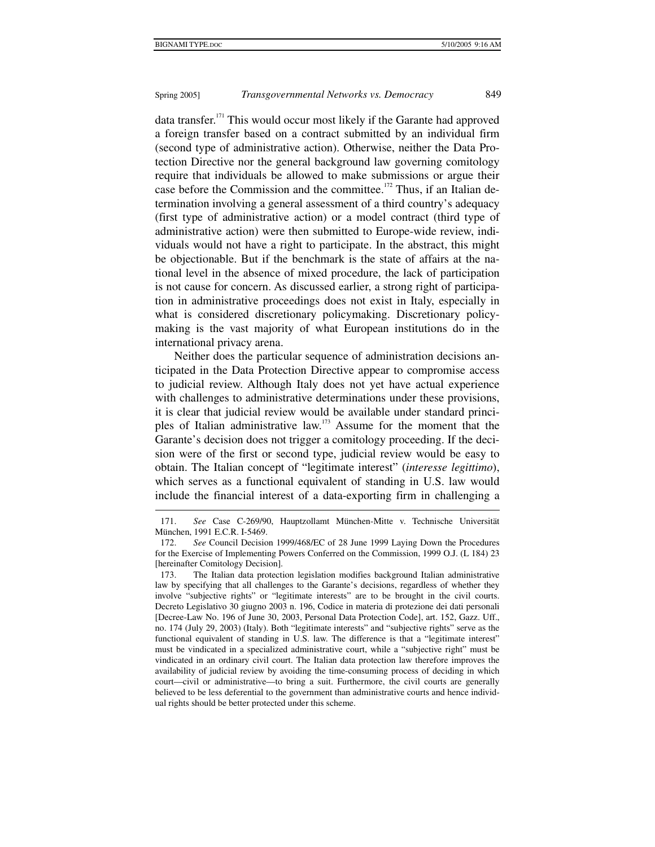# Spring 2005] *Transgovernmental Networks vs. Democracy* 849

data transfer.<sup>171</sup> This would occur most likely if the Garante had approved a foreign transfer based on a contract submitted by an individual firm (second type of administrative action). Otherwise, neither the Data Protection Directive nor the general background law governing comitology require that individuals be allowed to make submissions or argue their case before the Commission and the committee.<sup>172</sup> Thus, if an Italian determination involving a general assessment of a third country's adequacy (first type of administrative action) or a model contract (third type of administrative action) were then submitted to Europe-wide review, individuals would not have a right to participate. In the abstract, this might be objectionable. But if the benchmark is the state of affairs at the national level in the absence of mixed procedure, the lack of participation is not cause for concern. As discussed earlier, a strong right of participation in administrative proceedings does not exist in Italy, especially in what is considered discretionary policymaking. Discretionary policymaking is the vast majority of what European institutions do in the international privacy arena.

Neither does the particular sequence of administration decisions anticipated in the Data Protection Directive appear to compromise access to judicial review. Although Italy does not yet have actual experience with challenges to administrative determinations under these provisions, it is clear that judicial review would be available under standard principles of Italian administrative law.173 Assume for the moment that the Garante's decision does not trigger a comitology proceeding. If the decision were of the first or second type, judicial review would be easy to obtain. The Italian concept of "legitimate interest" (*interesse legittimo*), which serves as a functional equivalent of standing in U.S. law would include the financial interest of a data-exporting firm in challenging a

 <sup>171.</sup> *See* Case C-269/90, Hauptzollamt München-Mitte v. Technische Universität München, 1991 E.C.R. I-5469.

 <sup>172.</sup> *See* Council Decision 1999/468/EC of 28 June 1999 Laying Down the Procedures for the Exercise of Implementing Powers Conferred on the Commission, 1999 O.J. (L 184) 23 [hereinafter Comitology Decision].

 <sup>173.</sup> The Italian data protection legislation modifies background Italian administrative law by specifying that all challenges to the Garante's decisions, regardless of whether they involve "subjective rights" or "legitimate interests" are to be brought in the civil courts. Decreto Legislativo 30 giugno 2003 n. 196, Codice in materia di protezione dei dati personali [Decree-Law No. 196 of June 30, 2003, Personal Data Protection Code], art. 152, Gazz. Uff., no. 174 (July 29, 2003) (Italy). Both "legitimate interests" and "subjective rights" serve as the functional equivalent of standing in U.S. law. The difference is that a "legitimate interest" must be vindicated in a specialized administrative court, while a "subjective right" must be vindicated in an ordinary civil court. The Italian data protection law therefore improves the availability of judicial review by avoiding the time-consuming process of deciding in which court—civil or administrative—to bring a suit. Furthermore, the civil courts are generally believed to be less deferential to the government than administrative courts and hence individual rights should be better protected under this scheme.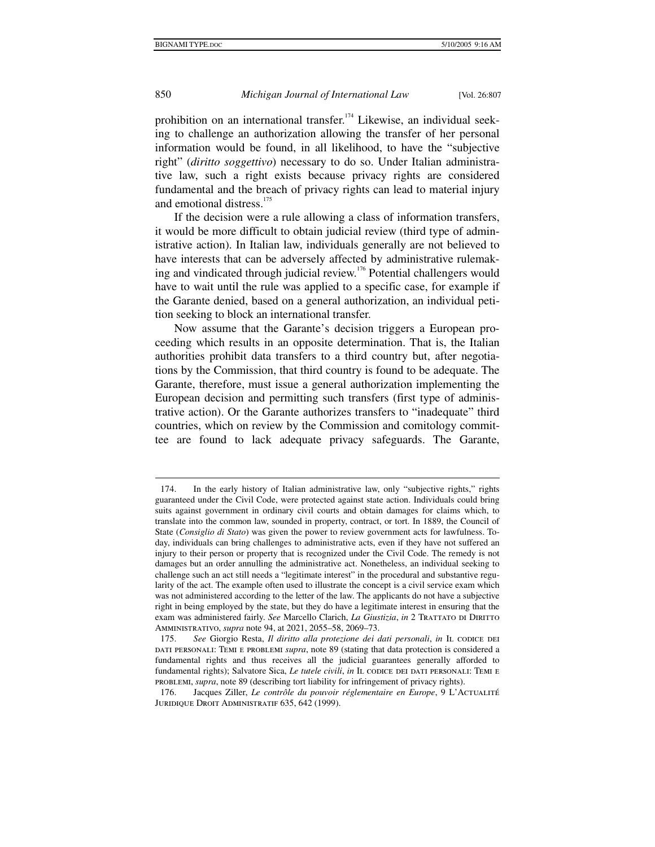prohibition on an international transfer.<sup>174</sup> Likewise, an individual seeking to challenge an authorization allowing the transfer of her personal information would be found, in all likelihood, to have the "subjective right" (*diritto soggettivo*) necessary to do so. Under Italian administrative law, such a right exists because privacy rights are considered fundamental and the breach of privacy rights can lead to material injury and emotional distress.<sup>175</sup>

If the decision were a rule allowing a class of information transfers, it would be more difficult to obtain judicial review (third type of administrative action). In Italian law, individuals generally are not believed to have interests that can be adversely affected by administrative rulemaking and vindicated through judicial review.<sup>176</sup> Potential challengers would have to wait until the rule was applied to a specific case, for example if the Garante denied, based on a general authorization, an individual petition seeking to block an international transfer.

Now assume that the Garante's decision triggers a European proceeding which results in an opposite determination. That is, the Italian authorities prohibit data transfers to a third country but, after negotiations by the Commission, that third country is found to be adequate. The Garante, therefore, must issue a general authorization implementing the European decision and permitting such transfers (first type of administrative action). Or the Garante authorizes transfers to "inadequate" third countries, which on review by the Commission and comitology committee are found to lack adequate privacy safeguards. The Garante,

 $\overline{a}$ 

 <sup>174.</sup> In the early history of Italian administrative law, only "subjective rights," rights guaranteed under the Civil Code, were protected against state action. Individuals could bring suits against government in ordinary civil courts and obtain damages for claims which, to translate into the common law, sounded in property, contract, or tort. In 1889, the Council of State (*Consiglio di Stato*) was given the power to review government acts for lawfulness. Today, individuals can bring challenges to administrative acts, even if they have not suffered an injury to their person or property that is recognized under the Civil Code. The remedy is not damages but an order annulling the administrative act. Nonetheless, an individual seeking to challenge such an act still needs a "legitimate interest" in the procedural and substantive regularity of the act. The example often used to illustrate the concept is a civil service exam which was not administered according to the letter of the law. The applicants do not have a subjective right in being employed by the state, but they do have a legitimate interest in ensuring that the exam was administered fairly. See Marcello Clarich, *La Giustizia*, *in* 2 TRATTATO DI DIRITTO Amministrativo, *supra* note 94, at 2021, 2055–58, 2069–73.

<sup>175.</sup> See Giorgio Resta, *Il diritto alla protezione dei dati personali*, *in* IL CODICE DEI dati personali: Temi e problemi *supra*, note 89 (stating that data protection is considered a fundamental rights and thus receives all the judicial guarantees generally afforded to fundamental rights); Salvatore Sica, *Le tutele civili*, *in* IL CODICE DEI DATI PERSONALI: TEMI E problemi, *supra*, note 89 (describing tort liability for infringement of privacy rights).

 <sup>176.</sup> Jacques Ziller, *Le contrôle du pouvoir réglementaire en Europe*, 9 L'Actualité Juridique Droit Administratif 635, 642 (1999).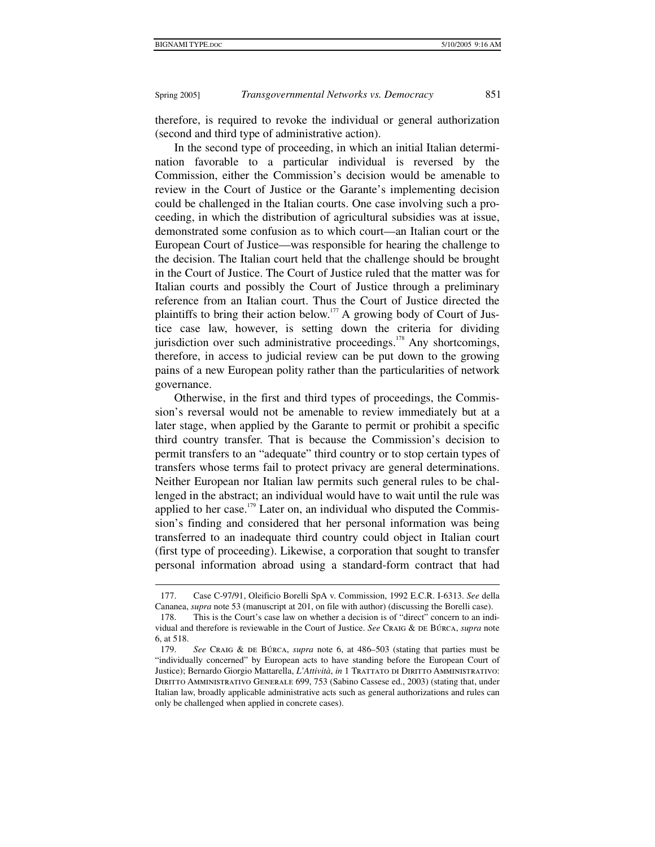Spring 2005] *Transgovernmental Networks vs. Democracy* 851

therefore, is required to revoke the individual or general authorization (second and third type of administrative action).

In the second type of proceeding, in which an initial Italian determination favorable to a particular individual is reversed by the Commission, either the Commission's decision would be amenable to review in the Court of Justice or the Garante's implementing decision could be challenged in the Italian courts. One case involving such a proceeding, in which the distribution of agricultural subsidies was at issue, demonstrated some confusion as to which court—an Italian court or the European Court of Justice—was responsible for hearing the challenge to the decision. The Italian court held that the challenge should be brought in the Court of Justice. The Court of Justice ruled that the matter was for Italian courts and possibly the Court of Justice through a preliminary reference from an Italian court. Thus the Court of Justice directed the plaintiffs to bring their action below.<sup>177</sup> A growing body of Court of Justice case law, however, is setting down the criteria for dividing jurisdiction over such administrative proceedings.<sup>178</sup> Any shortcomings, therefore, in access to judicial review can be put down to the growing pains of a new European polity rather than the particularities of network governance.

Otherwise, in the first and third types of proceedings, the Commission's reversal would not be amenable to review immediately but at a later stage, when applied by the Garante to permit or prohibit a specific third country transfer. That is because the Commission's decision to permit transfers to an "adequate" third country or to stop certain types of transfers whose terms fail to protect privacy are general determinations. Neither European nor Italian law permits such general rules to be challenged in the abstract; an individual would have to wait until the rule was applied to her case.<sup>179</sup> Later on, an individual who disputed the Commission's finding and considered that her personal information was being transferred to an inadequate third country could object in Italian court (first type of proceeding). Likewise, a corporation that sought to transfer personal information abroad using a standard-form contract that had

 <sup>177.</sup> Case C-97/91, Oleificio Borelli SpA v. Commission, 1992 E.C.R. I-6313. *See* della Cananea, *supra* note 53 (manuscript at 201, on file with author) (discussing the Borelli case).

 <sup>178.</sup> This is the Court's case law on whether a decision is of "direct" concern to an individual and therefore is reviewable in the Court of Justice. *See* Craig & de Búrca, *supra* note 6, at 518.

 <sup>179.</sup> *See* Craig & de Búrca, *supra* note 6, at 486–503 (stating that parties must be "individually concerned" by European acts to have standing before the European Court of Justice); Bernardo Giorgio Mattarella, *L'Attività*, *in* 1 TRATTATO DI DIRITTO AMMINISTRATIVO: Diritto Amministrativo Generale 699, 753 (Sabino Cassese ed., 2003) (stating that, under Italian law, broadly applicable administrative acts such as general authorizations and rules can only be challenged when applied in concrete cases).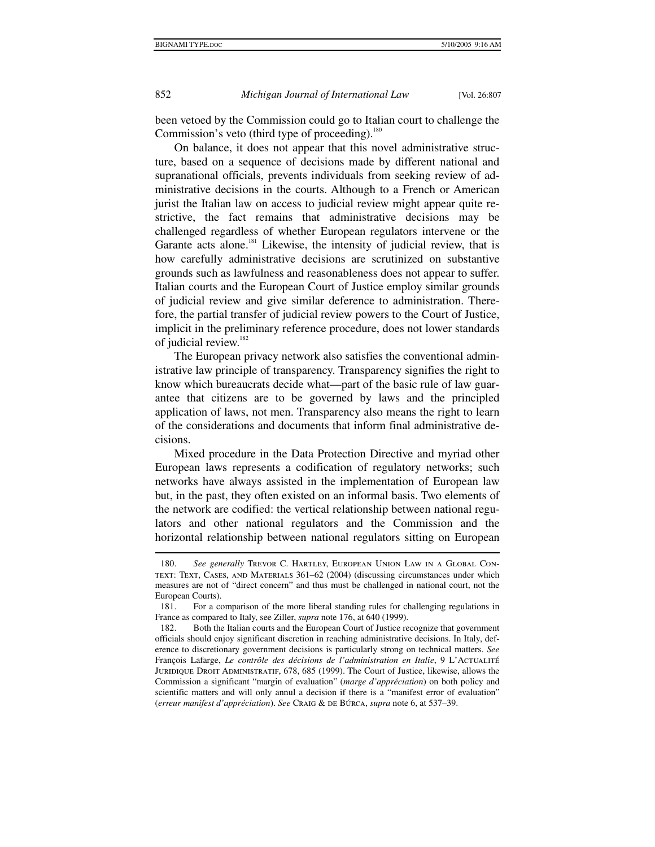852 *Michigan Journal of International Law* [Vol. 26:807

been vetoed by the Commission could go to Italian court to challenge the Commission's veto (third type of proceeding).<sup>180</sup>

On balance, it does not appear that this novel administrative structure, based on a sequence of decisions made by different national and supranational officials, prevents individuals from seeking review of administrative decisions in the courts. Although to a French or American jurist the Italian law on access to judicial review might appear quite restrictive, the fact remains that administrative decisions may be challenged regardless of whether European regulators intervene or the Garante acts alone.<sup>181</sup> Likewise, the intensity of judicial review, that is how carefully administrative decisions are scrutinized on substantive grounds such as lawfulness and reasonableness does not appear to suffer. Italian courts and the European Court of Justice employ similar grounds of judicial review and give similar deference to administration. Therefore, the partial transfer of judicial review powers to the Court of Justice, implicit in the preliminary reference procedure, does not lower standards of judicial review.<sup>182</sup>

The European privacy network also satisfies the conventional administrative law principle of transparency. Transparency signifies the right to know which bureaucrats decide what—part of the basic rule of law guarantee that citizens are to be governed by laws and the principled application of laws, not men. Transparency also means the right to learn of the considerations and documents that inform final administrative decisions.

Mixed procedure in the Data Protection Directive and myriad other European laws represents a codification of regulatory networks; such networks have always assisted in the implementation of European law but, in the past, they often existed on an informal basis. Two elements of the network are codified: the vertical relationship between national regulators and other national regulators and the Commission and the horizontal relationship between national regulators sitting on European

 <sup>180.</sup> *See generally* Trevor C. Hartley, European Union Law in a Global Context: Text, Cases, and Materials 361–62 (2004) (discussing circumstances under which measures are not of "direct concern" and thus must be challenged in national court, not the European Courts).

 <sup>181.</sup> For a comparison of the more liberal standing rules for challenging regulations in France as compared to Italy, see Ziller, *supra* note 176, at 640 (1999).

 <sup>182.</sup> Both the Italian courts and the European Court of Justice recognize that government officials should enjoy significant discretion in reaching administrative decisions. In Italy, deference to discretionary government decisions is particularly strong on technical matters. *See* François Lafarge, *Le contrôle des décisions de l'administration en Italie*, 9 L'ACTUALITÉ Juridique Droit Administratif, 678, 685 (1999). The Court of Justice, likewise, allows the Commission a significant "margin of evaluation" (*marge d'appréciation*) on both policy and scientific matters and will only annul a decision if there is a "manifest error of evaluation" (*erreur manifest d'appréciation*). *See* Craig & de Búrca, *supra* note 6, at 537–39.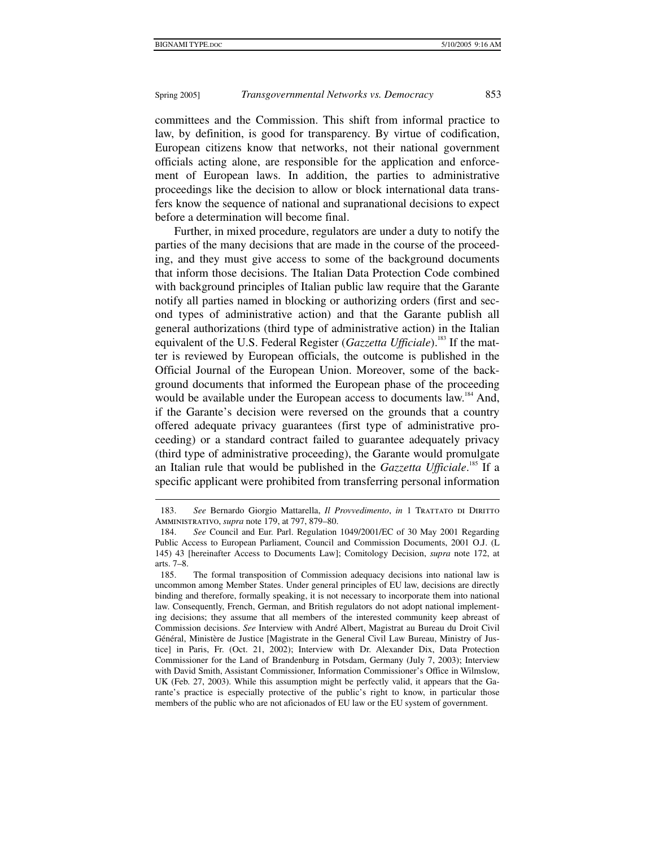1

# Spring 2005] *Transgovernmental Networks vs. Democracy* 853

committees and the Commission. This shift from informal practice to law, by definition, is good for transparency. By virtue of codification, European citizens know that networks, not their national government officials acting alone, are responsible for the application and enforcement of European laws. In addition, the parties to administrative proceedings like the decision to allow or block international data transfers know the sequence of national and supranational decisions to expect before a determination will become final.

Further, in mixed procedure, regulators are under a duty to notify the parties of the many decisions that are made in the course of the proceeding, and they must give access to some of the background documents that inform those decisions. The Italian Data Protection Code combined with background principles of Italian public law require that the Garante notify all parties named in blocking or authorizing orders (first and second types of administrative action) and that the Garante publish all general authorizations (third type of administrative action) in the Italian equivalent of the U.S. Federal Register (*Gazzetta Ufficiale*).<sup>183</sup> If the matter is reviewed by European officials, the outcome is published in the Official Journal of the European Union. Moreover, some of the background documents that informed the European phase of the proceeding would be available under the European access to documents law.<sup>184</sup> And, if the Garante's decision were reversed on the grounds that a country offered adequate privacy guarantees (first type of administrative proceeding) or a standard contract failed to guarantee adequately privacy (third type of administrative proceeding), the Garante would promulgate an Italian rule that would be published in the *Gazzetta Ufficiale*. 185 If a specific applicant were prohibited from transferring personal information

<sup>183.</sup> See Bernardo Giorgio Mattarella, *Il Provvedimento*, *in* 1 TRATTATO DI DIRITTO Amministrativo, *supra* note 179, at 797, 879–80.

 <sup>184.</sup> *See* Council and Eur. Parl. Regulation 1049/2001/EC of 30 May 2001 Regarding Public Access to European Parliament, Council and Commission Documents, 2001 O.J. (L 145) 43 [hereinafter Access to Documents Law]; Comitology Decision, *supra* note 172, at arts. 7–8.

 <sup>185.</sup> The formal transposition of Commission adequacy decisions into national law is uncommon among Member States. Under general principles of EU law, decisions are directly binding and therefore, formally speaking, it is not necessary to incorporate them into national law. Consequently, French, German, and British regulators do not adopt national implementing decisions; they assume that all members of the interested community keep abreast of Commission decisions. *See* Interview with André Albert, Magistrat au Bureau du Droit Civil Général, Ministère de Justice [Magistrate in the General Civil Law Bureau, Ministry of Justice] in Paris, Fr. (Oct. 21, 2002); Interview with Dr. Alexander Dix, Data Protection Commissioner for the Land of Brandenburg in Potsdam, Germany (July 7, 2003); Interview with David Smith, Assistant Commissioner, Information Commissioner's Office in Wilmslow, UK (Feb. 27, 2003). While this assumption might be perfectly valid, it appears that the Garante's practice is especially protective of the public's right to know, in particular those members of the public who are not aficionados of EU law or the EU system of government.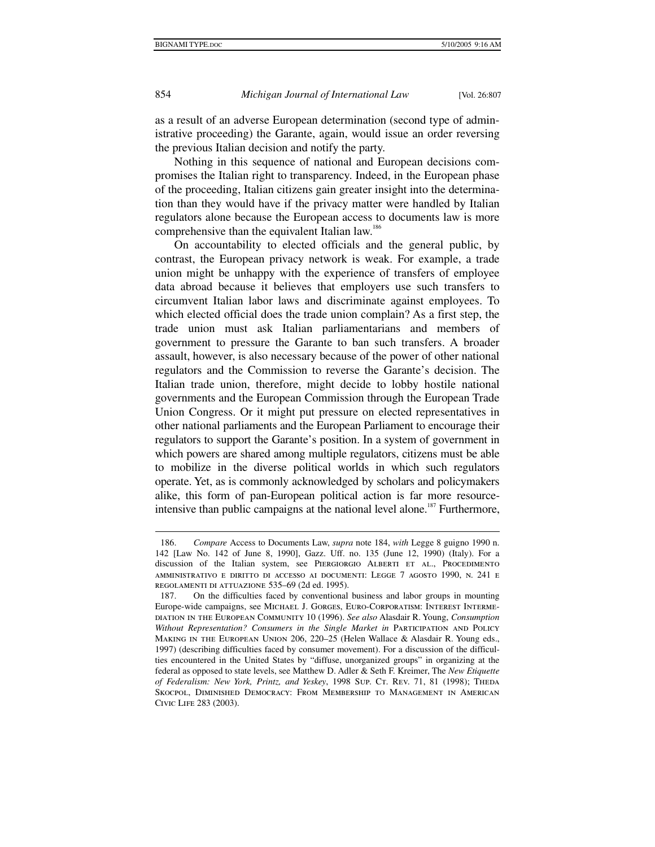1

854 *Michigan Journal of International Law* [Vol. 26:807

as a result of an adverse European determination (second type of administrative proceeding) the Garante, again, would issue an order reversing the previous Italian decision and notify the party.

Nothing in this sequence of national and European decisions compromises the Italian right to transparency. Indeed, in the European phase of the proceeding, Italian citizens gain greater insight into the determination than they would have if the privacy matter were handled by Italian regulators alone because the European access to documents law is more comprehensive than the equivalent Italian law.<sup>186</sup>

On accountability to elected officials and the general public, by contrast, the European privacy network is weak. For example, a trade union might be unhappy with the experience of transfers of employee data abroad because it believes that employers use such transfers to circumvent Italian labor laws and discriminate against employees. To which elected official does the trade union complain? As a first step, the trade union must ask Italian parliamentarians and members of government to pressure the Garante to ban such transfers. A broader assault, however, is also necessary because of the power of other national regulators and the Commission to reverse the Garante's decision. The Italian trade union, therefore, might decide to lobby hostile national governments and the European Commission through the European Trade Union Congress. Or it might put pressure on elected representatives in other national parliaments and the European Parliament to encourage their regulators to support the Garante's position. In a system of government in which powers are shared among multiple regulators, citizens must be able to mobilize in the diverse political worlds in which such regulators operate. Yet, as is commonly acknowledged by scholars and policymakers alike, this form of pan-European political action is far more resourceintensive than public campaigns at the national level alone.<sup>187</sup> Furthermore,

 <sup>186.</sup> *Compare* Access to Documents Law, *supra* note 184, *with* Legge 8 guigno 1990 n. 142 [Law No. 142 of June 8, 1990], Gazz. Uff. no. 135 (June 12, 1990) (Italy). For a discussion of the Italian system, see PIERGIORGIO ALBERTI ET AL., PROCEDIMENTO amministrativo e diritto di accesso ai documenti: Legge 7 agosto 1990, n. 241 e regolamenti di attuazione 535–69 (2d ed. 1995).

 <sup>187.</sup> On the difficulties faced by conventional business and labor groups in mounting Europe-wide campaigns, see Michael J. Gorges, Euro-Corporatism: Interest Intermediation in the European Community 10 (1996). *See also* Alasdair R. Young, *Consumption Without Representation? Consumers in the Single Market in* Participation and Policy Making in the European Union 206, 220–25 (Helen Wallace & Alasdair R. Young eds., 1997) (describing difficulties faced by consumer movement). For a discussion of the difficulties encountered in the United States by "diffuse, unorganized groups" in organizing at the federal as opposed to state levels, see Matthew D. Adler & Seth F. Kreimer, The *New Etiquette of Federalism: New York, Printz, and Yeskey*, 1998 Sup. CT. REV. 71, 81 (1998); THEDA Skocpol, Diminished Democracy: From Membership to Management in American Civic Life 283 (2003).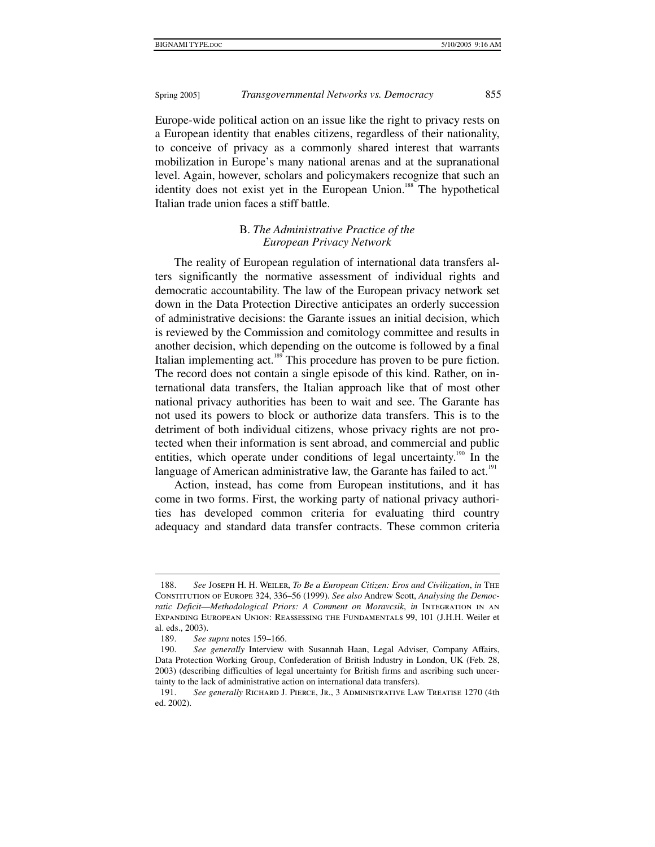Europe-wide political action on an issue like the right to privacy rests on a European identity that enables citizens, regardless of their nationality, to conceive of privacy as a commonly shared interest that warrants mobilization in Europe's many national arenas and at the supranational level. Again, however, scholars and policymakers recognize that such an identity does not exist yet in the European Union.<sup>188</sup> The hypothetical Italian trade union faces a stiff battle.

# B. *The Administrative Practice of the European Privacy Network*

The reality of European regulation of international data transfers alters significantly the normative assessment of individual rights and democratic accountability. The law of the European privacy network set down in the Data Protection Directive anticipates an orderly succession of administrative decisions: the Garante issues an initial decision, which is reviewed by the Commission and comitology committee and results in another decision, which depending on the outcome is followed by a final Italian implementing act.<sup>189</sup> This procedure has proven to be pure fiction. The record does not contain a single episode of this kind. Rather, on international data transfers, the Italian approach like that of most other national privacy authorities has been to wait and see. The Garante has not used its powers to block or authorize data transfers. This is to the detriment of both individual citizens, whose privacy rights are not protected when their information is sent abroad, and commercial and public entities, which operate under conditions of legal uncertainty.<sup>190</sup> In the language of American administrative law, the Garante has failed to act.<sup>191</sup>

Action, instead, has come from European institutions, and it has come in two forms. First, the working party of national privacy authorities has developed common criteria for evaluating third country adequacy and standard data transfer contracts. These common criteria

 $\overline{a}$ 

 <sup>188.</sup> *See* Joseph H. H. Weiler, *To Be a European Citizen: Eros and Civilization*, *in* The Constitution of Europe 324, 336–56 (1999). *See also* Andrew Scott, *Analysing the Democratic Deficit*—*Methodological Priors: A Comment on Moravcsik*, *in* Integration in an Expanding European Union: Reassessing the Fundamentals 99, 101 (J.H.H. Weiler et al. eds., 2003).

 <sup>189.</sup> *See supra* notes 159–166.

 <sup>190.</sup> *See generally* Interview with Susannah Haan, Legal Adviser, Company Affairs, Data Protection Working Group, Confederation of British Industry in London, UK (Feb. 28, 2003) (describing difficulties of legal uncertainty for British firms and ascribing such uncertainty to the lack of administrative action on international data transfers).

 <sup>191.</sup> *See generally* Richard J. Pierce, Jr., 3 Administrative Law Treatise 1270 (4th ed. 2002).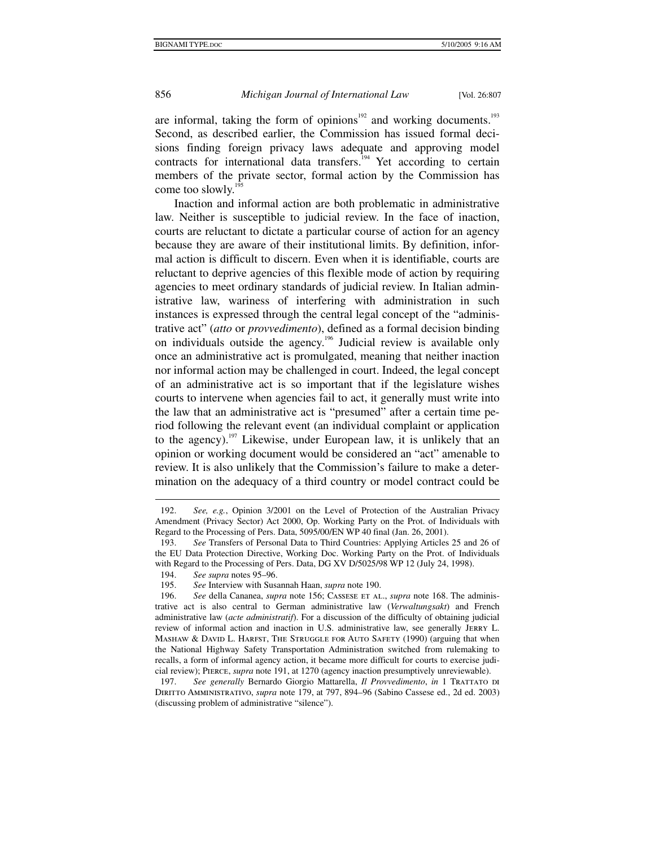are informal, taking the form of opinions<sup>192</sup> and working documents.<sup>193</sup> Second, as described earlier, the Commission has issued formal decisions finding foreign privacy laws adequate and approving model contracts for international data transfers.<sup>194</sup> Yet according to certain members of the private sector, formal action by the Commission has come too slowly.<sup>19</sup>

Inaction and informal action are both problematic in administrative law. Neither is susceptible to judicial review. In the face of inaction, courts are reluctant to dictate a particular course of action for an agency because they are aware of their institutional limits. By definition, informal action is difficult to discern. Even when it is identifiable, courts are reluctant to deprive agencies of this flexible mode of action by requiring agencies to meet ordinary standards of judicial review. In Italian administrative law, wariness of interfering with administration in such instances is expressed through the central legal concept of the "administrative act" (*atto* or *provvedimento*), defined as a formal decision binding on individuals outside the agency.<sup>196</sup> Judicial review is available only once an administrative act is promulgated, meaning that neither inaction nor informal action may be challenged in court. Indeed, the legal concept of an administrative act is so important that if the legislature wishes courts to intervene when agencies fail to act, it generally must write into the law that an administrative act is "presumed" after a certain time period following the relevant event (an individual complaint or application to the agency).<sup>197</sup> Likewise, under European law, it is unlikely that an opinion or working document would be considered an "act" amenable to review. It is also unlikely that the Commission's failure to make a determination on the adequacy of a third country or model contract could be

 <sup>192.</sup> *See, e.g.*, Opinion 3/2001 on the Level of Protection of the Australian Privacy Amendment (Privacy Sector) Act 2000, Op. Working Party on the Prot. of Individuals with Regard to the Processing of Pers. Data, 5095/00/EN WP 40 final (Jan. 26, 2001).

 <sup>193.</sup> *See* Transfers of Personal Data to Third Countries: Applying Articles 25 and 26 of the EU Data Protection Directive, Working Doc. Working Party on the Prot. of Individuals with Regard to the Processing of Pers. Data, DG XV D/5025/98 WP 12 (July 24, 1998).

 <sup>194.</sup> *See supra* notes 95–96.

 <sup>195.</sup> *See* Interview with Susannah Haan, *supra* note 190.

 <sup>196.</sup> *See* della Cananea, *supra* note 156; Cassese et al., *supra* note 168. The administrative act is also central to German administrative law (*Verwaltungsakt*) and French administrative law (*acte administratif*). For a discussion of the difficulty of obtaining judicial review of informal action and inaction in U.S. administrative law, see generally Jerry L. MASHAW & DAVID L. HARFST, THE STRUGGLE FOR AUTO SAFETY (1990) (arguing that when the National Highway Safety Transportation Administration switched from rulemaking to recalls, a form of informal agency action, it became more difficult for courts to exercise judicial review); Pierce, *supra* note 191, at 1270 (agency inaction presumptively unreviewable).

 <sup>197.</sup> *See generally* Bernardo Giorgio Mattarella, *Il Provvedimento*, *in* 1 Trattato di Diritto Amministrativo, *supra* note 179, at 797, 894–96 (Sabino Cassese ed., 2d ed. 2003) (discussing problem of administrative "silence").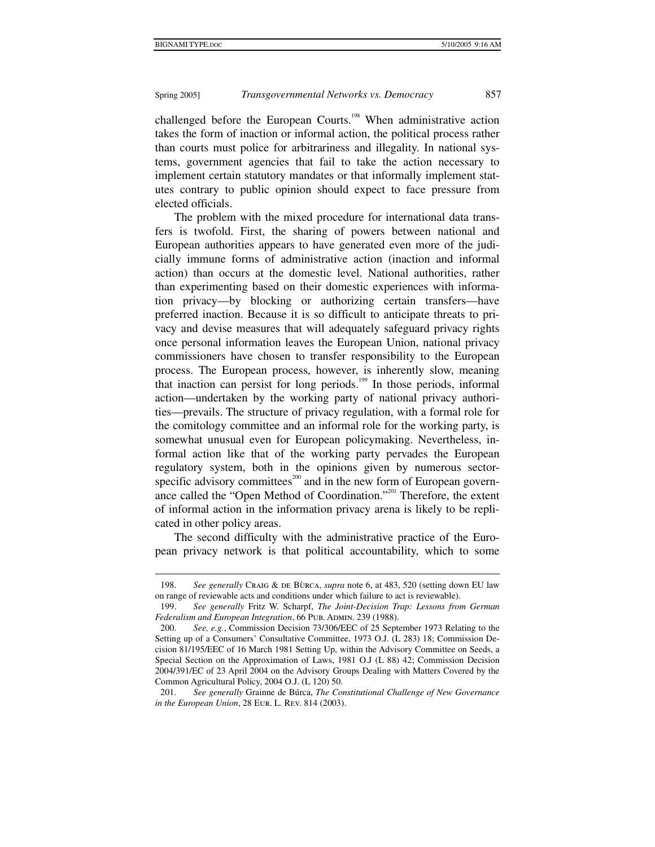1

# Spring 2005] *Transgovernmental Networks vs. Democracy* 857

challenged before the European Courts.<sup>198</sup> When administrative action takes the form of inaction or informal action, the political process rather than courts must police for arbitrariness and illegality. In national systems, government agencies that fail to take the action necessary to implement certain statutory mandates or that informally implement statutes contrary to public opinion should expect to face pressure from elected officials.

The problem with the mixed procedure for international data transfers is twofold. First, the sharing of powers between national and European authorities appears to have generated even more of the judicially immune forms of administrative action (inaction and informal action) than occurs at the domestic level. National authorities, rather than experimenting based on their domestic experiences with information privacy—by blocking or authorizing certain transfers—have preferred inaction. Because it is so difficult to anticipate threats to privacy and devise measures that will adequately safeguard privacy rights once personal information leaves the European Union, national privacy commissioners have chosen to transfer responsibility to the European process. The European process, however, is inherently slow, meaning that inaction can persist for long periods.199 In those periods, informal action—undertaken by the working party of national privacy authorities—prevails. The structure of privacy regulation, with a formal role for the comitology committee and an informal role for the working party, is somewhat unusual even for European policymaking. Nevertheless, informal action like that of the working party pervades the European regulatory system, both in the opinions given by numerous sectorspecific advisory committees<sup>200</sup> and in the new form of European governance called the "Open Method of Coordination."201 Therefore, the extent of informal action in the information privacy arena is likely to be replicated in other policy areas.

The second difficulty with the administrative practice of the European privacy network is that political accountability, which to some

<sup>198.</sup> *See generally* Craig & DE BÙRCA, *supra* note 6, at 483, 520 (setting down EU law on range of reviewable acts and conditions under which failure to act is reviewable).

 <sup>199.</sup> *See generally* Fritz W. Scharpf, *The Joint-Decision Trap: Lessons from German*  Federalism and European Integration, 66 PUB. ADMIN. 239 (1988).

 <sup>200.</sup> *See, e.g.*, Commission Decision 73/306/EEC of 25 September 1973 Relating to the Setting up of a Consumers' Consultative Committee, 1973 O.J. (L 283) 18; Commission Decision 81/195/EEC of 16 March 1981 Setting Up, within the Advisory Committee on Seeds, a Special Section on the Approximation of Laws, 1981 O.J (L 88) 42; Commission Decision 2004/391/EC of 23 April 2004 on the Advisory Groups Dealing with Matters Covered by the Common Agricultural Policy, 2004 O.J. (L 120) 50.

 <sup>201.</sup> *See generally* Grainne de Búrca, *The Constitutional Challenge of New Governance in the European Union*, 28 Eur. L. Rev. 814 (2003).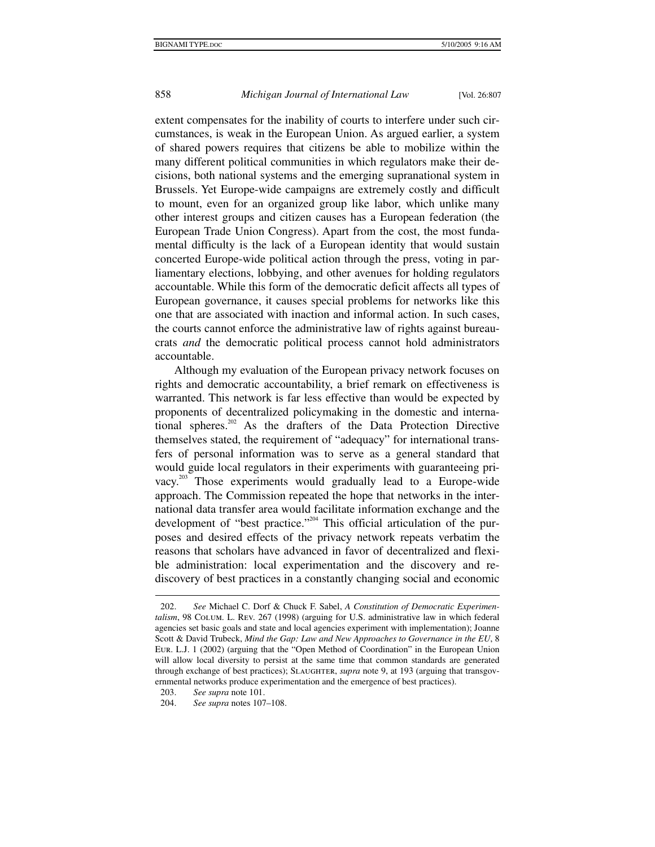extent compensates for the inability of courts to interfere under such circumstances, is weak in the European Union. As argued earlier, a system of shared powers requires that citizens be able to mobilize within the many different political communities in which regulators make their decisions, both national systems and the emerging supranational system in Brussels. Yet Europe-wide campaigns are extremely costly and difficult to mount, even for an organized group like labor, which unlike many other interest groups and citizen causes has a European federation (the European Trade Union Congress). Apart from the cost, the most fundamental difficulty is the lack of a European identity that would sustain concerted Europe-wide political action through the press, voting in parliamentary elections, lobbying, and other avenues for holding regulators accountable. While this form of the democratic deficit affects all types of European governance, it causes special problems for networks like this one that are associated with inaction and informal action. In such cases, the courts cannot enforce the administrative law of rights against bureaucrats *and* the democratic political process cannot hold administrators accountable.

Although my evaluation of the European privacy network focuses on rights and democratic accountability, a brief remark on effectiveness is warranted. This network is far less effective than would be expected by proponents of decentralized policymaking in the domestic and international spheres.<sup>202</sup> As the drafters of the Data Protection Directive themselves stated, the requirement of "adequacy" for international transfers of personal information was to serve as a general standard that would guide local regulators in their experiments with guaranteeing privacy.<sup>203</sup> Those experiments would gradually lead to a Europe-wide approach. The Commission repeated the hope that networks in the international data transfer area would facilitate information exchange and the development of "best practice."<sup>204</sup> This official articulation of the purposes and desired effects of the privacy network repeats verbatim the reasons that scholars have advanced in favor of decentralized and flexible administration: local experimentation and the discovery and rediscovery of best practices in a constantly changing social and economic

 <sup>202.</sup> *See* Michael C. Dorf & Chuck F. Sabel, *A Constitution of Democratic Experimentalism*, 98 Colum. L. Rev. 267 (1998) (arguing for U.S. administrative law in which federal agencies set basic goals and state and local agencies experiment with implementation); Joanne Scott & David Trubeck, *Mind the Gap: Law and New Approaches to Governance in the EU*, 8 Eur. L.J. 1 (2002) (arguing that the "Open Method of Coordination" in the European Union will allow local diversity to persist at the same time that common standards are generated through exchange of best practices); SLAUGHTER, *supra* note 9, at 193 (arguing that transgovernmental networks produce experimentation and the emergence of best practices).

 <sup>203.</sup> *See supra* note 101.

 <sup>204.</sup> *See supra* notes 107–108.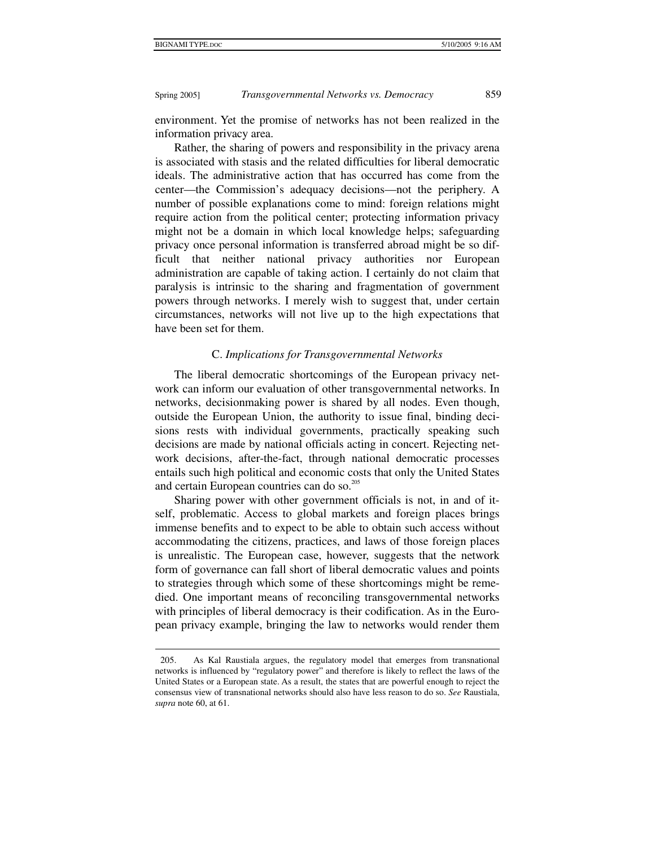Spring 2005] *Transgovernmental Networks vs. Democracy* 859

environment. Yet the promise of networks has not been realized in the information privacy area.

Rather, the sharing of powers and responsibility in the privacy arena is associated with stasis and the related difficulties for liberal democratic ideals. The administrative action that has occurred has come from the center—the Commission's adequacy decisions—not the periphery. A number of possible explanations come to mind: foreign relations might require action from the political center; protecting information privacy might not be a domain in which local knowledge helps; safeguarding privacy once personal information is transferred abroad might be so difficult that neither national privacy authorities nor European administration are capable of taking action. I certainly do not claim that paralysis is intrinsic to the sharing and fragmentation of government powers through networks. I merely wish to suggest that, under certain circumstances, networks will not live up to the high expectations that have been set for them.

#### C. *Implications for Transgovernmental Networks*

The liberal democratic shortcomings of the European privacy network can inform our evaluation of other transgovernmental networks. In networks, decisionmaking power is shared by all nodes. Even though, outside the European Union, the authority to issue final, binding decisions rests with individual governments, practically speaking such decisions are made by national officials acting in concert. Rejecting network decisions, after-the-fact, through national democratic processes entails such high political and economic costs that only the United States and certain European countries can do so.<sup>205</sup>

Sharing power with other government officials is not, in and of itself, problematic. Access to global markets and foreign places brings immense benefits and to expect to be able to obtain such access without accommodating the citizens, practices, and laws of those foreign places is unrealistic. The European case, however, suggests that the network form of governance can fall short of liberal democratic values and points to strategies through which some of these shortcomings might be remedied. One important means of reconciling transgovernmental networks with principles of liberal democracy is their codification. As in the European privacy example, bringing the law to networks would render them

 <sup>205.</sup> As Kal Raustiala argues, the regulatory model that emerges from transnational networks is influenced by "regulatory power" and therefore is likely to reflect the laws of the United States or a European state. As a result, the states that are powerful enough to reject the consensus view of transnational networks should also have less reason to do so. *See* Raustiala, *supra* note 60, at 61.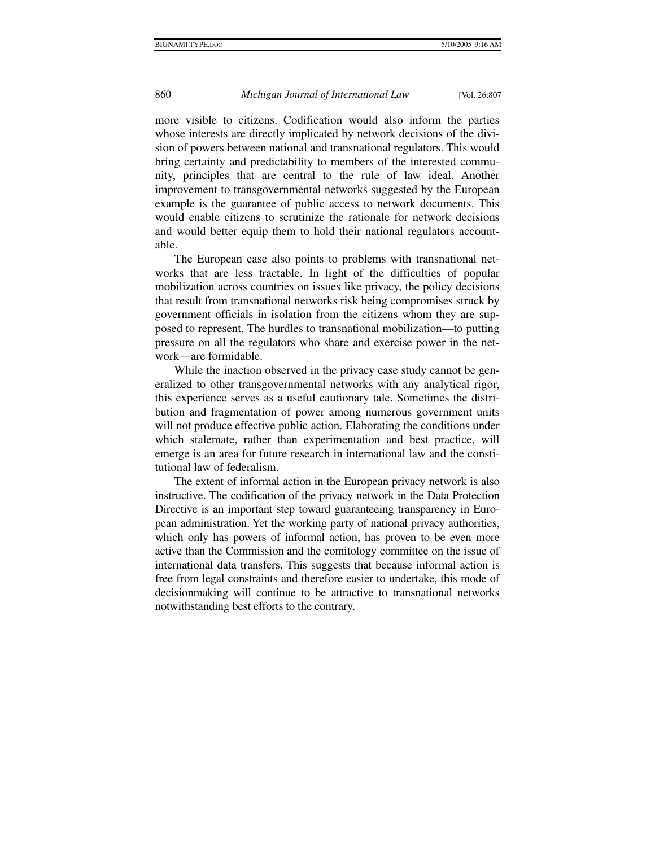more visible to citizens. Codification would also inform the parties whose interests are directly implicated by network decisions of the division of powers between national and transnational regulators. This would bring certainty and predictability to members of the interested community, principles that are central to the rule of law ideal. Another improvement to transgovernmental networks suggested by the European example is the guarantee of public access to network documents. This would enable citizens to scrutinize the rationale for network decisions and would better equip them to hold their national regulators accountable.

The European case also points to problems with transnational networks that are less tractable. In light of the difficulties of popular mobilization across countries on issues like privacy, the policy decisions that result from transnational networks risk being compromises struck by government officials in isolation from the citizens whom they are supposed to represent. The hurdles to transnational mobilization—to putting pressure on all the regulators who share and exercise power in the network—are formidable.

While the inaction observed in the privacy case study cannot be generalized to other transgovernmental networks with any analytical rigor, this experience serves as a useful cautionary tale. Sometimes the distribution and fragmentation of power among numerous government units will not produce effective public action. Elaborating the conditions under which stalemate, rather than experimentation and best practice, will emerge is an area for future research in international law and the constitutional law of federalism.

The extent of informal action in the European privacy network is also instructive. The codification of the privacy network in the Data Protection Directive is an important step toward guaranteeing transparency in European administration. Yet the working party of national privacy authorities, which only has powers of informal action, has proven to be even more active than the Commission and the comitology committee on the issue of international data transfers. This suggests that because informal action is free from legal constraints and therefore easier to undertake, this mode of decisionmaking will continue to be attractive to transnational networks notwithstanding best efforts to the contrary.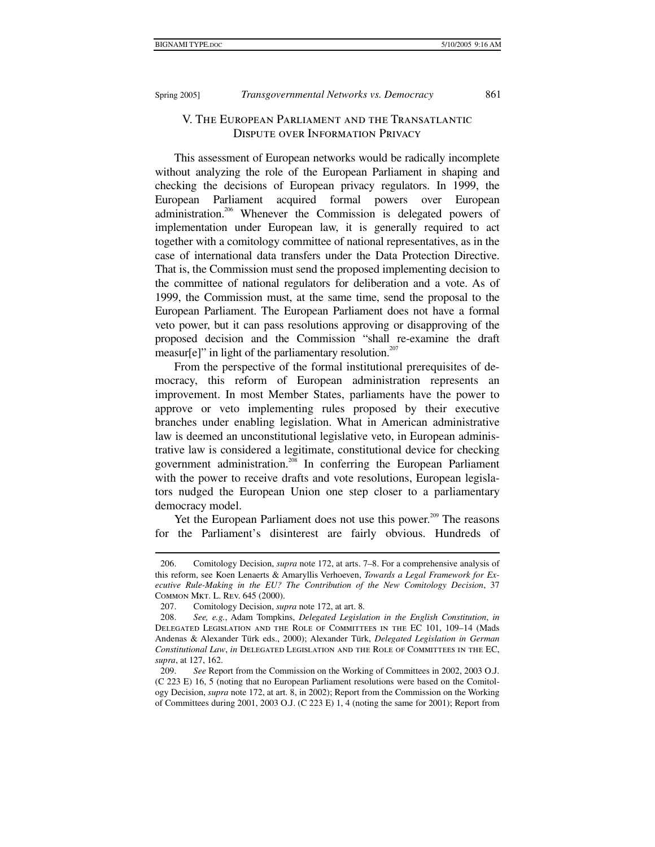#### Spring 2005] *Transgovernmental Networks vs. Democracy* 861

# V. The European Parliament and the Transatlantic Dispute over Information Privacy

This assessment of European networks would be radically incomplete without analyzing the role of the European Parliament in shaping and checking the decisions of European privacy regulators. In 1999, the European Parliament acquired formal powers over European administration.<sup>206</sup> Whenever the Commission is delegated powers of implementation under European law, it is generally required to act together with a comitology committee of national representatives, as in the case of international data transfers under the Data Protection Directive. That is, the Commission must send the proposed implementing decision to the committee of national regulators for deliberation and a vote. As of 1999, the Commission must, at the same time, send the proposal to the European Parliament. The European Parliament does not have a formal veto power, but it can pass resolutions approving or disapproving of the proposed decision and the Commission "shall re-examine the draft measur[e]" in light of the parliamentary resolution. $207$ 

From the perspective of the formal institutional prerequisites of democracy, this reform of European administration represents an improvement. In most Member States, parliaments have the power to approve or veto implementing rules proposed by their executive branches under enabling legislation. What in American administrative law is deemed an unconstitutional legislative veto, in European administrative law is considered a legitimate, constitutional device for checking government administration.<sup>208</sup> In conferring the European Parliament with the power to receive drafts and vote resolutions, European legislators nudged the European Union one step closer to a parliamentary democracy model.

Yet the European Parliament does not use this power.<sup>209</sup> The reasons for the Parliament's disinterest are fairly obvious. Hundreds of

 <sup>206.</sup> Comitology Decision, *supra* note 172, at arts. 7–8. For a comprehensive analysis of this reform, see Koen Lenaerts & Amaryllis Verhoeven, *Towards a Legal Framework for Executive Rule-Making in the EU? The Contribution of the New Comitology Decision*, 37 Common Mkt. L. Rev. 645 (2000).

 <sup>207.</sup> Comitology Decision, *supra* note 172, at art. 8.

 <sup>208.</sup> *See, e.g.*, Adam Tompkins, *Delegated Legislation in the English Constitution*, *in* Delegated Legislation and the Role of Committees in the EC 101, 109–14 (Mads Andenas & Alexander Türk eds., 2000); Alexander Türk, *Delegated Legislation in German Constitutional Law*, *in* Delegated Legislation and the Role of Committees in the EC, *supra*, at 127, 162.

 <sup>209.</sup> *See* Report from the Commission on the Working of Committees in 2002, 2003 O.J. (C 223 E) 16, 5 (noting that no European Parliament resolutions were based on the Comitology Decision, *supra* note 172, at art. 8, in 2002); Report from the Commission on the Working of Committees during 2001, 2003 O.J. (C 223 E) 1, 4 (noting the same for 2001); Report from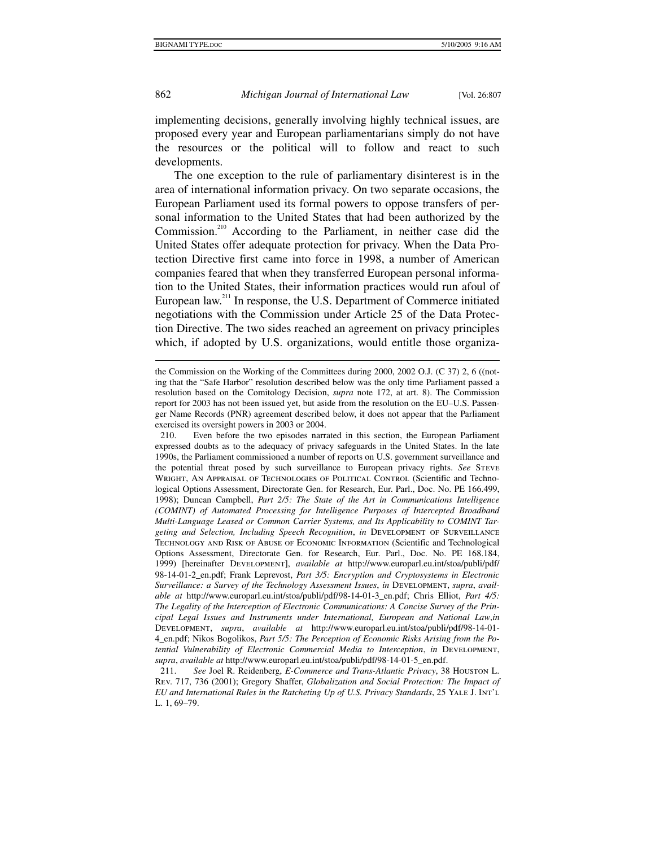# 862 *Michigan Journal of International Law* [Vol. 26:807

implementing decisions, generally involving highly technical issues, are proposed every year and European parliamentarians simply do not have the resources or the political will to follow and react to such developments.

The one exception to the rule of parliamentary disinterest is in the area of international information privacy. On two separate occasions, the European Parliament used its formal powers to oppose transfers of personal information to the United States that had been authorized by the Commission.<sup>210</sup> According to the Parliament, in neither case did the United States offer adequate protection for privacy. When the Data Protection Directive first came into force in 1998, a number of American companies feared that when they transferred European personal information to the United States, their information practices would run afoul of European law.211 In response, the U.S. Department of Commerce initiated negotiations with the Commission under Article 25 of the Data Protection Directive. The two sides reached an agreement on privacy principles which, if adopted by U.S. organizations, would entitle those organiza-

the Commission on the Working of the Committees during 2000, 2002 O.J. (C 37) 2, 6 ((noting that the "Safe Harbor" resolution described below was the only time Parliament passed a resolution based on the Comitology Decision, *supra* note 172, at art. 8). The Commission report for 2003 has not been issued yet, but aside from the resolution on the EU–U.S. Passenger Name Records (PNR) agreement described below, it does not appear that the Parliament exercised its oversight powers in 2003 or 2004.

 <sup>210.</sup> Even before the two episodes narrated in this section, the European Parliament expressed doubts as to the adequacy of privacy safeguards in the United States. In the late 1990s, the Parliament commissioned a number of reports on U.S. government surveillance and the potential threat posed by such surveillance to European privacy rights. *See* Steve WRIGHT, AN APPRAISAL OF TECHNOLOGIES OF POLITICAL CONTROL (Scientific and Technological Options Assessment, Directorate Gen. for Research, Eur. Parl., Doc. No. PE 166.499, 1998); Duncan Campbell, *Part 2/5: The State of the Art in Communications Intelligence (COMINT) of Automated Processing for Intelligence Purposes of Intercepted Broadband Multi-Language Leased or Common Carrier Systems, and Its Applicability to COMINT Targeting and Selection, Including Speech Recognition*, *in* Development of Surveillance Technology and Risk of Abuse of Economic Information (Scientific and Technological Options Assessment, Directorate Gen. for Research, Eur. Parl., Doc. No. PE 168.184, 1999) [hereinafter Development], *available at* http://www.europarl.eu.int/stoa/publi/pdf/ 98-14-01-2\_en.pdf; Frank Leprevost, *Part 3/5: Encryption and Cryptosystems in Electronic Surveillance: a Survey of the Technology Assessment Issues*, *in* Development, *supra*, *available at* http://www.europarl.eu.int/stoa/publi/pdf/98-14-01-3\_en.pdf; Chris Elliot, *Part 4/5: The Legality of the Interception of Electronic Communications: A Concise Survey of the Principal Legal Issues and Instruments under International, European and National Law*,*in* Development, *supra*, *available at* http://www.europarl.eu.int/stoa/publi/pdf/98-14-01- 4\_en.pdf; Nikos Bogolikos, *Part 5/5: The Perception of Economic Risks Arising from the Potential Vulnerability of Electronic Commercial Media to Interception*, *in* Development, *supra*, *available at* http://www.europarl.eu.int/stoa/publi/pdf/98-14-01-5\_en.pdf.

 <sup>211.</sup> *See* Joel R. Reidenberg, *E-Commerce and Trans-Atlantic Privacy*, 38 Houston L. Rev. 717, 736 (2001); Gregory Shaffer, *Globalization and Social Protection: The Impact of EU and International Rules in the Ratcheting Up of U.S. Privacy Standards*, 25 Yale J. Int'l L. 1, 69–79.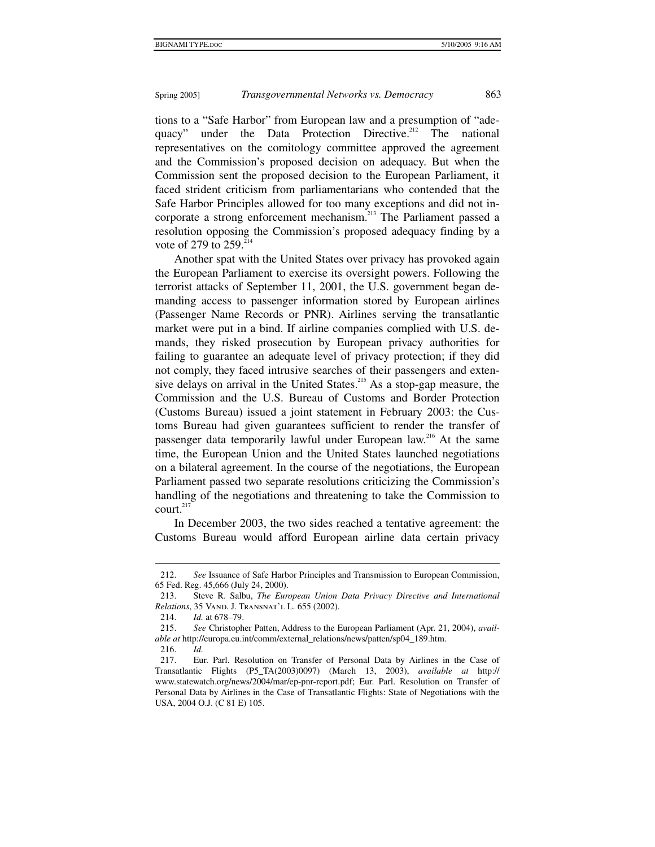tions to a "Safe Harbor" from European law and a presumption of "adequacy" under the Data Protection Directive.<sup>212</sup> The national representatives on the comitology committee approved the agreement and the Commission's proposed decision on adequacy. But when the Commission sent the proposed decision to the European Parliament, it faced strident criticism from parliamentarians who contended that the Safe Harbor Principles allowed for too many exceptions and did not incorporate a strong enforcement mechanism.<sup>213</sup> The Parliament passed a resolution opposing the Commission's proposed adequacy finding by a vote of 279 to  $259.^{214}$ 

Another spat with the United States over privacy has provoked again the European Parliament to exercise its oversight powers. Following the terrorist attacks of September 11, 2001, the U.S. government began demanding access to passenger information stored by European airlines (Passenger Name Records or PNR). Airlines serving the transatlantic market were put in a bind. If airline companies complied with U.S. demands, they risked prosecution by European privacy authorities for failing to guarantee an adequate level of privacy protection; if they did not comply, they faced intrusive searches of their passengers and extensive delays on arrival in the United States.<sup>215</sup> As a stop-gap measure, the Commission and the U.S. Bureau of Customs and Border Protection (Customs Bureau) issued a joint statement in February 2003: the Customs Bureau had given guarantees sufficient to render the transfer of passenger data temporarily lawful under European law.<sup>216</sup> At the same time, the European Union and the United States launched negotiations on a bilateral agreement. In the course of the negotiations, the European Parliament passed two separate resolutions criticizing the Commission's handling of the negotiations and threatening to take the Commission to  $court.<sup>217</sup>$ 

In December 2003, the two sides reached a tentative agreement: the Customs Bureau would afford European airline data certain privacy

 <sup>212.</sup> *See* Issuance of Safe Harbor Principles and Transmission to European Commission, 65 Fed. Reg. 45,666 (July 24, 2000).

 <sup>213.</sup> Steve R. Salbu, *The European Union Data Privacy Directive and International Relations*, 35 Vand. J. Transnat'l L. 655 (2002).

 <sup>214.</sup> *Id.* at 678–79.

 <sup>215.</sup> *See* Christopher Patten, Address to the European Parliament (Apr. 21, 2004), *available at* http://europa.eu.int/comm/external\_relations/news/patten/sp04\_189.htm.

 <sup>216.</sup> *Id.*

 <sup>217.</sup> Eur. Parl. Resolution on Transfer of Personal Data by Airlines in the Case of Transatlantic Flights (P5\_TA(2003)0097) (March 13, 2003), *available at* http:// www.statewatch.org/news/2004/mar/ep-pnr-report.pdf; Eur. Parl. Resolution on Transfer of Personal Data by Airlines in the Case of Transatlantic Flights: State of Negotiations with the USA, 2004 O.J. (C 81 E) 105.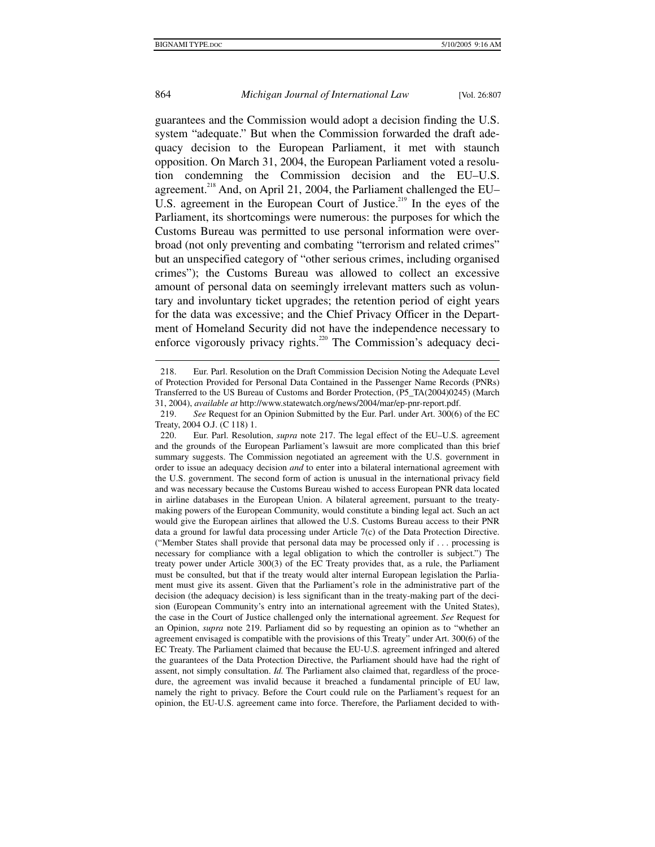#### 864 *Michigan Journal of International Law* [Vol. 26:807

guarantees and the Commission would adopt a decision finding the U.S. system "adequate." But when the Commission forwarded the draft adequacy decision to the European Parliament, it met with staunch opposition. On March 31, 2004, the European Parliament voted a resolution condemning the Commission decision and the EU–U.S. agreement.<sup>218</sup> And, on April 21, 2004, the Parliament challenged the EU– U.S. agreement in the European Court of Justice.<sup>219</sup> In the eyes of the Parliament, its shortcomings were numerous: the purposes for which the Customs Bureau was permitted to use personal information were overbroad (not only preventing and combating "terrorism and related crimes" but an unspecified category of "other serious crimes, including organised crimes"); the Customs Bureau was allowed to collect an excessive amount of personal data on seemingly irrelevant matters such as voluntary and involuntary ticket upgrades; the retention period of eight years for the data was excessive; and the Chief Privacy Officer in the Department of Homeland Security did not have the independence necessary to enforce vigorously privacy rights.<sup>220</sup> The Commission's adequacy deci-

 <sup>218.</sup> Eur. Parl. Resolution on the Draft Commission Decision Noting the Adequate Level of Protection Provided for Personal Data Contained in the Passenger Name Records (PNRs) Transferred to the US Bureau of Customs and Border Protection, (P5\_TA(2004)0245) (March 31, 2004), *available at* http://www.statewatch.org/news/2004/mar/ep-pnr-report.pdf.

 <sup>219.</sup> *See* Request for an Opinion Submitted by the Eur. Parl. under Art. 300(6) of the EC Treaty, 2004 O.J. (C 118) 1.<br>220. Eur. Parl. Resolut

Eur. Parl. Resolution, *supra* note 217. The legal effect of the EU–U.S. agreement and the grounds of the European Parliament's lawsuit are more complicated than this brief summary suggests. The Commission negotiated an agreement with the U.S. government in order to issue an adequacy decision *and* to enter into a bilateral international agreement with the U.S. government. The second form of action is unusual in the international privacy field and was necessary because the Customs Bureau wished to access European PNR data located in airline databases in the European Union. A bilateral agreement, pursuant to the treatymaking powers of the European Community, would constitute a binding legal act. Such an act would give the European airlines that allowed the U.S. Customs Bureau access to their PNR data a ground for lawful data processing under Article 7(c) of the Data Protection Directive. ("Member States shall provide that personal data may be processed only if . . . processing is necessary for compliance with a legal obligation to which the controller is subject.") The treaty power under Article 300(3) of the EC Treaty provides that, as a rule, the Parliament must be consulted, but that if the treaty would alter internal European legislation the Parliament must give its assent. Given that the Parliament's role in the administrative part of the decision (the adequacy decision) is less significant than in the treaty-making part of the decision (European Community's entry into an international agreement with the United States), the case in the Court of Justice challenged only the international agreement. *See* Request for an Opinion, *supra* note 219. Parliament did so by requesting an opinion as to "whether an agreement envisaged is compatible with the provisions of this Treaty" under Art. 300(6) of the EC Treaty. The Parliament claimed that because the EU-U.S. agreement infringed and altered the guarantees of the Data Protection Directive, the Parliament should have had the right of assent, not simply consultation. *Id.* The Parliament also claimed that, regardless of the procedure, the agreement was invalid because it breached a fundamental principle of EU law, namely the right to privacy. Before the Court could rule on the Parliament's request for an opinion, the EU-U.S. agreement came into force. Therefore, the Parliament decided to with-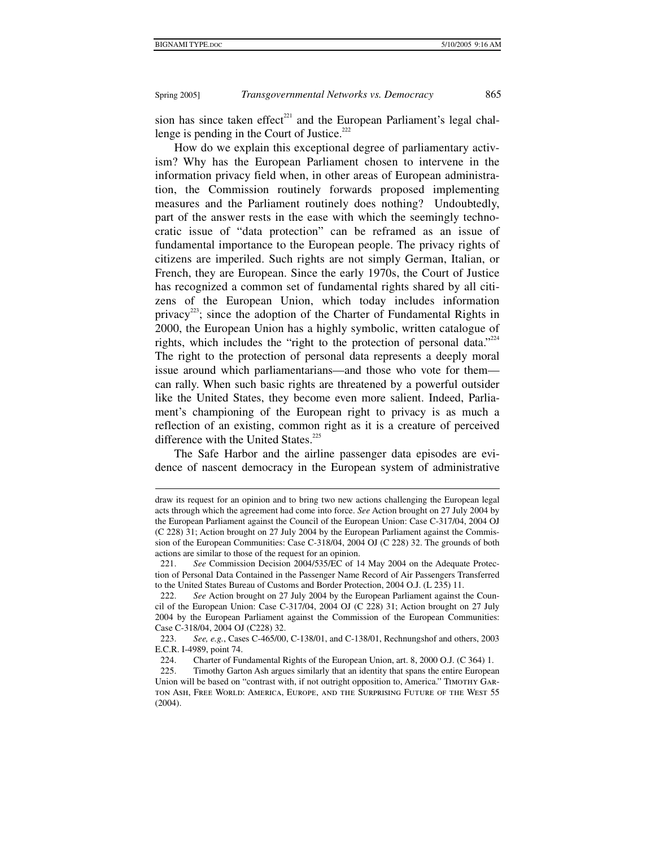Spring 2005] *Transgovernmental Networks vs. Democracy* 865

sion has since taken effect<sup>221</sup> and the European Parliament's legal challenge is pending in the Court of Justice.<sup>222</sup>

How do we explain this exceptional degree of parliamentary activism? Why has the European Parliament chosen to intervene in the information privacy field when, in other areas of European administration, the Commission routinely forwards proposed implementing measures and the Parliament routinely does nothing? Undoubtedly, part of the answer rests in the ease with which the seemingly technocratic issue of "data protection" can be reframed as an issue of fundamental importance to the European people. The privacy rights of citizens are imperiled. Such rights are not simply German, Italian, or French, they are European. Since the early 1970s, the Court of Justice has recognized a common set of fundamental rights shared by all citizens of the European Union, which today includes information privacy<sup>223</sup>; since the adoption of the Charter of Fundamental Rights in 2000, the European Union has a highly symbolic, written catalogue of rights, which includes the "right to the protection of personal data."<sup>224</sup> The right to the protection of personal data represents a deeply moral issue around which parliamentarians—and those who vote for them can rally. When such basic rights are threatened by a powerful outsider like the United States, they become even more salient. Indeed, Parliament's championing of the European right to privacy is as much a reflection of an existing, common right as it is a creature of perceived difference with the United States.<sup>225</sup>

The Safe Harbor and the airline passenger data episodes are evidence of nascent democracy in the European system of administrative

draw its request for an opinion and to bring two new actions challenging the European legal acts through which the agreement had come into force. *See* Action brought on 27 July 2004 by the European Parliament against the Council of the European Union: Case C-317/04, 2004 OJ (C 228) 31; Action brought on 27 July 2004 by the European Parliament against the Commission of the European Communities: Case C-318/04, 2004 OJ (C 228) 32. The grounds of both actions are similar to those of the request for an opinion.

 <sup>221.</sup> *See* Commission Decision 2004/535/EC of 14 May 2004 on the Adequate Protection of Personal Data Contained in the Passenger Name Record of Air Passengers Transferred to the United States Bureau of Customs and Border Protection, 2004 O.J. (L 235) 11.

 <sup>222.</sup> *See* Action brought on 27 July 2004 by the European Parliament against the Council of the European Union: Case C-317/04, 2004 OJ (C 228) 31; Action brought on 27 July 2004 by the European Parliament against the Commission of the European Communities: Case C-318/04, 2004 OJ (C228) 32.

 <sup>223.</sup> *See, e.g.*, Cases C-465/00, C-138/01, and C-138/01, Rechnungshof and others, 2003 E.C.R. I-4989, point 74.

 <sup>224.</sup> Charter of Fundamental Rights of the European Union, art. 8, 2000 O.J. (C 364) 1.

 <sup>225.</sup> Timothy Garton Ash argues similarly that an identity that spans the entire European Union will be based on "contrast with, if not outright opposition to, America." TIMOTHY GARton Ash, Free World: America, Europe, and the Surprising Future of the West 55 (2004).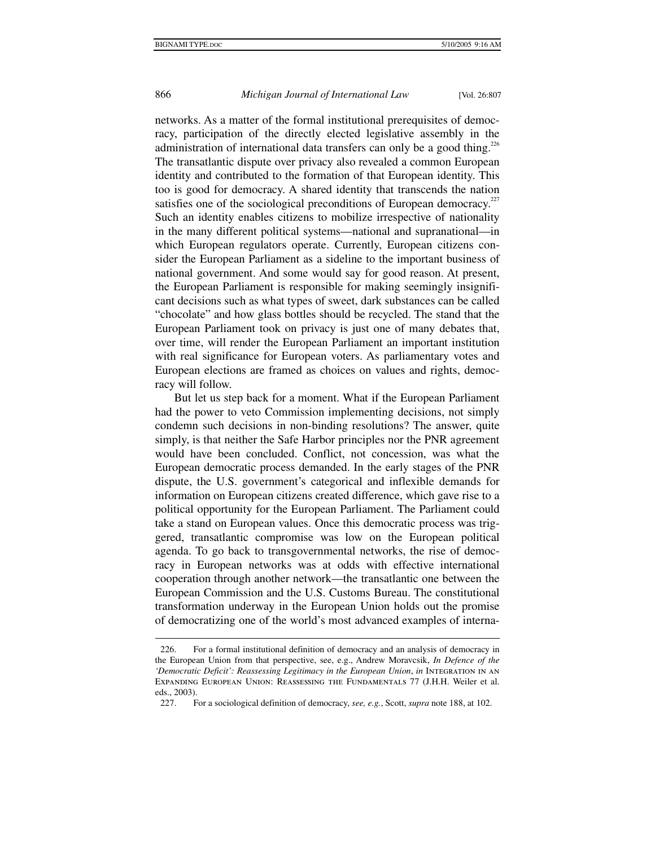#### 866 *Michigan Journal of International Law* [Vol. 26:807

networks. As a matter of the formal institutional prerequisites of democracy, participation of the directly elected legislative assembly in the administration of international data transfers can only be a good thing.<sup>226</sup> The transatlantic dispute over privacy also revealed a common European identity and contributed to the formation of that European identity. This too is good for democracy. A shared identity that transcends the nation satisfies one of the sociological preconditions of European democracy.<sup>227</sup> Such an identity enables citizens to mobilize irrespective of nationality in the many different political systems—national and supranational—in which European regulators operate. Currently, European citizens consider the European Parliament as a sideline to the important business of national government. And some would say for good reason. At present, the European Parliament is responsible for making seemingly insignificant decisions such as what types of sweet, dark substances can be called "chocolate" and how glass bottles should be recycled. The stand that the European Parliament took on privacy is just one of many debates that, over time, will render the European Parliament an important institution with real significance for European voters. As parliamentary votes and European elections are framed as choices on values and rights, democracy will follow.

But let us step back for a moment. What if the European Parliament had the power to veto Commission implementing decisions, not simply condemn such decisions in non-binding resolutions? The answer, quite simply, is that neither the Safe Harbor principles nor the PNR agreement would have been concluded. Conflict, not concession, was what the European democratic process demanded. In the early stages of the PNR dispute, the U.S. government's categorical and inflexible demands for information on European citizens created difference, which gave rise to a political opportunity for the European Parliament. The Parliament could take a stand on European values. Once this democratic process was triggered, transatlantic compromise was low on the European political agenda. To go back to transgovernmental networks, the rise of democracy in European networks was at odds with effective international cooperation through another network—the transatlantic one between the European Commission and the U.S. Customs Bureau. The constitutional transformation underway in the European Union holds out the promise of democratizing one of the world's most advanced examples of interna-

 <sup>226.</sup> For a formal institutional definition of democracy and an analysis of democracy in the European Union from that perspective, see, e.g., Andrew Moravcsik, *In Defence of the*  'Democratic Deficit': Reassessing Legitimacy in the European Union, in INTEGRATION IN AN Expanding European Union: Reassessing the Fundamentals 77 (J.H.H. Weiler et al. eds., 2003).

 <sup>227.</sup> For a sociological definition of democracy, *see, e.g.*, Scott, *supra* note 188, at 102.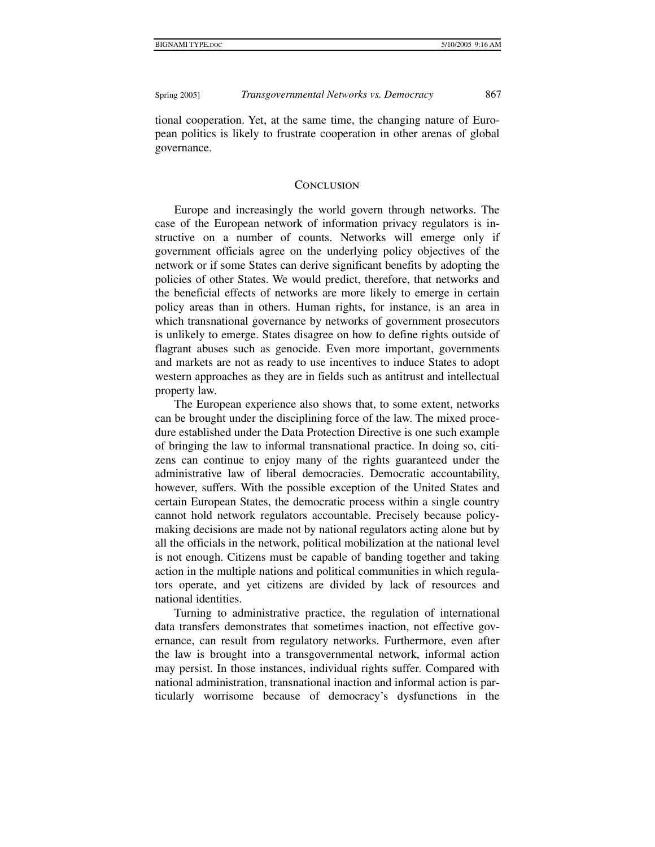tional cooperation. Yet, at the same time, the changing nature of European politics is likely to frustrate cooperation in other arenas of global governance.

#### **CONCLUSION**

Europe and increasingly the world govern through networks. The case of the European network of information privacy regulators is instructive on a number of counts. Networks will emerge only if government officials agree on the underlying policy objectives of the network or if some States can derive significant benefits by adopting the policies of other States. We would predict, therefore, that networks and the beneficial effects of networks are more likely to emerge in certain policy areas than in others. Human rights, for instance, is an area in which transnational governance by networks of government prosecutors is unlikely to emerge. States disagree on how to define rights outside of flagrant abuses such as genocide. Even more important, governments and markets are not as ready to use incentives to induce States to adopt western approaches as they are in fields such as antitrust and intellectual property law.

The European experience also shows that, to some extent, networks can be brought under the disciplining force of the law. The mixed procedure established under the Data Protection Directive is one such example of bringing the law to informal transnational practice. In doing so, citizens can continue to enjoy many of the rights guaranteed under the administrative law of liberal democracies. Democratic accountability, however, suffers. With the possible exception of the United States and certain European States, the democratic process within a single country cannot hold network regulators accountable. Precisely because policymaking decisions are made not by national regulators acting alone but by all the officials in the network, political mobilization at the national level is not enough. Citizens must be capable of banding together and taking action in the multiple nations and political communities in which regulators operate, and yet citizens are divided by lack of resources and national identities.

Turning to administrative practice, the regulation of international data transfers demonstrates that sometimes inaction, not effective governance, can result from regulatory networks. Furthermore, even after the law is brought into a transgovernmental network, informal action may persist. In those instances, individual rights suffer. Compared with national administration, transnational inaction and informal action is particularly worrisome because of democracy's dysfunctions in the